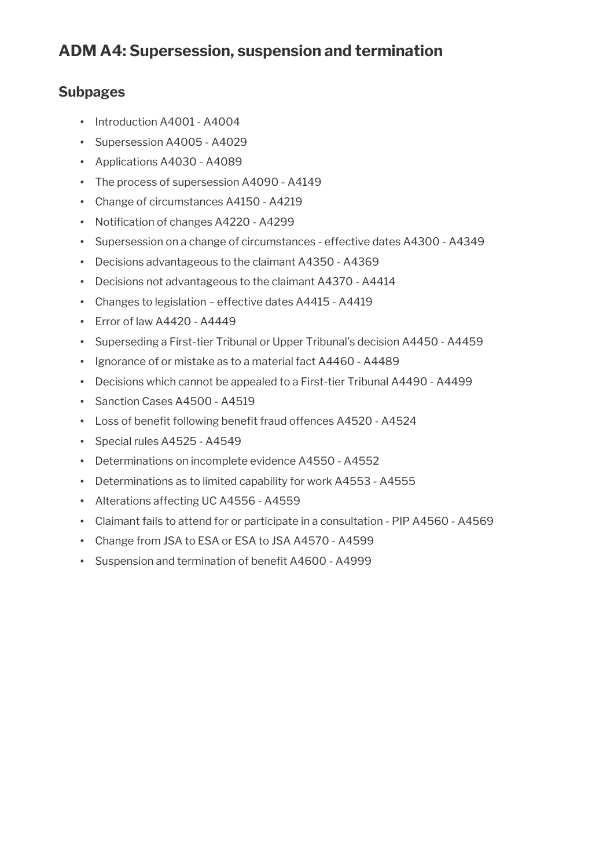### **Subpages**

- Introduction A4001 A4004
- Supersession A4005 A4029
- Applications A4030 A4089
- The process of supersession A4090 A4149
- Change of circumstances A4150 A4219
- Notification of changes A4220 A4299
- Supersession on a change of circumstances effective dates A4300 A4349
- Decisions advantageous to the claimant A4350 A4369
- Decisions not advantageous to the claimant A4370 A4414
- Changes to legislation effective dates A4415 A4419
- Error of law A4420 A4449
- Superseding a First-tier Tribunal or Upper Tribunal's decision A4450 A4459
- Ignorance of or mistake as to a material fact A4460 A4489
- Decisions which cannot be appealed to a First-tier Tribunal A4490 A4499
- Sanction Cases A4500 A4519
- Loss of benefit following benefit fraud offences A4520 A4524
- Special rules A4525 A4549
- Determinations on incomplete evidence A4550 A4552
- Determinations as to limited capability for work A4553 A4555
- Alterations affecting UC A4556 A4559
- Claimant fails to attend for or participate in a consultation PIP A4560 A4569
- Change from JSA to ESA or ESA to JSA A4570 A4599
- Suspension and termination of benefit A4600 A4999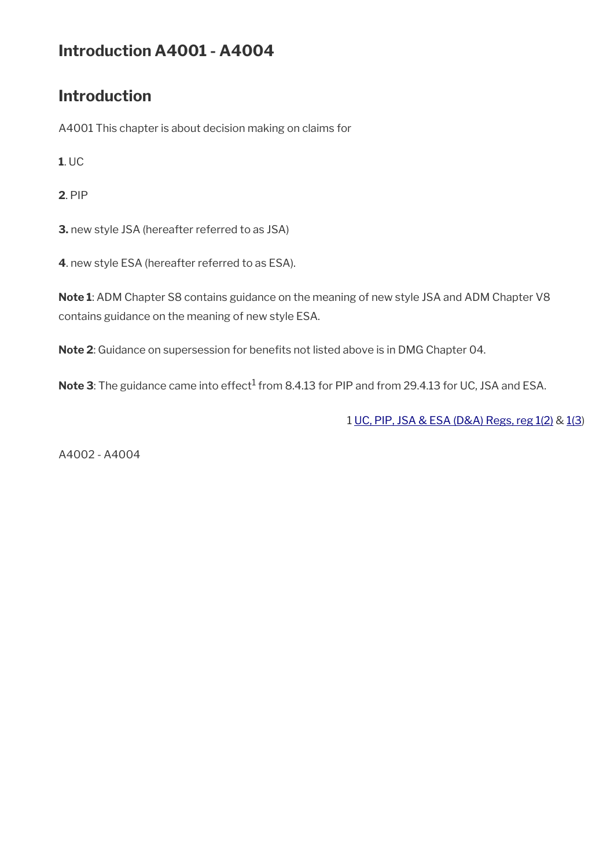# **Introduction A4001 - A4004**

# **Introduction**

A4001 This chapter is about decision making on claims for

**1**. UC

**2**. PIP

**3.** new style JSA (hereafter referred to as JSA)

**4**. new style ESA (hereafter referred to as ESA).

**Note 1**: ADM Chapter S8 contains guidance on the meaning of new style JSA and ADM Chapter V8 contains guidance on the meaning of new style ESA.

Note 2: Guidance on supersession for benefits not listed above is in DMG Chapter 04.

 $\mathsf{Note} \, 3$ : The guidance came into effect $^1$  from 8.4.13 for PIP and from 29.4.13 for UC, JSA and ESA.

1 [UC, PIP, JSA & ESA \(D&A\) Regs, reg 1\(2\)](http://www.legislation.gov.uk/uksi/2013/381/regulation/1) & [1\(3](http://www.legislation.gov.uk/uksi/2013/381/regulation/1))

A4002 - A4004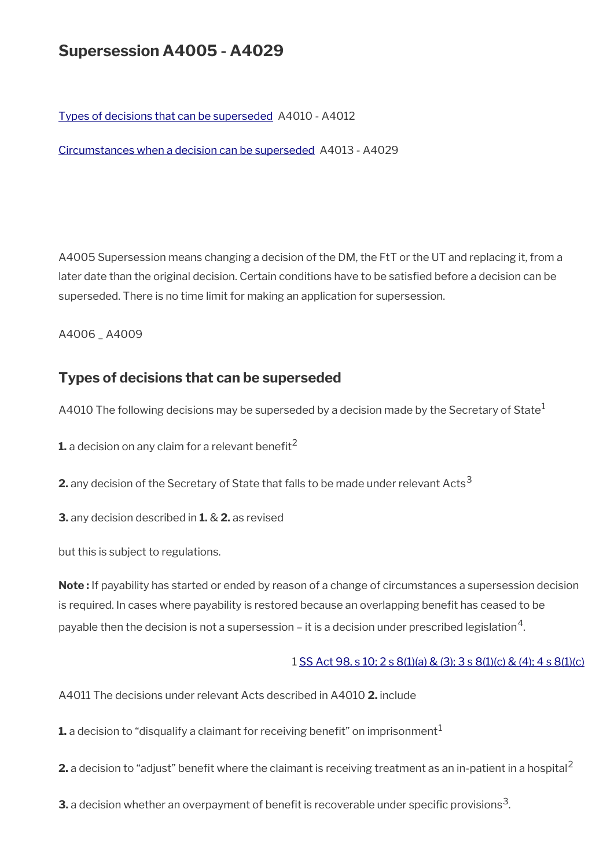# **Supersession A4005 - A4029**

[Types of decisions that can be superseded](#page-2-0) A4010 - A4012

[Circumstances when a decision can be superseded](#page-3-0) A4013 - A4029

A4005 Supersession means changing a decision of the DM, the FtT or the UT and replacing it, from a later date than the original decision. Certain conditions have to be satisfed before a decision can be superseded. There is no time limit for making an application for supersession.

A4006 \_ A4009

### <span id="page-2-0"></span>**Types of decisions that can be superseded**

A4010 The following decisions may be superseded by a decision made by the Secretary of State<sup>1</sup>

**1.** a decision on any claim for a relevant benefit<sup>2</sup>

**2.** any decision of the Secretary of State that falls to be made under relevant Acts<sup>3</sup>

**3.** any decision described in **1.** & **2.** as revised

but this is subject to regulations.

**Note :** If payability has started or ended by reason of a change of circumstances a supersession decision is required. In cases where payability is restored because an overlapping benefit has ceased to be payable then the decision is not a supersession – it is a decision under prescribed legislation $^{\mathsf{4}}$ .

#### 1 [SS Act 98, s 10; 2 s 8\(1\)\(a\) & \(3\); 3 s 8\(1\)\(c\) & \(4\); 4 s 8\(1\)\(c\)](http://www.legislation.gov.uk/ukpga/1998/14/contents)

A4011 The decisions under relevant Acts described in A4010 **2.** include

**1.** a decision to "disqualify a claimant for receiving benefit" on imprisonment<sup>1</sup>

**2.** a decision to "adjust" benefit where the claimant is receiving treatment as an in-patient in a hospital<sup>2</sup>

 ${\bf 3.}$  a decision whether an overpayment of benefit is recoverable under specific provisions $^3$ .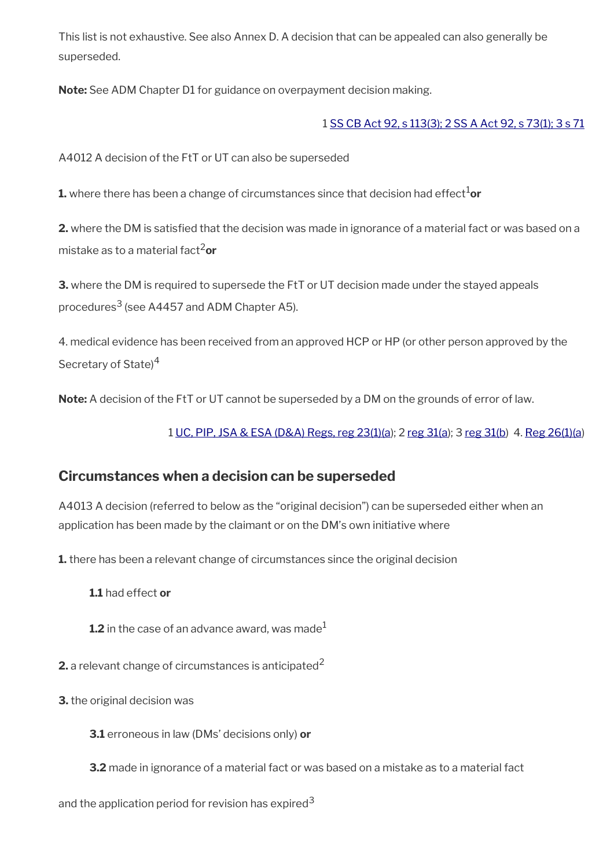This list is not exhaustive. See also Annex D. A decision that can be appealed can also generally be superseded.

**Note:** See ADM Chapter D1 for guidance on overpayment decision making.

#### 1 [SS CB Act 92, s 113\(3\); 2 SS A Act 92, s 73\(1\); 3 s 71](http://www.legislation.gov.uk/ukpga/1992/4/contents)

A4012 A decision of the FtT or UT can also be superseded

**1.** where there has been a change of circumstances since that decision had effect<sup>1</sup>or

**2.** where the DM is satisfed that the decision was made in ignorance of a material fact or was based on a mistake as to a material fact2**or**

**3.** where the DM is required to supersede the FtT or UT decision made under the stayed appeals procedures<sup>3</sup> (see A4457 and ADM Chapter A5).

4. medical evidence has been received from an approved HCP or HP (or other person approved by the Secretary of State<sup>4</sup>

**Note:** A decision of the FtT or UT cannot be superseded by a DM on the grounds of error of law.

1 [UC, PIP, JSA & ESA \(D&A\) Regs, reg 23\(1\)\(a\)](http://www.legislation.gov.uk/uksi/2013/381/regulation/23); 2 [reg 31\(a](http://www.legislation.gov.uk/uksi/2013/381/regulation/31)); 3 [reg 31\(b](http://www.legislation.gov.uk/uksi/2013/381/regulation/31)) 4. [Reg 26\(1\)\(a](http://www.legislation.gov.uk/uksi/2013/381/regulation/26))

### <span id="page-3-0"></span>**Circumstances when a decision can be superseded**

A4013 A decision (referred to below as the "original decision") can be superseded either when an application has been made by the claimant or on the DM's own initiative where

**1.** there has been a relevant change of circumstances since the original decision

**1.1** had effect **or**

**1.2** in the case of an advance award, was made $^1$ 

**2.** a relevant change of circumstances is anticipated<sup>2</sup>

**3.** the original decision was

**3.1** erroneous in law (DMs' decisions only) **or**

**3.2** made in ignorance of a material fact or was based on a mistake as to a material fact

and the application period for revision has expired<sup>3</sup>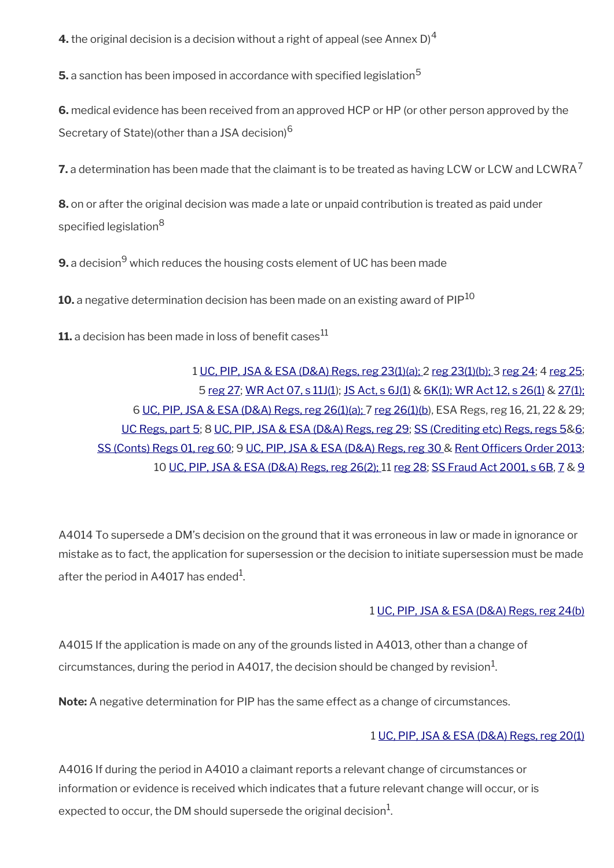**4.** the original decision is a decision without a right of appeal (see Annex D)<sup>4</sup>

**5.** a sanction has been imposed in accordance with specified legislation<sup>5</sup>

**6.** medical evidence has been received from an approved HCP or HP (or other person approved by the Secretary of State)(other than a JSA decision)<sup>6</sup>

**7.** a determination has been made that the claimant is to be treated as having LCW or LCW and LCWRA<sup>7</sup>

**8.** on or after the original decision was made a late or unpaid contribution is treated as paid under specified legislation<sup>8</sup>

 ${\bf 9.}$  a decision $^9$  which reduces the housing costs element of UC has been made

10. a negative determination decision has been made on an existing award of PIP<sup>10</sup>

**11.** a decision has been made in loss of benefit cases<sup>11</sup>

[UC, PIP, JSA & ESA \(D&A\) Regs, reg 23\(1\)\(a\);](http://www.legislation.gov.uk/uksi/2013/381/regulation/23) 2 [reg 23\(1\)\(b\);](http://www.legislation.gov.uk/uksi/2013/381/regulation/23) 3 [reg 24](http://www.legislation.gov.uk/uksi/2013/381/regulation/24); 4 [reg 25;](http://www.legislation.gov.uk/uksi/2013/381/regulation/25) [reg 27](http://www.legislation.gov.uk/uksi/2013/381/regulation/27); [WR Act 07, s 11J\(1\)](http://www.legislation.gov.uk/ukpga/2007/5/section/11J); [JS Act, s 6J\(1\)](http://www.legislation.gov.uk/ukpga/1995/18/section/6J) & [6K\(1\);](http://www.legislation.gov.uk/ukpga/1995/18/section/6K)[WR Act 12, s 26\(1\)](http://www.legislation.gov.uk/ukpga/2012/5/section/26) & [27\(1\);](http://www.legislation.gov.uk/ukpga/2012/5/section/27)  [UC, PIP, JSA & ESA \(D&A\)](http://www.legislation.gov.uk/uksi/2013/381/regulation/26) Regs, reg 26(1)(a); 7 [reg 26\(1\)\(b](http://www.legislation.gov.uk/uksi/2013/381/regulation/26)), ESA Regs, reg 16, 21, 22 & 29; [UC Regs, part 5;](http://www.legislation.gov.uk/uksi/2013/376/contents) 8 [UC, PIP, JSA & ESA \(D&A\) Regs, reg 29;](http://www.legislation.gov.uk/uksi/2013/381/regulation/29) [SS \(Crediting etc\) Regs, regs 5&](http://www.legislation.gov.uk/uksi/2001/769/regulation/5)[6;](http://www.legislation.gov.uk/uksi/2001/769/regulation/6) [SS \(Conts\) Regs 01, reg 60;](http://www.legislation.gov.uk/ukpga/1992/4/contents) 9 [UC, PIP, JSA & ESA \(D&A\)](http://www.legislation.gov.uk/uksi/2013/381/regulation/30) Regs, reg 30 & Rent Officers Order 2013; [UC, PIP, JSA & ESA \(D&A\) Regs, reg 26\(2\); 1](http://www.legislation.gov.uk/uksi/2013/381/regulation/26)1 [reg 28](http://www.legislation.gov.uk/uksi/2013/381/regulation/28); [SS Fraud Act 2001, s 6B,](http://www.legislation.gov.uk/ukpga/2001/11/section/6B) [7](http://www.legislation.gov.uk/ukpga/2001/11/section/7) & [9](http://www.legislation.gov.uk/ukpga/2001/11/section/9)

A4014 To supersede a DM's decision on the ground that it was erroneous in law or made in ignorance or mistake as to fact, the application for supersession or the decision to initiate supersession must be made after the period in A4017 has ended $^{\rm 1}$ .

#### 1 [UC, PIP, JSA & ESA \(D&A\) Regs, reg 24\(b\)](http://www.legislation.gov.uk/uksi/2013/381/regulation/24)

A4015 If the application is made on any of the grounds listed in A4013, other than a change of circumstances, during the period in A4017, the decision should be changed by revision $^1\!$ 

**Note:** A negative determination for PIP has the same effect as a change of circumstances.

#### 1 [UC, PIP, JSA & ESA \(D&A\) Regs, reg 20\(1\)](http://www.legislation.gov.uk/uksi/2013/381/regulation/20)

A4016 If during the period in A4010 a claimant reports a relevant change of circumstances or information or evidence is received which indicates that a future relevant change will occur, or is expected to occur, the DM should supersede the original decision $^1\!\!$ .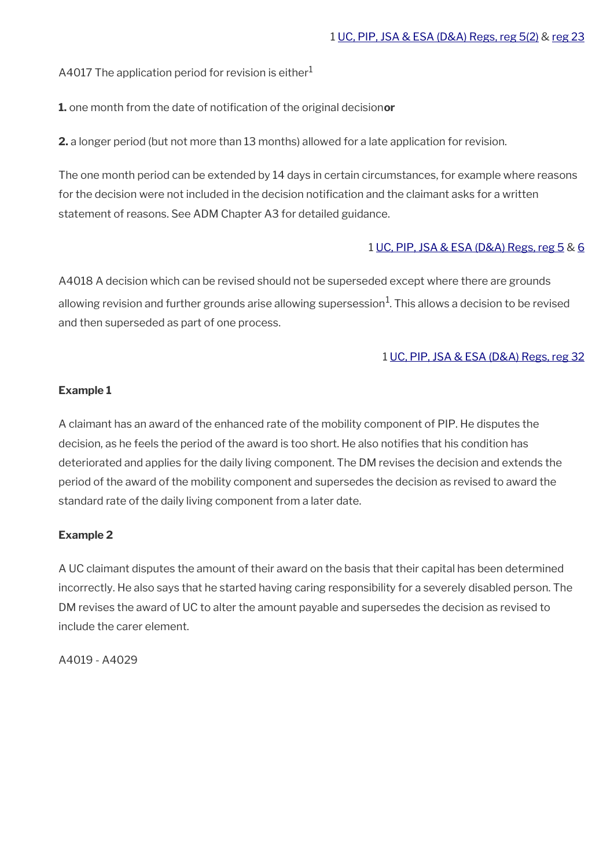A4017 The application period for revision is either $1$ 

**1.** one month from the date of notifcation of the original decision**or**

**2.** a longer period (but not more than 13 months) allowed for a late application for revision.

The one month period can be extended by 14 days in certain circumstances, for example where reasons for the decision were not included in the decision notification and the claimant asks for a written statement of reasons. See ADM Chapter A3 for detailed guidance.

#### 1 [UC, PIP, JSA & ESA \(D&A\) Regs, reg 5](http://www.legislation.gov.uk/uksi/2013/381/regulation/5) & [6](http://www.legislation.gov.uk/uksi/2013/381/regulation/6)

A4018 A decision which can be revised should not be superseded except where there are grounds allowing revision and further grounds arise allowing supersession $^1\!$ . This allows a decision to be revised and then superseded as part of one process.

#### 1 [UC, PIP, JSA & ESA \(D&A\) Regs, reg 32](http://www.legislation.gov.uk/uksi/2013/381/regulation/32)

#### **Example 1**

A claimant has an award of the enhanced rate of the mobility component of PIP. He disputes the decision, as he feels the period of the award is too short. He also notifes that his condition has deteriorated and applies for the daily living component. The DM revises the decision and extends the period of the award of the mobility component and supersedes the decision as revised to award the standard rate of the daily living component from a later date.

#### **Example 2**

A UC claimant disputes the amount of their award on the basis that their capital has been determined incorrectly. He also says that he started having caring responsibility for a severely disabled person. The DM revises the award of UC to alter the amount payable and supersedes the decision as revised to include the carer element.

A4019 - A4029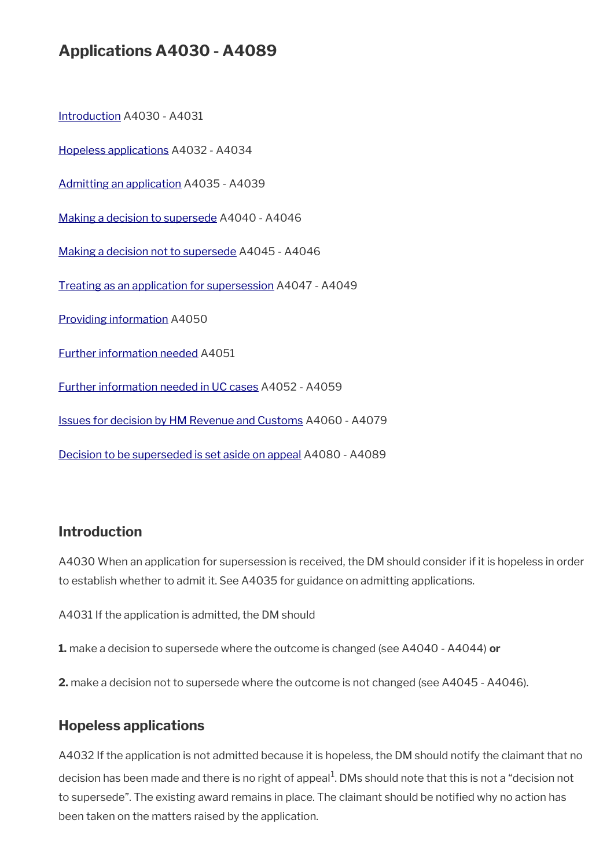# **Applications A4030 - A4089**

[Introduction](#page-6-1) A4030 - A4031

[Hopeless applications](#page-6-0) A4032 - A4034

[Admitting an application](#page-7-1) A4035 - A4039

[Making a decision to supersede](#page-7-0) A4040 - A4046

[Making a decision not to supersede](#page-8-0) A4045 - A4046

[Treating as an application for supersession](#page-9-2) A4047 - A4049

[Providing information](#page-9-1) A4050

[Further information needed](#page-9-0) A4051

[Further information needed in UC cases](#page-10-1) A4052 - A4059

[Issues for decision by HM Revenue and Customs](#page-10-0) A4060 - A4079

[Decision to be superseded is set aside on appeal](#page-12-0) A4080 - A4089

#### <span id="page-6-1"></span>**Introduction**

A4030 When an application for supersession is received, the DM should consider if it is hopeless in order to establish whether to admit it. See A4035 for guidance on admitting applications.

A4031 If the application is admitted, the DM should

**1.** make a decision to supersede where the outcome is changed (see A4040 - A4044) **or**

**2.** make a decision not to supersede where the outcome is not changed (see A4045 - A4046).

#### <span id="page-6-0"></span>**Hopeless applications**

A4032 If the application is not admitted because it is hopeless, the DM should notify the claimant that no decision has been made and there is no right of appeal<sup>1</sup>. DMs should note that this is not a "decision not to supersede". The existing award remains in place. The claimant should be notifed why no action has been taken on the matters raised by the application.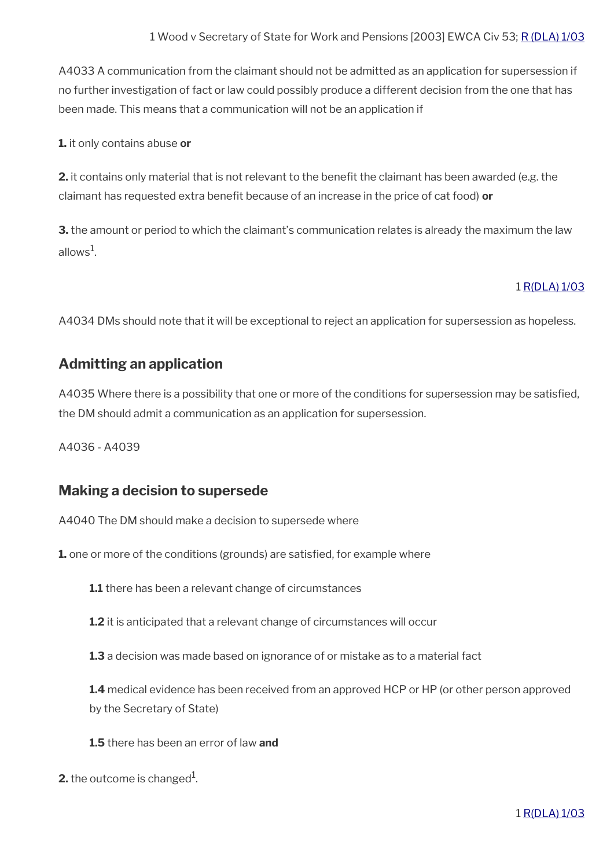A4033 A communication from the claimant should not be admitted as an application for supersession if no further investigation of fact or law could possibly produce a different decision from the one that has been made. This means that a communication will not be an application if

**1.** it only contains abuse **or**

**2.** it contains only material that is not relevant to the benefit the claimant has been awarded (e.g. the claimant has requested extra beneft because of an increase in the price of cat food) **or**

**3.** the amount or period to which the claimant's communication relates is already the maximum the law allows $^1$ .

#### 1 [R\(DLA\) 1/03](http://intranet.dwp.gov.uk/manual/decision-benefit/rdla-1-03)

A4034 DMs should note that it will be exceptional to reject an application for supersession as hopeless.

#### <span id="page-7-1"></span>**Admitting an application**

A4035 Where there is a possibility that one or more of the conditions for supersession may be satisfed, the DM should admit a communication as an application for supersession.

A4036 - A4039

#### <span id="page-7-0"></span>**Making a decision to supersede**

A4040 The DM should make a decision to supersede where

**1.** one or more of the conditions (grounds) are satisfied, for example where

**1.1** there has been a relevant change of circumstances

**1.2** it is anticipated that a relevant change of circumstances will occur

**1.3** a decision was made based on ignorance of or mistake as to a material fact

**1.4** medical evidence has been received from an approved HCP or HP (or other person approved by the Secretary of State)

- **1.5** there has been an error of law **and**
- **2.** the outcome is changed $^1$ .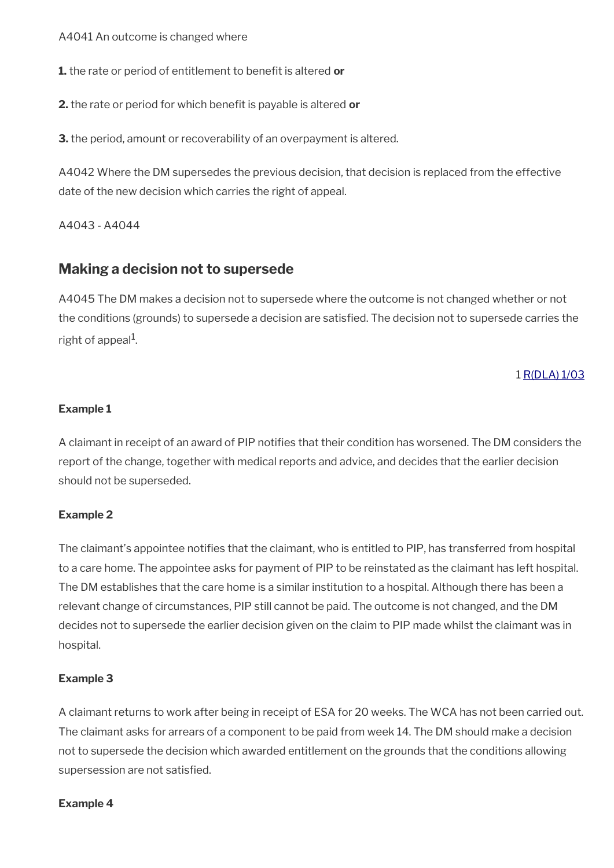A4041 An outcome is changed where

**1.** the rate or period of entitlement to beneft is altered **or**

**2.** the rate or period for which beneft is payable is altered **or**

**3.** the period, amount or recoverability of an overpayment is altered.

A4042 Where the DM supersedes the previous decision, that decision is replaced from the effective date of the new decision which carries the right of appeal.

A4043 - A4044

### <span id="page-8-0"></span>**Making a decision not to supersede**

A4045 The DM makes a decision not to supersede where the outcome is not changed whether or not the conditions (grounds) to supersede a decision are satisfed. The decision not to supersede carries the right of appeal $^{\rm 1}$ .

#### 1 [R\(DLA\) 1/03](http://intranet.dwp.gov.uk/manual/decision-benefit/rdla-1-03)

#### **Example 1**

A claimant in receipt of an award of PIP notifes that their condition has worsened. The DM considers the report of the change, together with medical reports and advice, and decides that the earlier decision should not be superseded.

#### **Example 2**

The claimant's appointee notifes that the claimant, who is entitled to PIP, has transferred from hospital to a care home. The appointee asks for payment of PIP to be reinstated as the claimant has left hospital. The DM establishes that the care home is a similar institution to a hospital. Although there has been a relevant change of circumstances, PIP still cannot be paid. The outcome is not changed, and the DM decides not to supersede the earlier decision given on the claim to PIP made whilst the claimant was in hospital.

#### **Example 3**

A claimant returns to work after being in receipt of ESA for 20 weeks. The WCA has not been carried out. The claimant asks for arrears of a component to be paid from week 14. The DM should make a decision not to supersede the decision which awarded entitlement on the grounds that the conditions allowing supersession are not satisfied.

#### **Example 4**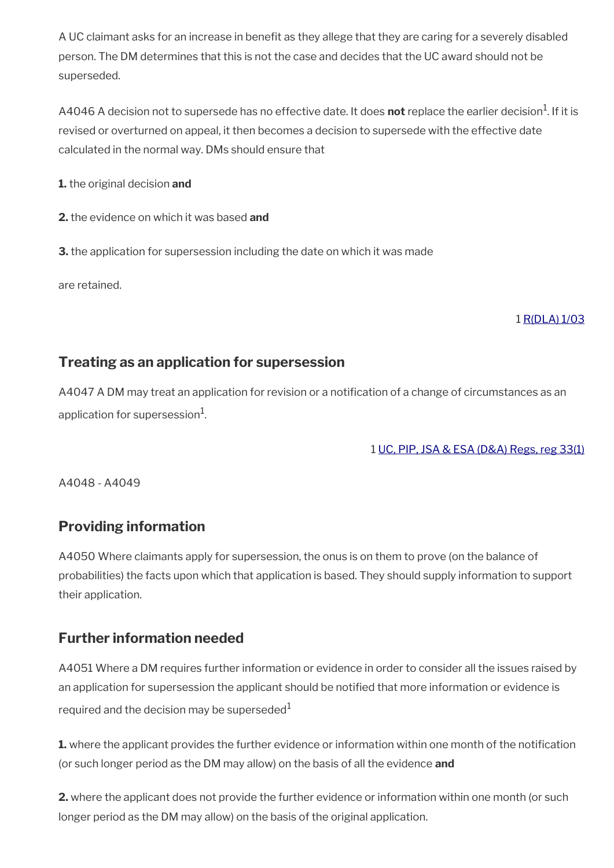A UC claimant asks for an increase in benefit as they allege that they are caring for a severely disabled person. The DM determines that this is not the case and decides that the UC award should not be superseded.

A4046 A decision not to supersede has no effective date. It does **not** replace the earlier decision<sup>1</sup>. If it is revised or overturned on appeal, it then becomes a decision to supersede with the effective date calculated in the normal way. DMs should ensure that

**1.** the original decision **and**

**2.** the evidence on which it was based **and**

**3.** the application for supersession including the date on which it was made

are retained.

#### 1 [R\(DLA\) 1/03](http://intranet.dwp.gov.uk/manual/decision-benefit/rdla-1-03)

### <span id="page-9-2"></span>**Treating as an application for supersession**

A4047 A DM may treat an application for revision or a notifcation of a change of circumstances as an application for supersession $^{\rm 1}$ .

1 [UC, PIP, JSA & ESA \(D&A\) Regs, reg 33\(1\)](http://www.legislation.gov.uk/uksi/2013/381/regulation/33)

A4048 - A4049

### <span id="page-9-1"></span>**Providing information**

A4050 Where claimants apply for supersession, the onus is on them to prove (on the balance of probabilities) the facts upon which that application is based. They should supply information to support their application.

### <span id="page-9-0"></span>**Further information needed**

A4051 Where a DM requires further information or evidence in order to consider all the issues raised by an application for supersession the applicant should be notified that more information or evidence is required and the decision may be superseded $1$ 

**1.** where the applicant provides the further evidence or information within one month of the notification (or such longer period as the DM may allow) on the basis of all the evidence **and**

**2.** where the applicant does not provide the further evidence or information within one month (or such longer period as the DM may allow) on the basis of the original application.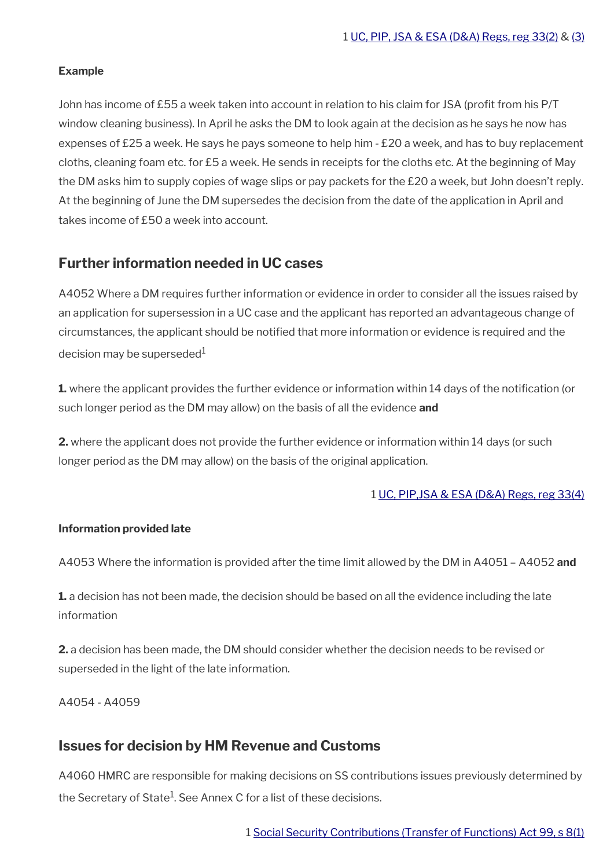#### **Example**

John has income of £55 a week taken into account in relation to his claim for JSA (profit from his P/T window cleaning business). In April he asks the DM to look again at the decision as he says he now has expenses of £25 a week. He says he pays someone to help him - £20 a week, and has to buy replacement cloths, cleaning foam etc. for £5 a week. He sends in receipts for the cloths etc. At the beginning of May the DM asks him to supply copies of wage slips or pay packets for the £20 a week, but John doesn't reply. At the beginning of June the DM supersedes the decision from the date of the application in April and takes income of £50 a week into account.

### <span id="page-10-1"></span>**Further information needed in UC cases**

A4052 Where a DM requires further information or evidence in order to consider all the issues raised by an application for supersession in a UC case and the applicant has reported an advantageous change of circumstances, the applicant should be notifed that more information or evidence is required and the decision may be superseded $1$ 

**1.** where the applicant provides the further evidence or information within 14 days of the notification (or such longer period as the DM may allow) on the basis of all the evidence **and**

**2.** where the applicant does not provide the further evidence or information within 14 days (or such longer period as the DM may allow) on the basis of the original application.

#### 1 [UC, PIP,JSA & ESA \(D&A\) Regs, reg 33\(4\)](http://www.legislation.gov.uk/uksi/2013/381/regulation/33)

#### **Information provided late**

A4053 Where the information is provided after the time limit allowed by the DM in A4051 – A4052 **and**

**1.** a decision has not been made, the decision should be based on all the evidence including the late information

**2.** a decision has been made, the DM should consider whether the decision needs to be revised or superseded in the light of the late information.

A4054 - A4059

#### <span id="page-10-0"></span>**Issues for decision by HM Revenue and Customs**

A4060 HMRC are responsible for making decisions on SS contributions issues previously determined by the Secretary of State<sup>1</sup>. See Annex C for a list of these decisions.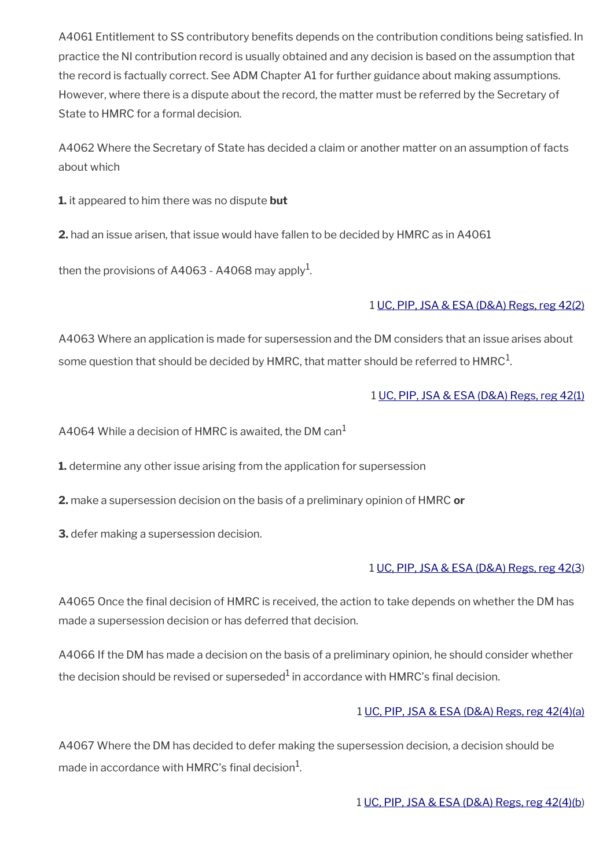A4061 Entitlement to SS contributory benefits depends on the contribution conditions being satisfied. In practice the NI contribution record is usually obtained and any decision is based on the assumption that the record is factually correct. See ADM Chapter A1 for further guidance about making assumptions. However, where there is a dispute about the record, the matter must be referred by the Secretary of State to HMRC for a formal decision.

A4062 Where the Secretary of State has decided a claim or another matter on an assumption of facts about which

**1.** it appeared to him there was no dispute **but**

**2.** had an issue arisen, that issue would have fallen to be decided by HMRC as in A4061

then the provisions of A4063 - A4068 may apply $^{\rm 1}$ .

#### 1 [UC, PIP, JSA & ESA \(D&A\) Regs, reg 42\(2\)](http://www.legislation.gov.uk/uksi/2013/381/regulation/42)

A4063 Where an application is made for supersession and the DM considers that an issue arises about some question that should be decided by HMRC, that matter should be referred to <code>HMRC $^{\rm 1}$ .</code>

#### 1 [UC, PIP, JSA & ESA \(D&A\) Regs, reg 42\(1\)](http://www.legislation.gov.uk/uksi/2013/381/regulation/42)

A4064 While a decision of HMRC is awaited, the DM can<sup>1</sup>

**1.** determine any other issue arising from the application for supersession

- **2.** make a supersession decision on the basis of a preliminary opinion of HMRC **or**
- **3.** defer making a supersession decision.

#### 1 [UC, PIP, JSA & ESA \(D&A\) Regs, reg 42\(3](http://www.legislation.gov.uk/uksi/2013/381/regulation/42))

A4065 Once the fnal decision of HMRC is received, the action to take depends on whether the DM has made a supersession decision or has deferred that decision.

A4066 If the DM has made a decision on the basis of a preliminary opinion, he should consider whether the decision should be revised or superseded $^1$  in accordance with <code>HMRC's</code> final decision.

#### 1 [UC, PIP, JSA & ESA \(D&A\) Regs, reg 42\(4\)\(a\)](http://www.legislation.gov.uk/uksi/2013/381/regulation/42)

A4067 Where the DM has decided to defer making the supersession decision, a decision should be made in accordance with <code>HMRC's</code> final decision $^{\mathrm{1}}$ .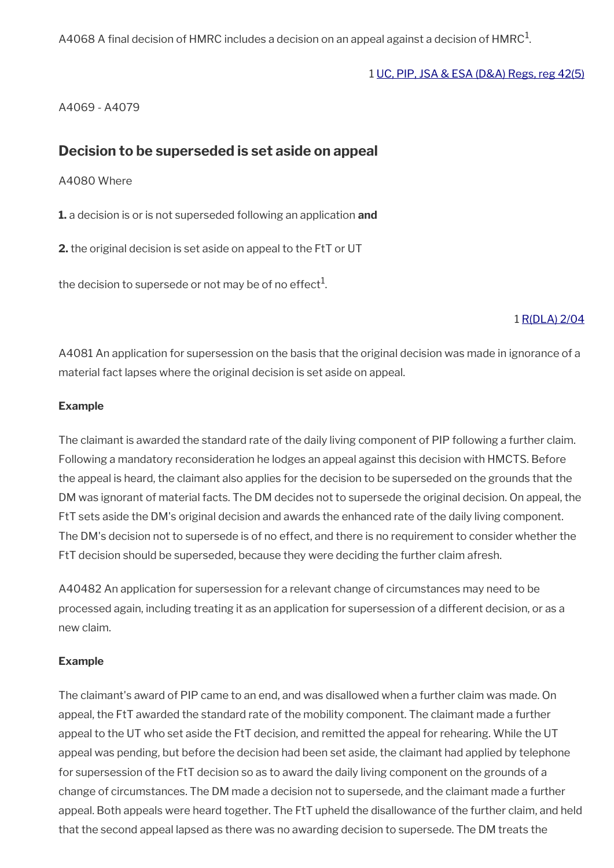<code>A4068</code> A final decision of <code>HMRC</code> includes a decision on an appeal against a decision of <code>HMRC $^{\rm 1}$ .</code>

#### 1 [UC, PIP, JSA & ESA \(D&A\) Regs, reg 42\(5\)](http://www.legislation.gov.uk/uksi/2013/381/regulation/42)

A4069 - A4079

#### <span id="page-12-0"></span>**Decision to be superseded is set aside on appeal**

A4080 Where

**1.** a decision is or is not superseded following an application **and**

**2.** the original decision is set aside on appeal to the FtT or UT

the decision to supersede or not may be of no effect $^1$ .

#### 1 [R\(DLA\) 2/04](http://intranet.dwp.gov.uk/manual/decision-benefit/rdla-2-04)

A4081 An application for supersession on the basis that the original decision was made in ignorance of a material fact lapses where the original decision is set aside on appeal.

#### **Example**

The claimant is awarded the standard rate of the daily living component of PIP following a further claim. Following a mandatory reconsideration he lodges an appeal against this decision with HMCTS. Before the appeal is heard, the claimant also applies for the decision to be superseded on the grounds that the DM was ignorant of material facts. The DM decides not to supersede the original decision. On appeal, the FtT sets aside the DM's original decision and awards the enhanced rate of the daily living component. The DM's decision not to supersede is of no effect, and there is no requirement to consider whether the FtT decision should be superseded, because they were deciding the further claim afresh.

A40482 An application for supersession for a relevant change of circumstances may need to be processed again, including treating it as an application for supersession of a different decision, or as a new claim.

#### **Example**

The claimant's award of PIP came to an end, and was disallowed when a further claim was made. On appeal, the FtT awarded the standard rate of the mobility component. The claimant made a further appeal to the UT who set aside the FtT decision, and remitted the appeal for rehearing. While the UT appeal was pending, but before the decision had been set aside, the claimant had applied by telephone for supersession of the FtT decision so as to award the daily living component on the grounds of a change of circumstances. The DM made a decision not to supersede, and the claimant made a further appeal. Both appeals were heard together. The FtT upheld the disallowance of the further claim, and held that the second appeal lapsed as there was no awarding decision to supersede. The DM treats the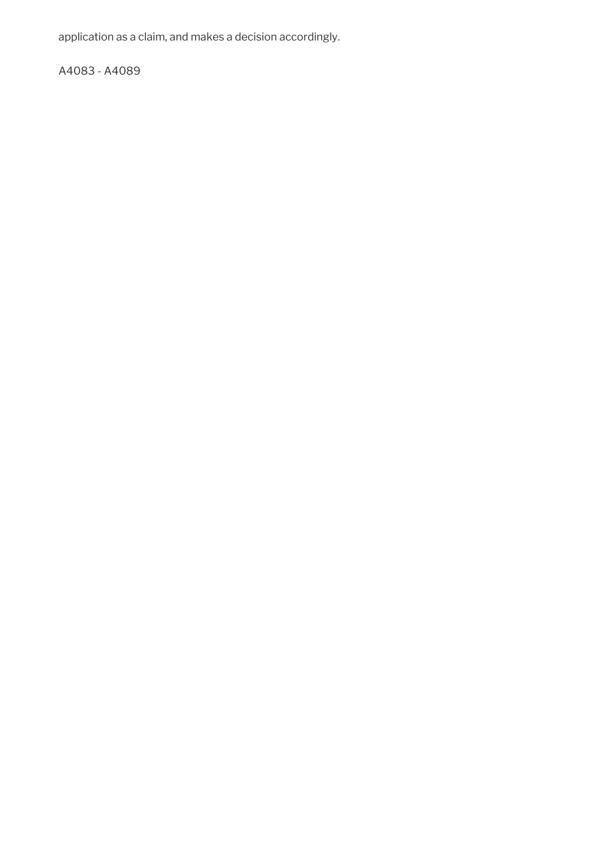application as a claim, and makes a decision accordingly.

A4083 - A4089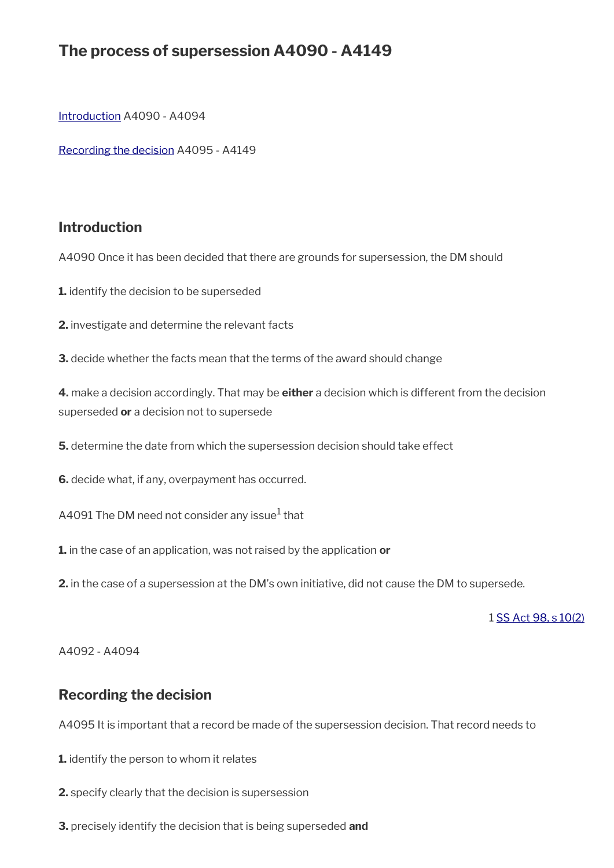# **The process of supersession A4090 - A4149**

[Introduction](#page-6-1) A4090 - A4094

[Recording the decision](#page-14-0) A4095 - A4149

#### **Introduction**

A4090 Once it has been decided that there are grounds for supersession, the DM should

**1.** identify the decision to be superseded

**2.** investigate and determine the relevant facts

**3.** decide whether the facts mean that the terms of the award should change

**4.** make a decision accordingly. That may be **either** a decision which is different from the decision superseded **or** a decision not to supersede

**5.** determine the date from which the supersession decision should take effect

**6.** decide what, if any, overpayment has occurred.

<code>A4091</code> The DM need not consider any issue $^{\rm 1}$  that

**1.** in the case of an application, was not raised by the application **or**

**2.** in the case of a supersession at the DM's own initiative, did not cause the DM to supersede.

1 [SS Act 98, s 10\(2\)](http://www.legislation.gov.uk/ukpga/1998/14/contents)

A4092 - A4094

#### <span id="page-14-0"></span>**Recording the decision**

A4095 It is important that a record be made of the supersession decision. That record needs to

- **1.** identify the person to whom it relates
- **2.** specify clearly that the decision is supersession
- **3.** precisely identify the decision that is being superseded **and**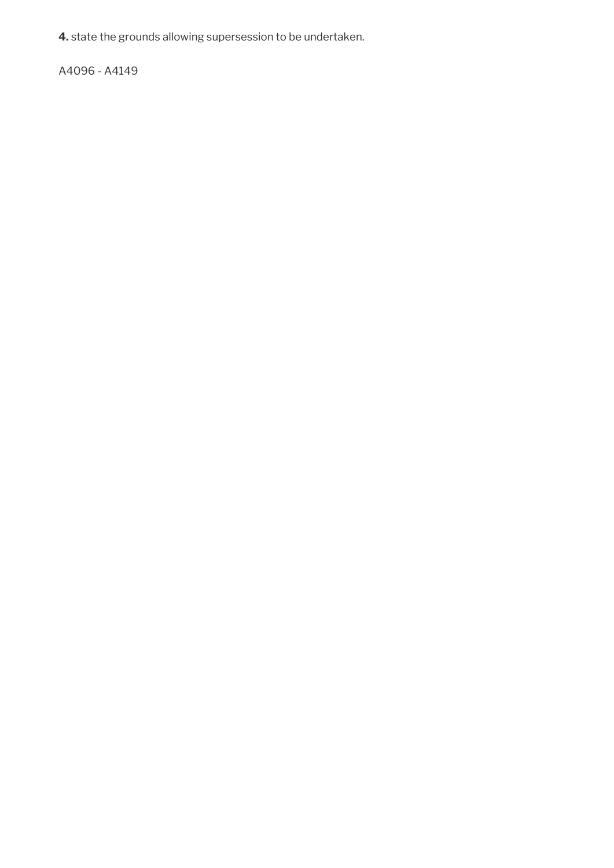**4.** state the grounds allowing supersession to be undertaken.

A4096 - A4149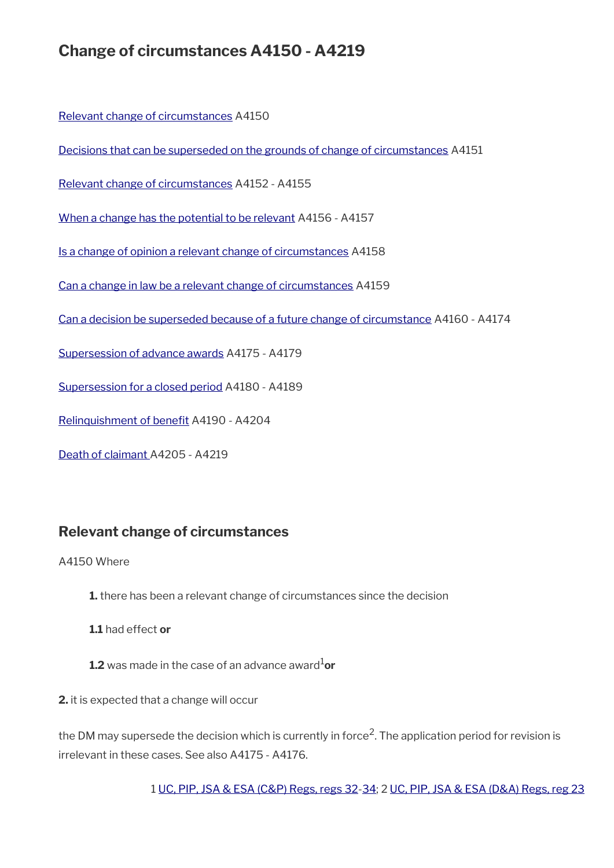# **Change of circumstances A4150 - A4219**

[Relevant change of circumstances](#page-16-0) A4150

[Decisions that can be superseded on the grounds of change of circumstances](#page-17-0) A4151

[Relevant change of circumstances](#page-16-0) A4152 - A4155

[When a change has the potential to be relevant](#page-18-1) A4156 - A4157

[Is a change of opinion a relevant change of circumstances](#page-18-0) A4158

[Can a change in law be a relevant change of circumstances](#page-19-1) A4159

[Can a decision be superseded because of a future change of circumstance](#page-19-0) A4160 - A4174

[Supersession of advance awards](#page-20-1) A4175 - A4179

[Supersession for a closed period](#page-20-0) A4180 - A4189

Relinquishment of benefit A4190 - A4204

[Death of claimant](#page-23-0) A4205 - A4219

### <span id="page-16-0"></span>**Relevant change of circumstances**

A4150 Where

- **1.** there has been a relevant change of circumstances since the decision
- **1.1** had effect **or**
- **1.2** was made in the case of an advance award $^{1}$ or

**2.** it is expected that a change will occur

the DM may supersede the decision which is currently in force<sup>2</sup>. The application period for revision is irrelevant in these cases. See also A4175 - A4176.

1 [UC, PIP, JSA & ESA \(C&P\) Regs, regs 32](http://www.legislation.gov.uk/uksi/2013/380/regulation/32)[-34;](http://www.legislation.gov.uk/uksi/2013/380/regulation/34) 2 [UC, PIP, JSA & ESA \(D&A\) Regs, reg 23](http://www.legislation.gov.uk/uksi/2013/381/regulation/23)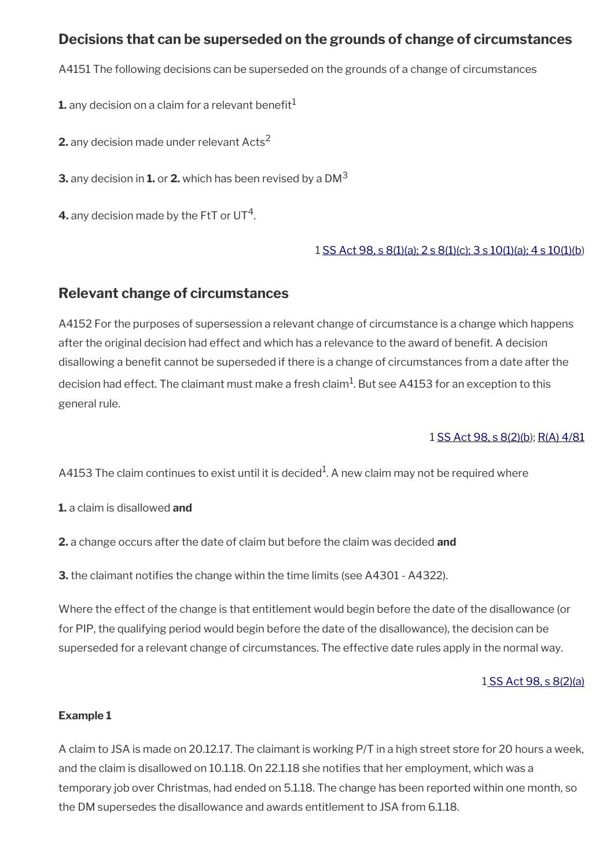### <span id="page-17-0"></span>**Decisions that can be superseded on the grounds of change of circumstances**

A4151 The following decisions can be superseded on the grounds of a change of circumstances

**1.** any decision on a claim for a relevant benefit $<sup>1</sup>$ </sup>

**2.** any decision made under relevant Acts<sup>2</sup>

**3.** any decision in **1.** or **2.** which has been revised by a DM<sup>3</sup>

**4.** any decision made by the FtT or UT<sup>4</sup>.

#### 1 [SS Act 98, s 8\(1\)\(a\); 2 s 8\(1\)\(c\); 3 s 10\(1\)\(a\); 4 s 10\(1\)\(b](http://www.legislation.gov.uk/ukpga/1998/14/contents))

### **Relevant change of circumstances**

A4152 For the purposes of supersession a relevant change of circumstance is a change which happens after the original decision had effect and which has a relevance to the award of beneft. A decision disallowing a benefit cannot be superseded if there is a change of circumstances from a date after the decision had effect. The claimant must make a fresh claim $^{\rm 1}$ . But see A4153 for an exception to this general rule.

#### 1 [SS Act 98, s 8\(2\)\(b](http://www.legislation.gov.uk/ukpga/1998/14/contents)); [R\(A\) 4/81](../file/873149/download/R%2528A%2529%25204%252F81.pdf)

A4153 The claim continues to exist until it is decided $^1$ . A new claim may not be required where

**1.** a claim is disallowed **and**

**2.** a change occurs after the date of claim but before the claim was decided **and**

**3.** the claimant notifies the change within the time limits (see A4301 - A4322).

Where the effect of the change is that entitlement would begin before the date of the disallowance (or for PIP, the qualifying period would begin before the date of the disallowance), the decision can be superseded for a relevant change of circumstances. The effective date rules apply in the normal way.

#### [1 SS Act 98, s 8\(2\)\(a\)](http://www.legislation.gov.uk/ukpga/1998/14/contents)

#### **Example 1**

A claim to JSA is made on 20.12.17. The claimant is working P/T in a high street store for 20 hours a week, and the claim is disallowed on 10.1.18. On 22.1.18 she notifes that her employment, which was a temporary job over Christmas, had ended on 5.1.18. The change has been reported within one month, so the DM supersedes the disallowance and awards entitlement to JSA from 6.1.18.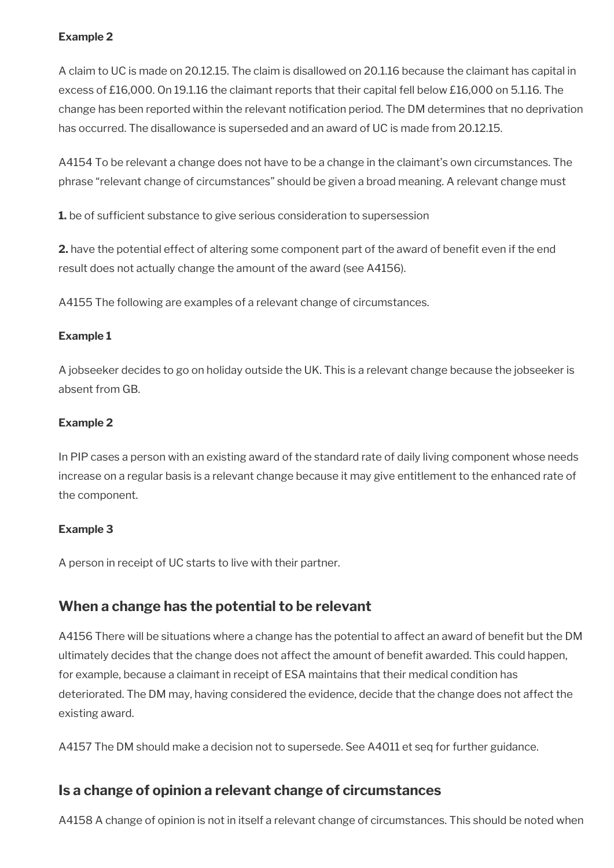#### **Example 2**

A claim to UC is made on 20.12.15. The claim is disallowed on 20.1.16 because the claimant has capital in excess of £16,000. On 19.1.16 the claimant reports that their capital fell below £16,000 on 5.1.16. The change has been reported within the relevant notification period. The DM determines that no deprivation has occurred. The disallowance is superseded and an award of UC is made from 20.12.15.

A4154 To be relevant a change does not have to be a change in the claimant's own circumstances. The phrase "relevant change of circumstances" should be given a broad meaning. A relevant change must

**1.** be of sufficient substance to give serious consideration to supersession

**2.** have the potential effect of altering some component part of the award of benefit even if the end result does not actually change the amount of the award (see A4156).

A4155 The following are examples of a relevant change of circumstances.

#### **Example 1**

A jobseeker decides to go on holiday outside the UK. This is a relevant change because the jobseeker is absent from GB.

#### **Example 2**

In PIP cases a person with an existing award of the standard rate of daily living component whose needs increase on a regular basis is a relevant change because it may give entitlement to the enhanced rate of the component.

#### **Example 3**

A person in receipt of UC starts to live with their partner.

### <span id="page-18-1"></span>**When a change has the potential to be relevant**

A4156 There will be situations where a change has the potential to affect an award of benefit but the DM ultimately decides that the change does not affect the amount of benefit awarded. This could happen, for example, because a claimant in receipt of ESA maintains that their medical condition has deteriorated. The DM may, having considered the evidence, decide that the change does not affect the existing award.

A4157 The DM should make a decision not to supersede. See A4011 et seq for further guidance.

### <span id="page-18-0"></span>**Is a change of opinion a relevant change of circumstances**

A4158 A change of opinion is not in itself a relevant change of circumstances. This should be noted when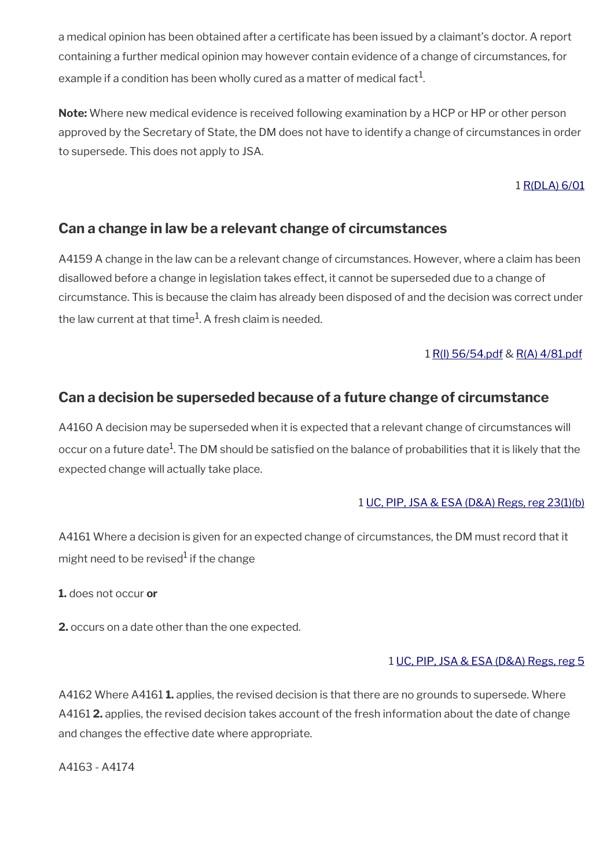a medical opinion has been obtained after a certificate has been issued by a claimant's doctor. A report containing a further medical opinion may however contain evidence of a change of circumstances, for example if a condition has been wholly cured as a matter of medical fact $^1$ .

**Note:** Where new medical evidence is received following examination by a HCP or HP or other person approved by the Secretary of State, the DM does not have to identify a change of circumstances in order to supersede. This does not apply to JSA.

#### 1 [R\(DLA\) 6/01](http://intranet.dwp.gov.uk/manual/decision-benefit/rdla-6-01)

### <span id="page-19-1"></span>**Can a change in law be a relevant change of circumstances**

A4159 A change in the law can be a relevant change of circumstances. However, where a claim has been disallowed before a change in legislation takes effect, it cannot be superseded due to a change of circumstance. This is because the claim has already been disposed of and the decision was correct under the law current at that time $^{\rm 1}$ . A fresh claim is needed.

#### 1 [R\(I\) 56/54.pdf](../file/873154/download/R%2528I%2529%252056%252F54.pdf) & [R\(A\) 4/81.pdf](../file/873151/download/R%2528A%2529%25204%252F81.pdf)

### <span id="page-19-0"></span>**Can a decision be superseded because of a future change of circumstance**

A4160 A decision may be superseded when it is expected that a relevant change of circumstances will occur on a future date $^1$ . The DM should be satisfied on the balance of probabilities that it is likely that the expected change will actually take place.

#### 1 [UC, PIP, JSA & ESA \(D&A\) Regs, reg 23\(1\)\(b\)](http://www.legislation.gov.uk/uksi/2013/381/regulation/23)

A4161 Where a decision is given for an expected change of circumstances, the DM must record that it might need to be revised $^1$  if the change

**1.** does not occur **or**

**2.** occurs on a date other than the one expected.

#### 1 [UC, PIP, JSA & ESA \(D&A\) Regs, reg 5](http://www.legislation.gov.uk/uksi/2013/381/regulation/5)

A4162 Where A4161 **1.** applies, the revised decision is that there are no grounds to supersede. Where A4161 **2.** applies, the revised decision takes account of the fresh information about the date of change and changes the effective date where appropriate.

A4163 - A4174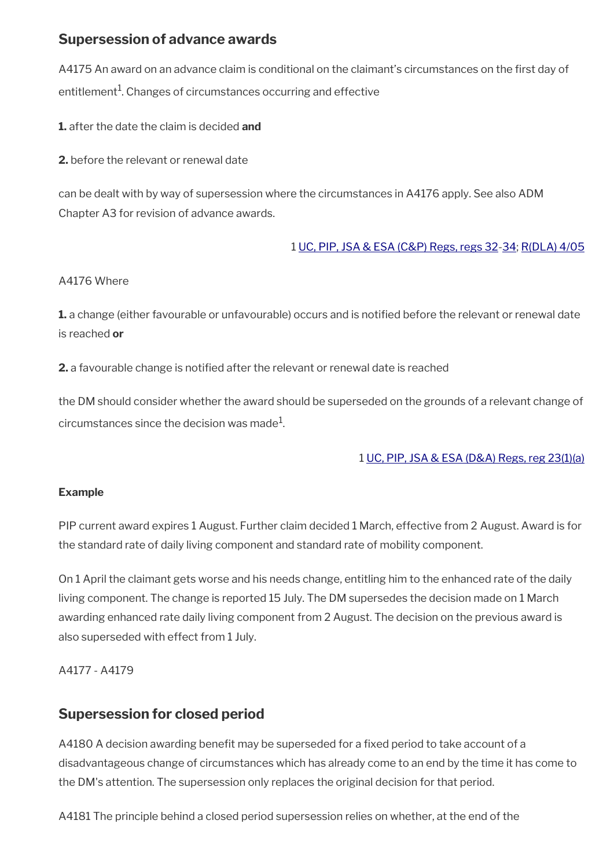### <span id="page-20-1"></span>**Supersession of advance awards**

A4175 An award on an advance claim is conditional on the claimant's circumstances on the first day of entitlement $^{\rm 1}$ . Changes of circumstances occurring and effective

**1.** after the date the claim is decided **and**

**2.** before the relevant or renewal date

can be dealt with by way of supersession where the circumstances in A4176 apply. See also ADM Chapter A3 for revision of advance awards.

#### 1 [UC, PIP, JSA & ESA \(C&P\) Regs, regs 32](http://www.legislation.gov.uk/uksi/2013/380/regulation/32)[-34;](http://www.legislation.gov.uk/uksi/2013/380/regulation/34) [R\(DLA\) 4/05](http://intranet.dwp.gov.uk/manual/decision-benefit/rdla-4-05)

#### A4176 Where

**1.** a change (either favourable or unfavourable) occurs and is notifed before the relevant or renewal date is reached **or**

**2.** a favourable change is notifed after the relevant or renewal date is reached

the DM should consider whether the award should be superseded on the grounds of a relevant change of circumstances since the decision was made $^1\!\!$ 

#### 1 [UC, PIP, JSA & ESA \(D&A\) Regs, reg 23\(1\)\(a\)](http://www.legislation.gov.uk/uksi/2013/381/regulation/23)

#### **Example**

PIP current award expires 1 August. Further claim decided 1 March, effective from 2 August. Award is for the standard rate of daily living component and standard rate of mobility component.

On 1 April the claimant gets worse and his needs change, entitling him to the enhanced rate of the daily living component. The change is reported 15 July. The DM supersedes the decision made on 1 March awarding enhanced rate daily living component from 2 August. The decision on the previous award is also superseded with effect from 1 July.

#### A4177 - A4179

### <span id="page-20-0"></span>**Supersession for closed period**

A4180 A decision awarding benefit may be superseded for a fixed period to take account of a disadvantageous change of circumstances which has already come to an end by the time it has come to the DM's attention. The supersession only replaces the original decision for that period.

A4181 The principle behind a closed period supersession relies on whether, at the end of the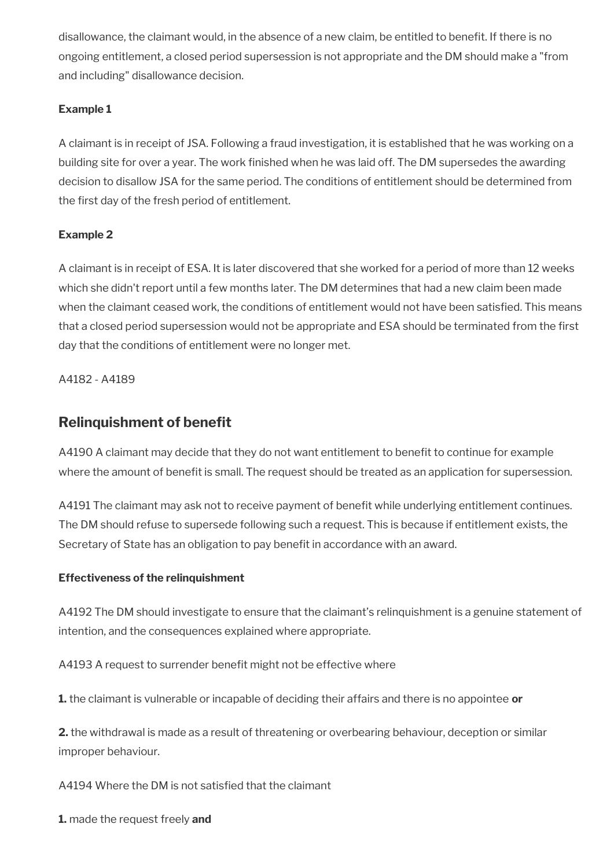disallowance, the claimant would, in the absence of a new claim, be entitled to beneft. If there is no ongoing entitlement, a closed period supersession is not appropriate and the DM should make a "from and including" disallowance decision.

#### **Example 1**

A claimant is in receipt of JSA. Following a fraud investigation, it is established that he was working on a building site for over a year. The work finished when he was laid off. The DM supersedes the awarding decision to disallow JSA for the same period. The conditions of entitlement should be determined from the first day of the fresh period of entitlement.

#### **Example 2**

A claimant is in receipt of ESA. It is later discovered that she worked for a period of more than 12 weeks which she didn't report until a few months later. The DM determines that had a new claim been made when the claimant ceased work, the conditions of entitlement would not have been satisfed. This means that a closed period supersession would not be appropriate and ESA should be terminated from the frst day that the conditions of entitlement were no longer met.

A4182 - A4189

### <span id="page-21-0"></span>**Relinquishment of benefit**

A4190 A claimant may decide that they do not want entitlement to benefit to continue for example where the amount of benefit is small. The request should be treated as an application for supersession.

A4191 The claimant may ask not to receive payment of benefit while underlying entitlement continues. The DM should refuse to supersede following such a request. This is because if entitlement exists, the Secretary of State has an obligation to pay benefit in accordance with an award.

#### **Effectiveness of the relinquishment**

A4192 The DM should investigate to ensure that the claimant's relinquishment is a genuine statement of intention, and the consequences explained where appropriate.

A4193 A request to surrender benefit might not be effective where

**1.** the claimant is vulnerable or incapable of deciding their affairs and there is no appointee **or**

**2.** the withdrawal is made as a result of threatening or overbearing behaviour, deception or similar improper behaviour.

A4194 Where the DM is not satisfed that the claimant

**1.** made the request freely **and**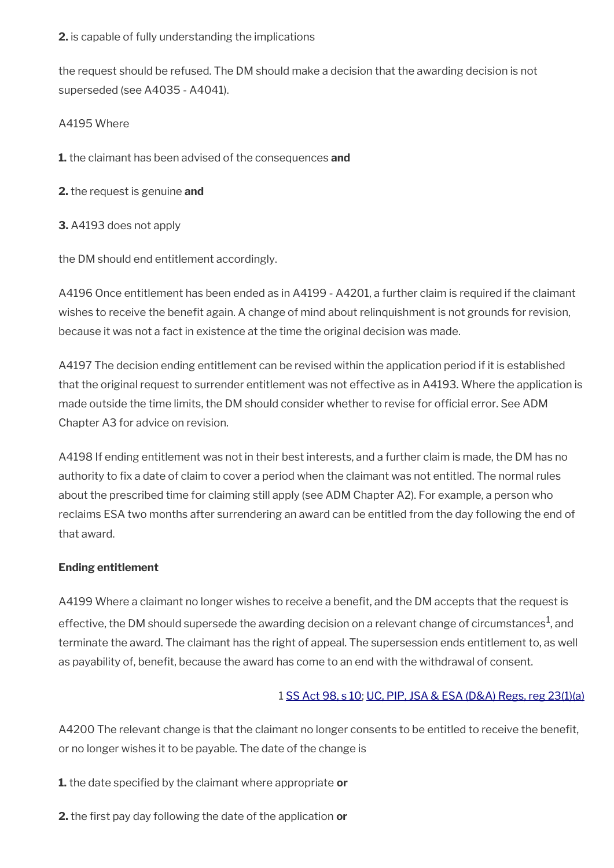#### **2.** is capable of fully understanding the implications

the request should be refused. The DM should make a decision that the awarding decision is not superseded (see A4035 - A4041).

#### A4195 Where

**1.** the claimant has been advised of the consequences **and**

- **2.** the request is genuine **and**
- **3.** A4193 does not apply

the DM should end entitlement accordingly.

A4196 Once entitlement has been ended as in A4199 - A4201, a further claim is required if the claimant wishes to receive the benefit again. A change of mind about relinquishment is not grounds for revision, because it was not a fact in existence at the time the original decision was made.

A4197 The decision ending entitlement can be revised within the application period if it is established that the original request to surrender entitlement was not effective as in A4193. Where the application is made outside the time limits, the DM should consider whether to revise for official error. See ADM Chapter A3 for advice on revision.

A4198 If ending entitlement was not in their best interests, and a further claim is made, the DM has no authority to fix a date of claim to cover a period when the claimant was not entitled. The normal rules about the prescribed time for claiming still apply (see ADM Chapter A2). For example, a person who reclaims ESA two months after surrendering an award can be entitled from the day following the end of that award.

#### **Ending entitlement**

A4199 Where a claimant no longer wishes to receive a benefit, and the DM accepts that the request is effective, the DM should supersede the awarding decision on a relevant change of circumstances $^{\rm 1}$ , and terminate the award. The claimant has the right of appeal. The supersession ends entitlement to, as well as payability of, benefit, because the award has come to an end with the withdrawal of consent.

#### 1 [SS Act 98, s 10;](http://www.legislation.gov.uk/ukpga/1998/14/contents) [UC, PIP, JSA & ESA \(D&A\) Regs, reg 23\(1\)\(a\)](http://www.legislation.gov.uk/uksi/2013/381/regulation/23)

A4200 The relevant change is that the claimant no longer consents to be entitled to receive the beneft, or no longer wishes it to be payable. The date of the change is

**1.** the date specifed by the claimant where appropriate **or**

**2.** the frst pay day following the date of the application **or**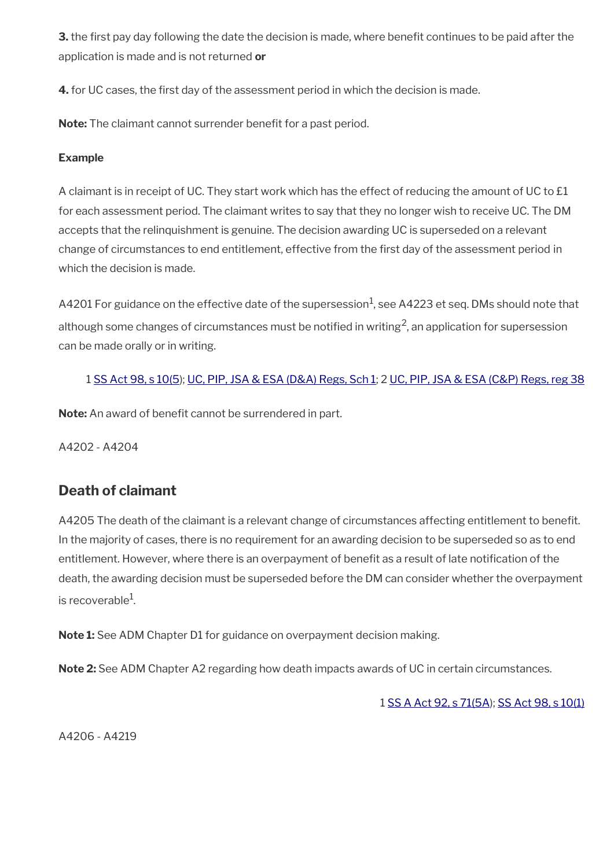**3.** the first pay day following the date the decision is made, where benefit continues to be paid after the application is made and is not returned **or**

**4.** for UC cases, the first day of the assessment period in which the decision is made.

Note: The claimant cannot surrender benefit for a past period.

#### **Example**

A claimant is in receipt of UC. They start work which has the effect of reducing the amount of UC to £1 for each assessment period. The claimant writes to say that they no longer wish to receive UC. The DM accepts that the relinquishment is genuine. The decision awarding UC is superseded on a relevant change of circumstances to end entitlement, effective from the frst day of the assessment period in which the decision is made.

<code>A4201</code> For guidance on the effective date of the supersession $^1$ , see <code>A4223</code> et seq. DMs should note that although some changes of circumstances must be notified in writing<sup>2</sup>, an application for supersession can be made orally or in writing.

#### 1 [SS Act 98, s 10\(5](http://www.legislation.gov.uk/ukpga/1998/14/contents)); [UC, PIP, JSA & ESA \(D&A\) Regs, Sch 1;](http://www.legislation.gov.uk/uksi/2013/381/schedule/1) 2 [UC, PIP, JSA & ESA \(C&P\) Regs, reg 38](http://www.legislation.gov.uk/uksi/2013/380/regulation/38)

**Note:** An award of benefit cannot be surrendered in part.

A4202 - A4204

### <span id="page-23-0"></span>**Death of claimant**

A4205 The death of the claimant is a relevant change of circumstances affecting entitlement to beneft. In the majority of cases, there is no requirement for an awarding decision to be superseded so as to end entitlement. However, where there is an overpayment of benefit as a result of late notification of the death, the awarding decision must be superseded before the DM can consider whether the overpayment is recoverable $^{\rm 1}$ .

**Note 1:** See ADM Chapter D1 for guidance on overpayment decision making.

**Note 2:** See ADM Chapter A2 regarding how death impacts awards of UC in certain circumstances.

1 [SS A Act 92, s 71\(5A](http://www.legislation.gov.uk/ukpga/1992/5/contents)); [SS Act 98, s 10\(1\)](http://www.legislation.gov.uk/ukpga/1998/14/contents)

A4206 - A4219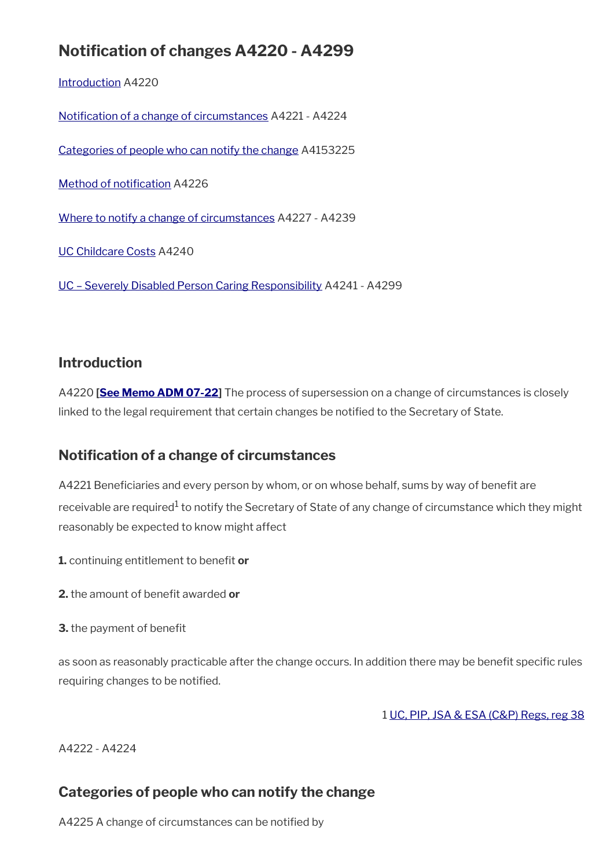# **Notifcation of changes A4220 - A4299**

[Introduction](#page-6-1) A4220

[Notifcation of a change of circumstances](#page-24-1) A4221 - A4224

[Categories of people who can notify the change](#page-24-0) A4153225

Method of notification A4226

[Where to notify a change of circumstances](#page-25-0) A4227 - A4239

[UC Childcare Costs](#page-26-1) A4240

[UC – Severely Disabled Person Caring Responsibility](#page-26-0) A4241 - A4299

### **Introduction**

A4220 **[\[See Memo ADM 07-22](https://intranet.dwp.gov.uk/manual/advice-decision-making-adm/07-22-adult-disability-payment-uc-esa-ns-jsa-ns)]** The process of supersession on a change of circumstances is closely linked to the legal requirement that certain changes be notified to the Secretary of State.

### <span id="page-24-1"></span>**Notifcation of a change of circumstances**

A4221 Beneficiaries and every person by whom, or on whose behalf, sums by way of benefit are receivable are required $^1$  to notify the Secretary of State of any change of circumstance which they might reasonably be expected to know might affect

- **1.** continuing entitlement to benefit or
- **2.** the amount of benefit awarded or
- **3.** the payment of benefit

as soon as reasonably practicable after the change occurs. In addition there may be benefit specific rules requiring changes to be notified.

1 [UC, PIP, JSA & ESA \(C&P\) Regs, reg 38](http://www.legislation.gov.uk/uksi/2013/380/regulation/38)

A4222 - A4224

# <span id="page-24-0"></span>**Categories of people who can notify the change**

A4225 A change of circumstances can be notified by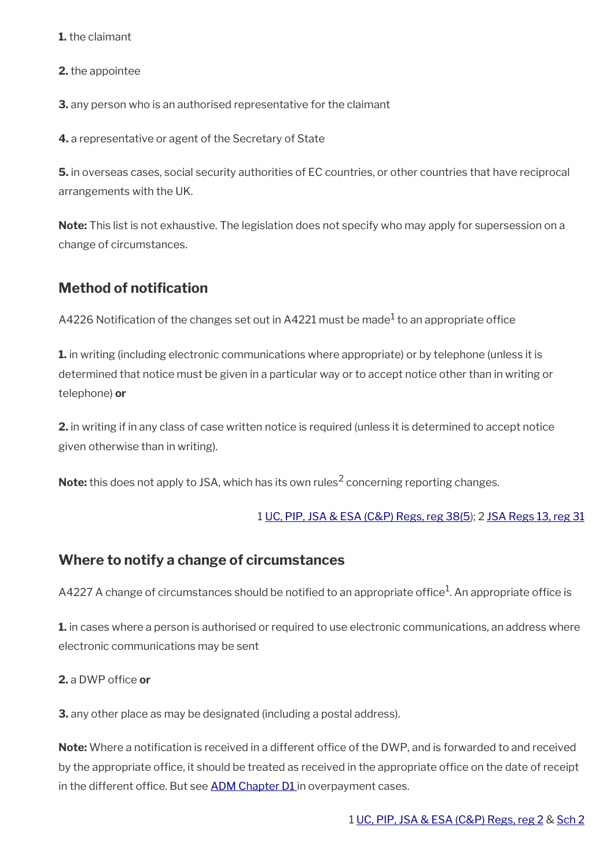**1.** the claimant

**2.** the appointee

**3.** any person who is an authorised representative for the claimant

**4.** a representative or agent of the Secretary of State

**5.** in overseas cases, social security authorities of EC countries, or other countries that have reciprocal arrangements with the UK.

**Note:** This list is not exhaustive. The legislation does not specify who may apply for supersession on a change of circumstances.

### <span id="page-25-1"></span>**Method of notifcation**

A4226 Notification of the changes set out in A4221 must be made $^1$  to an appropriate office

**1.** in writing (including electronic communications where appropriate) or by telephone (unless it is determined that notice must be given in a particular way or to accept notice other than in writing or telephone) **or**

**2.** in writing if in any class of case written notice is required (unless it is determined to accept notice given otherwise than in writing).

**Note:** this does not apply to JSA, which has its own rules<sup>2</sup> concerning reporting changes.

#### 1 [UC, PIP, JSA & ESA \(C&P\) Regs, reg 38\(5](http://www.legislation.gov.uk/uksi/2013/380/regulation/38)); 2 [JSA Regs 13, reg 31](http://www.legislation.gov.uk/uksi/2013/378/regulation/31)

#### <span id="page-25-0"></span>**Where to notify a change of circumstances**

A4227 A change of circumstances should be notified to an appropriate office $^{\rm 1}$ . An appropriate office is

**1.** in cases where a person is authorised or required to use electronic communications, an address where electronic communications may be sent

#### **2.** a DWP office or

**3.** any other place as may be designated (including a postal address).

**Note:** Where a notification is received in a different office of the DWP, and is forwarded to and received by the appropriate office, it should be treated as received in the appropriate office on the date of receipt in the different office. But see [ADM Chapter D1](http://intranet.dwp.gov.uk/manual/advice-decision-making-adm/adm-chapter-d1-overpayments-recoverability-adjustments-civil-penalties-and-recoupment-%E2%80%93-uc-jsa) in overpayment cases.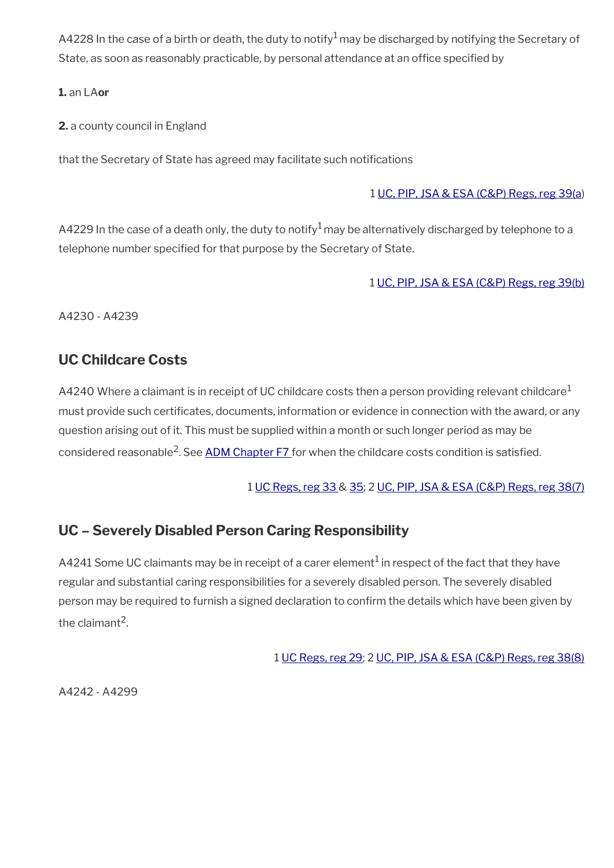A4228 In the case of a birth or death, the duty to notify<sup>1</sup> may be discharged by notifying the Secretary of State, as soon as reasonably practicable, by personal attendance at an office specified by

#### **1.** an LA**or**

**2.** a county council in England

that the Secretary of State has agreed may facilitate such notifications

#### 1 [UC, PIP, JSA & ESA \(C&P\) Regs, reg 39\(a](http://www.legislation.gov.uk/uksi/2013/380/regulation/39))

A4229 In the case of a death only, the duty to notify<sup>1</sup> may be alternatively discharged by telephone to a telephone number specifed for that purpose by the Secretary of State.

#### 1 [UC, PIP, JSA & ESA \(C&P\) Regs, reg 39\(b\)](http://www.legislation.gov.uk/uksi/2013/380/regulation/39)

A4230 - A4239

### <span id="page-26-1"></span>**UC Childcare Costs**

A4240 Where a claimant is in receipt of UC childcare costs then a person providing relevant childcare<sup>1</sup> must provide such certifcates, documents, information or evidence in connection with the award, or any question arising out of it. This must be supplied within a month or such longer period as may be considered reasonable<sup>2</sup>. See <u>ADM Chapter F7</u> for when the childcare costs condition is satisfied.

#### 1 [UC Regs, reg 33](http://www.legislation.gov.uk/uksi/2013/376/regulation/33) & [35](http://www.legislation.gov.uk/uksi/2013/376/regulation/35); 2 [UC, PIP, JSA & ESA \(C&P\) Regs, reg 38\(7\)](http://www.legislation.gov.uk/uksi/2013/380/regulation/38)

### <span id="page-26-0"></span>**UC – Severely Disabled Person Caring Responsibility**

A4241 Some UC claimants may be in receipt of a carer element $^1$  in respect of the fact that they have regular and substantial caring responsibilities for a severely disabled person. The severely disabled person may be required to furnish a signed declaration to confrm the details which have been given by the claimant<sup>2</sup>.

1 [UC Regs, reg 29;](http://www.legislation.gov.uk/uksi/2013/376/regulation/29) 2 [UC, PIP, JSA & ESA \(C&P\) Regs, reg 38\(8\)](http://www.legislation.gov.uk/uksi/2013/380/regulation/38)

A4242 - A4299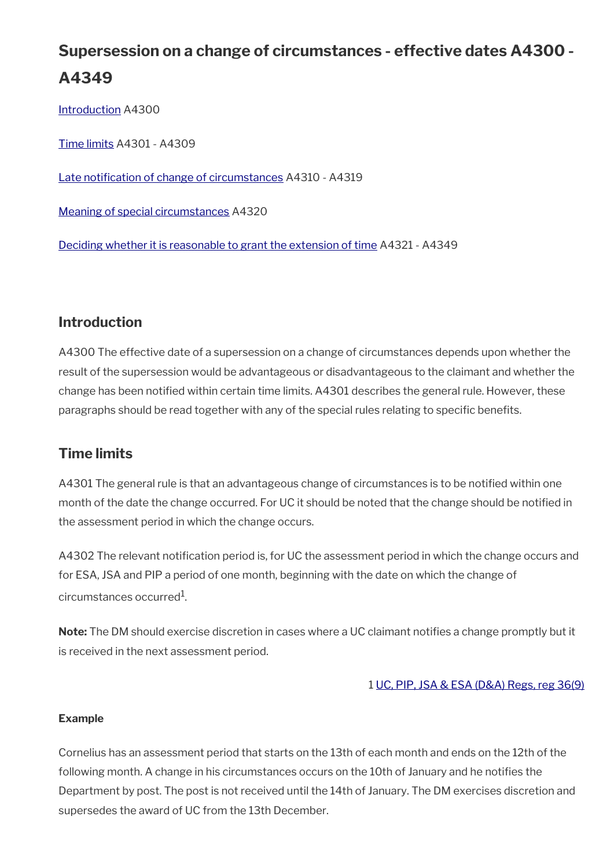# **Supersession on a change of circumstances - effective dates A4300 - A4349**

[Introduction](#page-6-1) A4300

[Time limits](#page-27-0) A4301 - A4309

[Late notifcation of change of circumstances](#page-28-0) A4310 - A4319

[Meaning of special circumstances](#page-29-1) A4320

[Deciding whether it is reasonable to grant the extension of time](#page-29-0) A4321 - A4349

### **Introduction**

A4300 The effective date of a supersession on a change of circumstances depends upon whether the result of the supersession would be advantageous or disadvantageous to the claimant and whether the change has been notifed within certain time limits. A4301 describes the general rule. However, these paragraphs should be read together with any of the special rules relating to specifc benefts.

### <span id="page-27-0"></span>**Time limits**

A4301 The general rule is that an advantageous change of circumstances is to be notifed within one month of the date the change occurred. For UC it should be noted that the change should be notifed in the assessment period in which the change occurs.

A4302 The relevant notification period is, for UC the assessment period in which the change occurs and for ESA, JSA and PIP a period of one month, beginning with the date on which the change of circumstances occurred $^{\rm 1}$ .

**Note:** The DM should exercise discretion in cases where a UC claimant notifes a change promptly but it is received in the next assessment period.

#### 1 [UC, PIP, JSA & ESA \(D&A\) Regs, reg 36\(9\)](http://www.legislation.gov.uk/uksi/2013/381/regulation/36)

#### **Example**

Cornelius has an assessment period that starts on the 13th of each month and ends on the 12th of the following month. A change in his circumstances occurs on the 10th of January and he notifes the Department by post. The post is not received until the 14th of January. The DM exercises discretion and supersedes the award of UC from the 13th December.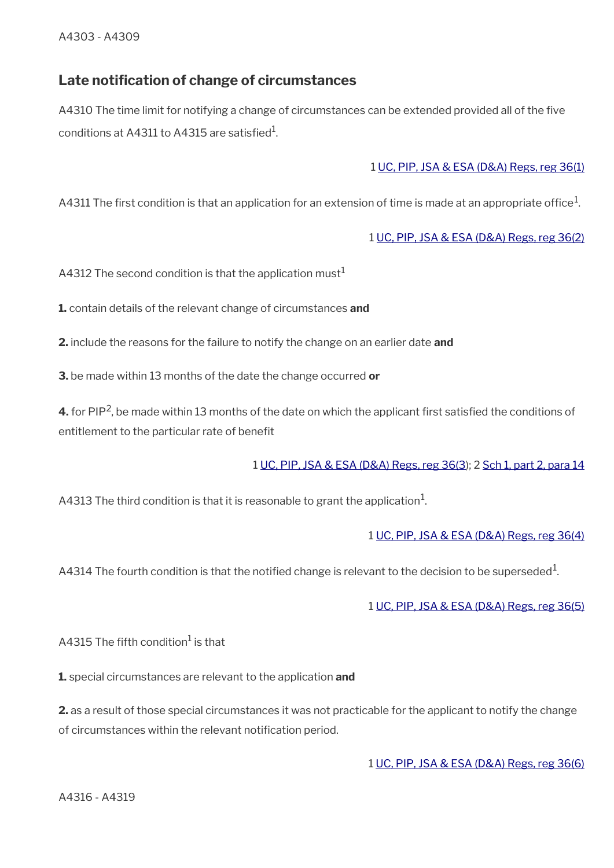### <span id="page-28-0"></span>**Late notifcation of change of circumstances**

A4310 The time limit for notifying a change of circumstances can be extended provided all of the five conditions at A4311 to A4315 are satisfied $^{\rm 1}$ .

#### 1 [UC, PIP, JSA & ESA \(D&A\) Regs, reg 36\(1\)](http://www.legislation.gov.uk/uksi/2013/381/regulation/36)

A4311 The first condition is that an application for an extension of time is made at an appropriate office $^1\!$ 

1 [UC, PIP, JSA & ESA \(D&A\) Regs, reg 36\(2\)](http://www.legislation.gov.uk/uksi/2013/381/regulation/36)

A4312 The second condition is that the application must<sup>1</sup>

**1.** contain details of the relevant change of circumstances **and**

**2.** include the reasons for the failure to notify the change on an earlier date **and**

**3.** be made within 13 months of the date the change occurred **or**

**4.** for PIP<sup>2</sup>, be made within 13 months of the date on which the applicant first satisfied the conditions of entitlement to the particular rate of benefit

#### 1 [UC, PIP, JSA & ESA \(D&A\) Regs, reg 36\(3\)](http://www.legislation.gov.uk/uksi/2013/381/regulation/36); 2 [Sch 1, part 2, para 14](http://www.legislation.gov.uk/uksi/2013/381/schedule/1)

A4313 The third condition is that it is reasonable to grant the application $^1\!$ 

#### 1 [UC, PIP, JSA & ESA \(D&A\) Regs, reg 36\(4\)](http://www.legislation.gov.uk/uksi/2013/381/regulation/36)

A4314 The fourth condition is that the notified change is relevant to the decision to be superseded  $^{\rm 1}$ .

1 [UC, PIP, JSA & ESA \(D&A\) Regs, reg 36\(5\)](http://www.legislation.gov.uk/uksi/2013/381/regulation/36)

A4315 The fifth condition $^{\rm 1}$  is that

**1.** special circumstances are relevant to the application **and**

**2.** as a result of those special circumstances it was not practicable for the applicant to notify the change of circumstances within the relevant notifcation period.

1 [UC, PIP, JSA & ESA \(D&A\) Regs, reg 36\(6\)](http://www.legislation.gov.uk/uksi/2013/381/regulation/36)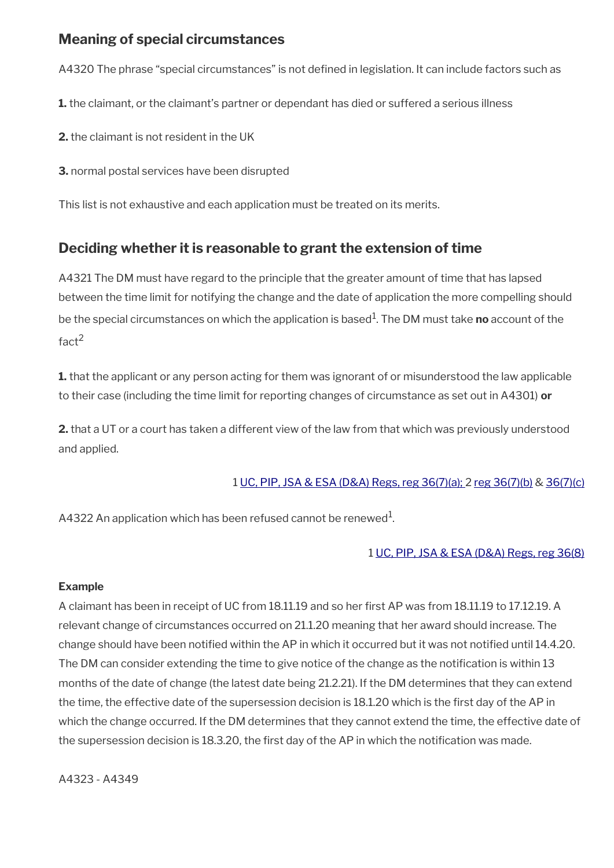### <span id="page-29-1"></span>**Meaning of special circumstances**

A4320 The phrase "special circumstances" is not defined in legislation. It can include factors such as

**1.** the claimant, or the claimant's partner or dependant has died or suffered a serious illness

**2.** the claimant is not resident in the UK

**3.** normal postal services have been disrupted

This list is not exhaustive and each application must be treated on its merits.

### <span id="page-29-0"></span>**Deciding whether it is reasonable to grant the extension of time**

A4321 The DM must have regard to the principle that the greater amount of time that has lapsed between the time limit for notifying the change and the date of application the more compelling should be the special circumstances on which the application is based<sup>1</sup>. The DM must take **no** account of the fact<sup>2</sup>

**1.** that the applicant or any person acting for them was ignorant of or misunderstood the law applicable to their case (including the time limit for reporting changes of circumstance as set out in A4301) **or**

**2.** that a UT or a court has taken a different view of the law from that which was previously understood and applied.

#### 1 [UC, PIP, JSA & ESA \(D&A\) Regs, reg 36\(7\)\(a\);](http://www.legislation.gov.uk/uksi/2013/381/regulation/36) 2 [reg 36\(7\)\(b\)](http://www.legislation.gov.uk/uksi/2013/381/regulation/36) & [36\(7\)\(c\)](http://www.legislation.gov.uk/uksi/2013/381/regulation/36)

A4322 An application which has been refused cannot be renewed $^{\rm 1}$ .

#### 1 [UC, PIP, JSA & ESA \(D&A\) Regs, reg 36\(8\)](http://www.legislation.gov.uk/uksi/2013/381/regulation/36)

#### **Example**

A claimant has been in receipt of UC from 18.11.19 and so her frst AP was from 18.11.19 to 17.12.19. A relevant change of circumstances occurred on 21.1.20 meaning that her award should increase. The change should have been notifed within the AP in which it occurred but it was not notifed until 14.4.20. The DM can consider extending the time to give notice of the change as the notification is within 13 months of the date of change (the latest date being 21.2.21). If the DM determines that they can extend the time, the effective date of the supersession decision is 18.1.20 which is the frst day of the AP in which the change occurred. If the DM determines that they cannot extend the time, the effective date of the supersession decision is 18.3.20, the frst day of the AP in which the notifcation was made.

A4323 - A4349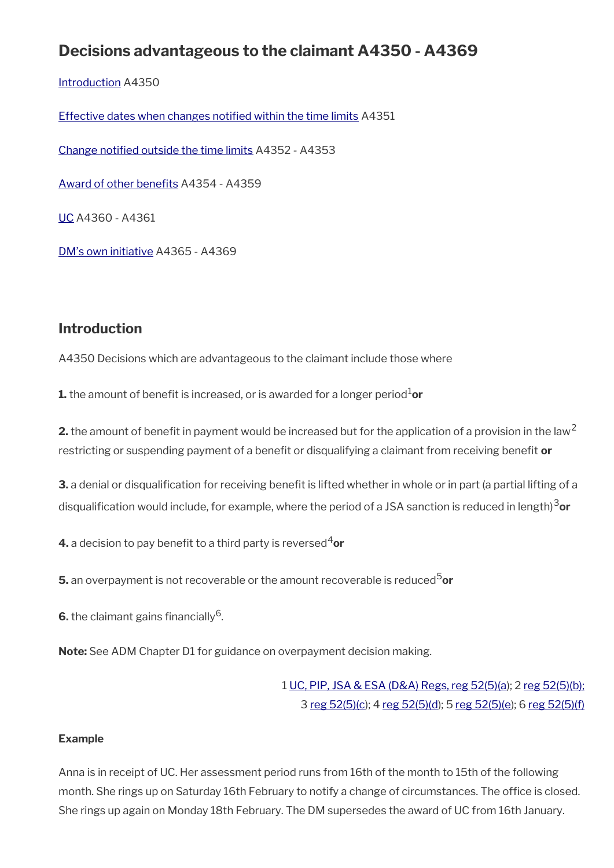# **Decisions advantageous to the claimant A4350 - A4369**

[Introduction](#page-6-1) A4350

[Effective dates when changes notifed within the time limits](#page-31-1) A4351

[Change notifed outside the time limits](#page-31-0) A4352 - A4353

Award of other benefits A4354 - A4359

[UC](#page-32-0) A4360 - A4361

[DM's own initiative](#page-34-0) A4365 - A4369

### **Introduction**

A4350 Decisions which are advantageous to the claimant include those where

**1.** the amount of benefit is increased, or is awarded for a longer period<sup>1</sup>or

**2.** the amount of benefit in payment would be increased but for the application of a provision in the law<sup>2</sup> restricting or suspending payment of a beneft or disqualifying a claimant from receiving beneft **or**

**3.** a denial or disqualification for receiving benefit is lifted whether in whole or in part (a partial lifting of a disqualifcation would include, for example, where the period of a JSA sanction is reduced in length)3**or** 

**4.** a decision to pay benefit to a third party is reversed<sup>4</sup>or

**5.** an overpayment is not recoverable or the amount recoverable is reduced<sup>5</sup>or

 $6.$  the claimant gains financially  $^6$ .

**Note:** See ADM Chapter D1 for guidance on overpayment decision making.

1 [UC, PIP, JSA & ESA \(D&A\) Regs, reg 52\(5\)\(a](http://www.legislation.gov.uk/uksi/2013/381/regulation/52)); 2 [reg 52\(5\)\(b\);](http://www.legislation.gov.uk/uksi/2013/381/regulation/52) 3 [reg 52\(5\)\(c](http://www.legislation.gov.uk/uksi/2013/381/regulation/52)); 4 [reg 52\(5\)\(d\)](http://www.legislation.gov.uk/uksi/2013/381/regulation/52); 5 [reg 52\(5\)\(e\)](http://www.legislation.gov.uk/uksi/2013/381/regulation/52); 6 [reg 52\(5\)\(f\)](http://www.legislation.gov.uk/uksi/2013/381/regulation/52)

#### **Example**

Anna is in receipt of UC. Her assessment period runs from 16th of the month to 15th of the following month. She rings up on Saturday 16th February to notify a change of circumstances. The office is closed. She rings up again on Monday 18th February. The DM supersedes the award of UC from 16th January.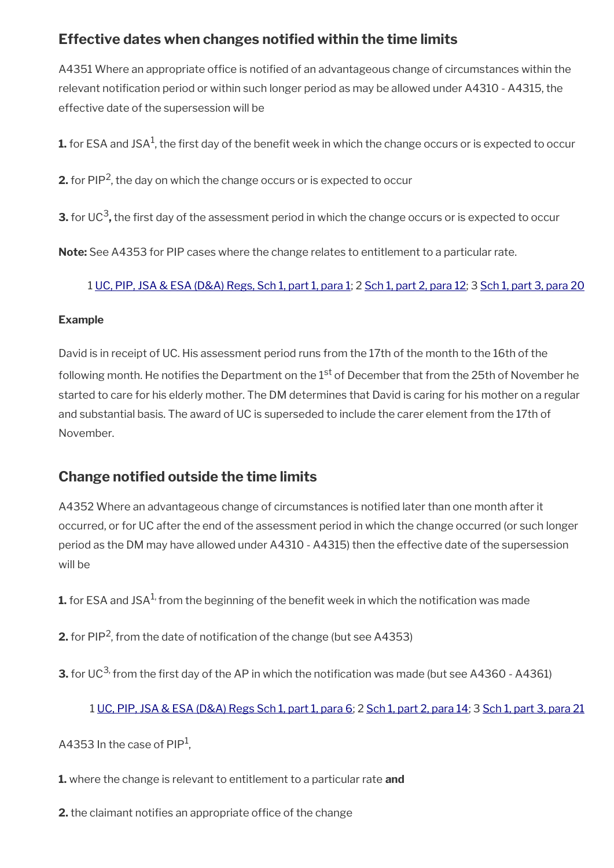### <span id="page-31-1"></span>**Effective dates when changes notifed within the time limits**

A4351 Where an appropriate office is notified of an advantageous change of circumstances within the relevant notification period or within such longer period as may be allowed under A4310 - A4315, the effective date of the supersession will be

 ${\bf 1.}$  for ESA and JSA<sup>1</sup>, the first day of the benefit week in which the change occurs or is expected to occur

**2.** for PIP<sup>2</sup>, the day on which the change occurs or is expected to occur

**3.** for UC<sup>3</sup>, the first day of the assessment period in which the change occurs or is expected to occur

**Note:** See A4353 for PIP cases where the change relates to entitlement to a particular rate.

1 [UC, PIP, JSA & ESA \(D&A\) Regs, Sch 1, part 1, para 1](http://www.legislation.gov.uk/uksi/2013/381/schedule/1); 2 [Sch 1, part 2, para 12](http://www.legislation.gov.uk/uksi/2013/381/schedule/1); 3 [Sch 1, part 3, para 20](http://www.legislation.gov.uk/uksi/2013/381/schedule/1)

#### **Example**

David is in receipt of UC. His assessment period runs from the 17th of the month to the 16th of the following month. He notifies the Department on the 1<sup>st</sup> of December that from the 25th of November he started to care for his elderly mother. The DM determines that David is caring for his mother on a regular and substantial basis. The award of UC is superseded to include the carer element from the 17th of November.

### <span id="page-31-0"></span>**Change notifed outside the time limits**

A4352 Where an advantageous change of circumstances is notifed later than one month after it occurred, or for UC after the end of the assessment period in which the change occurred (or such longer period as the DM may have allowed under A4310 - A4315) then the effective date of the supersession will be

**1.** for ESA and JSA<sup>1,</sup> from the beginning of the benefit week in which the notification was made

**2.** for PIP<sup>2</sup>, from the date of notification of the change (but see A4353)

**3.** for UC<sup>3,</sup> from the first day of the AP in which the notification was made (but see A4360 - A4361)

#### 1 [UC, PIP, JSA & ESA \(D&A\) Regs Sch 1, part 1, para 6](http://www.legislation.gov.uk/uksi/2013/381/schedule/1); 2 [Sch 1, part 2, para 14](http://www.legislation.gov.uk/uksi/2013/381/schedule/1); 3 [Sch 1, part 3, para 21](http://www.legislation.gov.uk/uksi/2013/381/schedule/1)

A4353 In the case of PIP<sup>1</sup>,

**1.** where the change is relevant to entitlement to a particular rate **and**

**2.** the claimant notifies an appropriate office of the change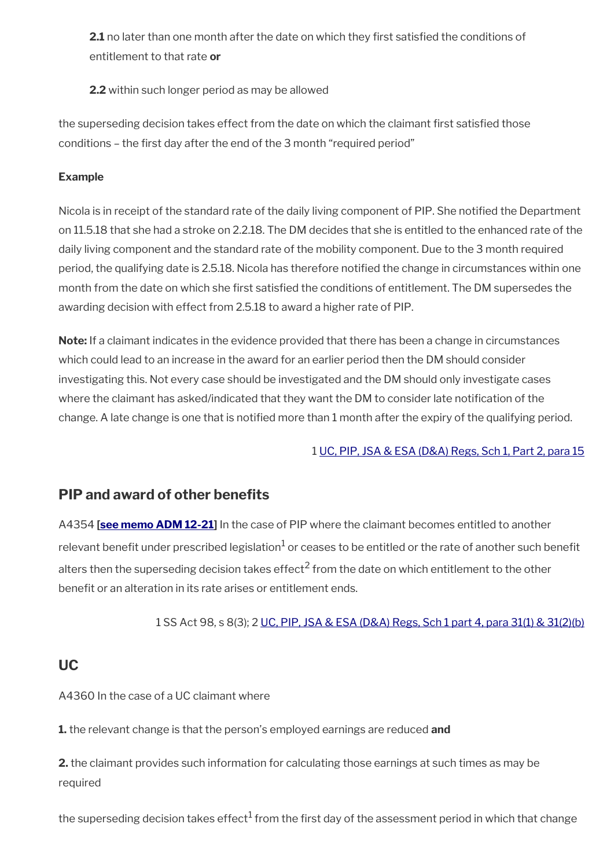**2.1** no later than one month after the date on which they first satisfied the conditions of entitlement to that rate **or**

**2.2** within such longer period as may be allowed

the superseding decision takes effect from the date on which the claimant frst satisfed those conditions – the first day after the end of the 3 month "required period"

#### **Example**

Nicola is in receipt of the standard rate of the daily living component of PIP. She notifed the Department on 11.5.18 that she had a stroke on 2.2.18. The DM decides that she is entitled to the enhanced rate of the daily living component and the standard rate of the mobility component. Due to the 3 month required period, the qualifying date is 2.5.18. Nicola has therefore notifed the change in circumstances within one month from the date on which she first satisfied the conditions of entitlement. The DM supersedes the awarding decision with effect from 2.5.18 to award a higher rate of PIP.

**Note:** If a claimant indicates in the evidence provided that there has been a change in circumstances which could lead to an increase in the award for an earlier period then the DM should consider investigating this. Not every case should be investigated and the DM should only investigate cases where the claimant has asked/indicated that they want the DM to consider late notification of the change. A late change is one that is notified more than 1 month after the expiry of the qualifying period.

#### 1 [UC, PIP, JSA & ESA \(D&A\) Regs, Sch 1, Part 2, para 15](http://www.legislation.gov.uk/uksi/2013/381/schedule/1)

### <span id="page-32-1"></span>**PIP and award of other benefits**

A4354 **[\[see memo ADM 12-21](https://intranet.dwp.gov.uk/manual/advice-decision-making-adm/12-21-disability-assistance-children-and-young-people-consequential-amendments-social-security)]** In the case of PIP where the claimant becomes entitled to another relevant benefit under prescribed legislation $^1$  or ceases to be entitled or the rate of another such benefit alters then the superseding decision takes effect<sup>2</sup> from the date on which entitlement to the other benefit or an alteration in its rate arises or entitlement ends.

1 SS Act 98, s 8(3); 2 [UC, PIP, JSA & ESA \(D&A\) Regs, Sch 1 part 4, para 31\(1\) & 31\(2\)\(b\)](http://www.legislation.gov.uk/uksi/2013/381/schedule/1)

### <span id="page-32-0"></span>**UC**

A4360 In the case of a UC claimant where

**1.** the relevant change is that the person's employed earnings are reduced **and**

**2.** the claimant provides such information for calculating those earnings at such times as may be required

the superseding decision takes effect $^1$  from the first day of the assessment period in which that change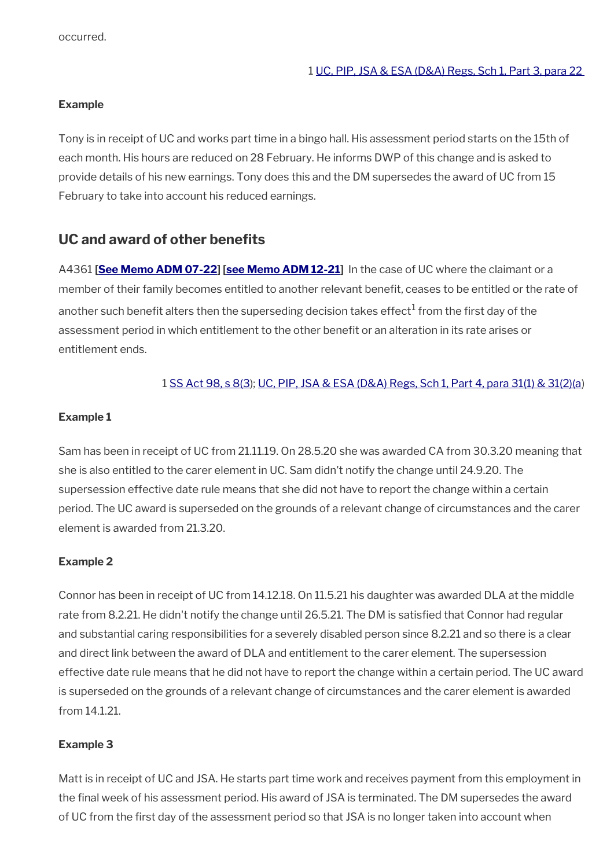#### **Example**

Tony is in receipt of UC and works part time in a bingo hall. His assessment period starts on the 15th of each month. His hours are reduced on 28 February. He informs DWP of this change and is asked to provide details of his new earnings. Tony does this and the DM supersedes the award of UC from 15 February to take into account his reduced earnings.

### **UC and award of other benefts**

A4361 **[\[See Memo ADM 07-22\]](https://intranet.dwp.gov.uk/manual/advice-decision-making-adm/07-22-adult-disability-payment-uc-esa-ns-jsa-ns) [\[see Memo ADM 12-21](https://intranet.dwp.gov.uk/manual/advice-decision-making-adm/12-21-disability-assistance-children-and-young-people-consequential-amendments-social-security)]** In the case of UC where the claimant or a member of their family becomes entitled to another relevant benefit, ceases to be entitled or the rate of another such benefit alters then the superseding decision takes effect $^1$  from the first day of the assessment period in which entitlement to the other beneft or an alteration in its rate arises or entitlement ends.

#### 1 [SS Act 98, s 8\(3](http://www.legislation.gov.uk/ukpga/1998/14/contents)); [UC, PIP, JSA & ESA \(D&A\) Regs, Sch 1, Part 4, para 31\(1\) & 31\(2\)\(a](http://www.legislation.gov.uk/uksi/2013/381/schedule/1))

#### **Example 1**

Sam has been in receipt of UC from 21.11.19. On 28.5.20 she was awarded CA from 30.3.20 meaning that she is also entitled to the carer element in UC. Sam didn't notify the change until 24.9.20. The supersession effective date rule means that she did not have to report the change within a certain period. The UC award is superseded on the grounds of a relevant change of circumstances and the carer element is awarded from 21.3.20.

#### **Example 2**

Connor has been in receipt of UC from 14.12.18. On 11.5.21 his daughter was awarded DLA at the middle rate from 8.2.21. He didn't notify the change until 26.5.21. The DM is satisfed that Connor had regular and substantial caring responsibilities for a severely disabled person since 8.2.21 and so there is a clear and direct link between the award of DLA and entitlement to the carer element. The supersession effective date rule means that he did not have to report the change within a certain period. The UC award is superseded on the grounds of a relevant change of circumstances and the carer element is awarded from 14.1.21.

#### **Example 3**

Matt is in receipt of UC and JSA. He starts part time work and receives payment from this employment in the fnal week of his assessment period. His award of JSA is terminated. The DM supersedes the award of UC from the first day of the assessment period so that JSA is no longer taken into account when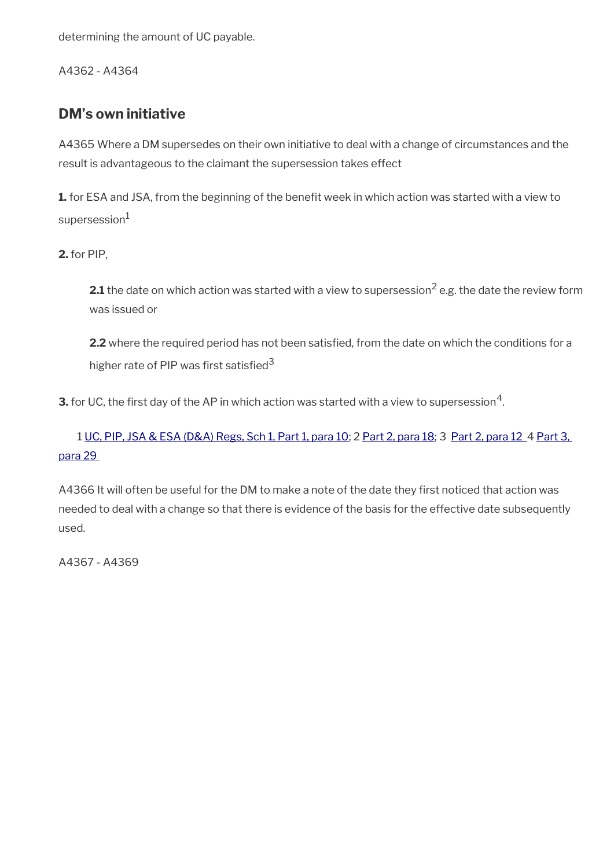determining the amount of UC payable.

A4362 - A4364

### <span id="page-34-0"></span>**DM's own initiative**

A4365 Where a DM supersedes on their own initiative to deal with a change of circumstances and the result is advantageous to the claimant the supersession takes effect

**1.** for ESA and JSA, from the beginning of the benefit week in which action was started with a view to  $supersession<sup>1</sup>$ 

**2.** for PIP,

**2.1** the date on which action was started with a view to supersession<sup>2</sup> e.g. the date the review form was issued or

2.2 where the required period has not been satisfied, from the date on which the conditions for a higher rate of PIP was first satisfied<sup>3</sup>

**3.** for UC, the first day of the AP in which action was started with a view to supersession $^4$ .

1 [UC, PIP, JSA & ESA \(D&A\) Regs, Sch 1, Part 1, para 10](http://www.legislation.gov.uk/uksi/2013/381/schedule/1); 2 [Part 2, para 18](http://www.legislation.gov.uk/uksi/2013/381/schedule/1); 3 [Part 2, para 12](http://www.legislation.gov.uk/uksi/2013/381/schedule/1) 4 [Part 3,](http://www.legislation.gov.uk/uksi/2013/381/schedule/1)  [para 29](http://www.legislation.gov.uk/uksi/2013/381/schedule/1) 

A4366 It will often be useful for the DM to make a note of the date they first noticed that action was needed to deal with a change so that there is evidence of the basis for the effective date subsequently used.

A4367 - A4369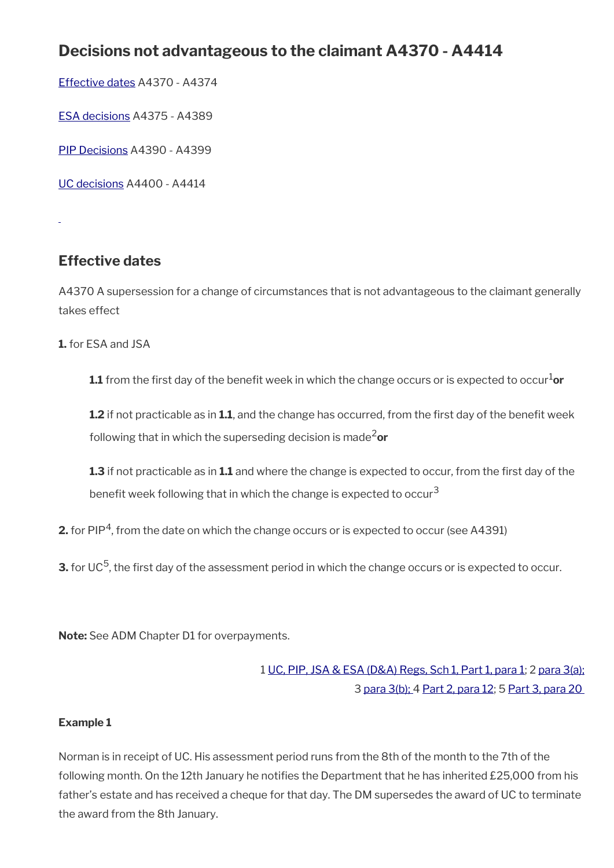# **Decisions not advantageous to the claimant A4370 - A4414**

[Effective dates](#page-35-0) A4370 - A4374

[ESA decisions](#page-36-0) A4375 - A4389

[PIP Decisions](#page-37-0) A4390 - A4399

[UC decisions](#page-38-0) A4400 - A4414

<span id="page-35-0"></span>**Effective dates**

A4370 A supersession for a change of circumstances that is not advantageous to the claimant generally takes effect

**1.** for ESA and JSA

**1.1** from the first day of the benefit week in which the change occurs or is expected to occur<sup>1</sup>or

**1.2** if not practicable as in 1.1, and the change has occurred, from the first day of the benefit week following that in which the superseding decision is made2**or**

**1.3** if not practicable as in **1.1** and where the change is expected to occur, from the frst day of the benefit week following that in which the change is expected to occur<sup>3</sup>

**2.** for PIP<sup>4</sup>, from the date on which the change occurs or is expected to occur (see A4391)

**3.** for UC<sup>5</sup>, the first day of the assessment period in which the change occurs or is expected to occur.

**Note:** See ADM Chapter D1 for overpayments.

1 [UC, PIP, JSA & ESA \(D&A\) Regs, Sch 1, Part 1, para 1](http://www.legislation.gov.uk/uksi/2013/381/schedule/1); 2 [para 3\(a\);](http://www.legislation.gov.uk/uksi/2013/381/schedule/1) 3 [para 3\(b\);](http://www.legislation.gov.uk/uksi/2013/381/schedule/1) 4 [Part 2, para 12;](http://www.legislation.gov.uk/uksi/2013/381/schedule/1) 5 [Part 3, para 20](http://www.legislation.gov.uk/uksi/2013/381/schedule/1) 

#### **Example 1**

Norman is in receipt of UC. His assessment period runs from the 8th of the month to the 7th of the following month. On the 12th January he notifies the Department that he has inherited £25,000 from his father's estate and has received a cheque for that day. The DM supersedes the award of UC to terminate the award from the 8th January.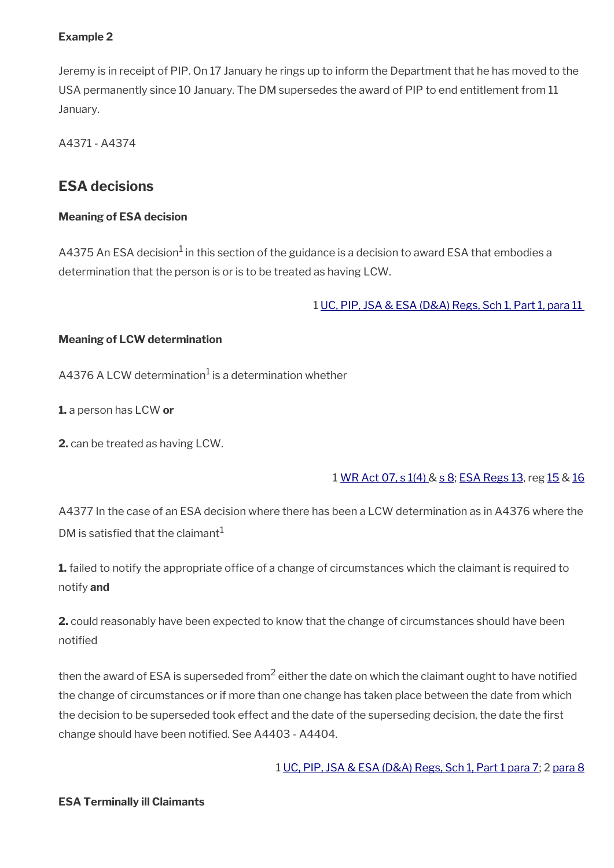#### **Example 2**

Jeremy is in receipt of PIP. On 17 January he rings up to inform the Department that he has moved to the USA permanently since 10 January. The DM supersedes the award of PIP to end entitlement from 11 January.

A4371 - A4374

### **ESA decisions**

#### **Meaning of ESA decision**

A4375 An ESA decision $^1$  in this section of the guidance is a decision to award ESA that embodies a determination that the person is or is to be treated as having LCW.

1 [UC, PIP, JSA & ESA \(D&A\) Regs, Sch 1, Part 1, para 11](http://www.legislation.gov.uk/uksi/2013/381/schedule/1) 

#### **Meaning of LCW determination**

<code>A4376</code> A LCW determination $^1$  is a determination whether

**1.** a person has LCW **or**

**2.** can be treated as having LCW.

### 1 [WR Act 07, s 1\(4\) &](http://www.legislation.gov.uk/ukpga/2007/5/section/7) [s 8;](http://www.legislation.gov.uk/ukpga/2007/5/section/8) [ESA Regs 13,](http://www.legislation.gov.uk/uksi/2013/379/regulation/13) reg [15](http://www.legislation.gov.uk/uksi/2013/379/regulation/15) & [16](http://www.legislation.gov.uk/uksi/2013/379/regulation/16)

A4377 In the case of an ESA decision where there has been a LCW determination as in A4376 where the DM is satisfied that the claimant<sup>1</sup>

**1.** failed to notify the appropriate office of a change of circumstances which the claimant is required to notify **and**

**2.** could reasonably have been expected to know that the change of circumstances should have been notifed

then the award of ESA is superseded from $^2$  either the date on which the claimant ought to have notified the change of circumstances or if more than one change has taken place between the date from which the decision to be superseded took effect and the date of the superseding decision, the date the first change should have been notifed. See A4403 - A4404.

1 [UC, PIP, JSA & ESA \(D&A\) Regs, Sch 1, Part 1 para 7;](http://www.legislation.gov.uk/uksi/2013/381/schedule/1) 2 [para 8](http://www.legislation.gov.uk/uksi/2013/381/schedule/1)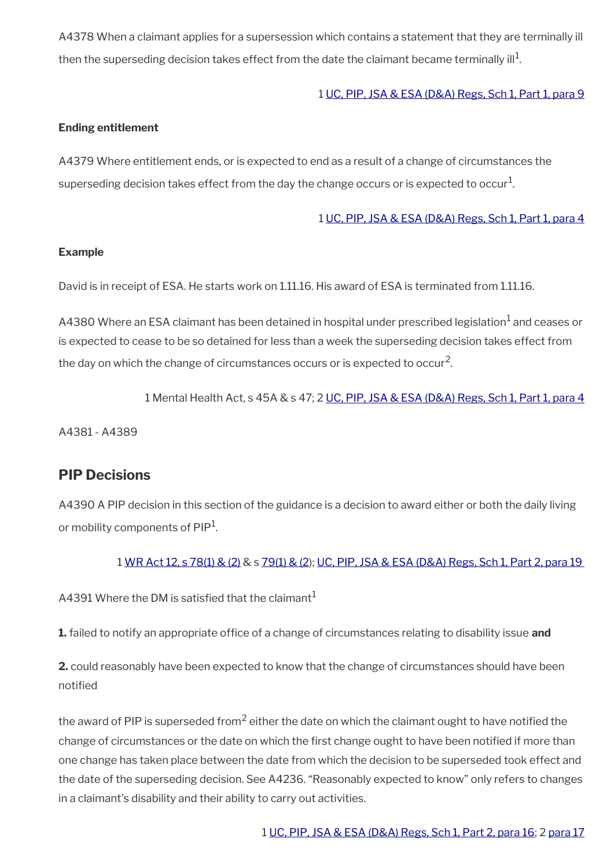A4378 When a claimant applies for a supersession which contains a statement that they are terminally ill then the superseding decision takes effect from the date the claimant became terminally ill $^{\rm 1}$ .

#### 1 [UC, PIP, JSA & ESA \(D&A\) Regs, Sch 1, Part 1, para 9](http://www.legislation.gov.uk/uksi/2013/381/schedule/1)

#### **Ending entitlement**

A4379 Where entitlement ends, or is expected to end as a result of a change of circumstances the superseding decision takes effect from the day the change occurs or is expected to occur $^1\!$ 

#### 1 [UC, PIP, JSA & ESA \(D&A\) Regs, Sch 1, Part 1, para 4](http://www.legislation.gov.uk/uksi/2013/381/schedule/1)

#### **Example**

David is in receipt of ESA. He starts work on 1.11.16. His award of ESA is terminated from 1.11.16.

<code>A4380</code> Where an ESA claimant has been detained in hospital under prescribed legislation $^{\text{1}}$  and ceases or is expected to cease to be so detained for less than a week the superseding decision takes effect from the day on which the change of circumstances occurs or is expected to occur<sup>2</sup>.

1 Mental Health Act, s 45A & s 47; 2 [UC, PIP, JSA & ESA \(D&A\) Regs, Sch 1, Part 1, para 4](http://www.legislation.gov.uk/uksi/2013/381/schedule/1)

A4381 - A4389

### **PIP Decisions**

A4390 A PIP decision in this section of the guidance is a decision to award either or both the daily living or mobility components of PIP<sup>1</sup>.

#### 1 [WR Act 12, s 78\(1\) & \(2\)](http://www.legislation.gov.uk/ukpga/2012/5/section/78) & s [79\(1\) & \(2\)](http://www.legislation.gov.uk/ukpga/2012/5/section/79); [UC, PIP, JSA & ESA \(D&A\) Regs, Sch 1, Part 2, para 19](http://www.legislation.gov.uk/uksi/2013/381/schedule/1)

A4391 Where the DM is satisfied that the claimant<sup>1</sup>

**1.** failed to notify an appropriate office of a change of circumstances relating to disability issue **and** 

**2.** could reasonably have been expected to know that the change of circumstances should have been notifed

the award of PIP is superseded from<sup>2</sup> either the date on which the claimant ought to have notified the change of circumstances or the date on which the frst change ought to have been notifed if more than one change has taken place between the date from which the decision to be superseded took effect and the date of the superseding decision. See A4236. "Reasonably expected to know" only refers to changes in a claimant's disability and their ability to carry out activities.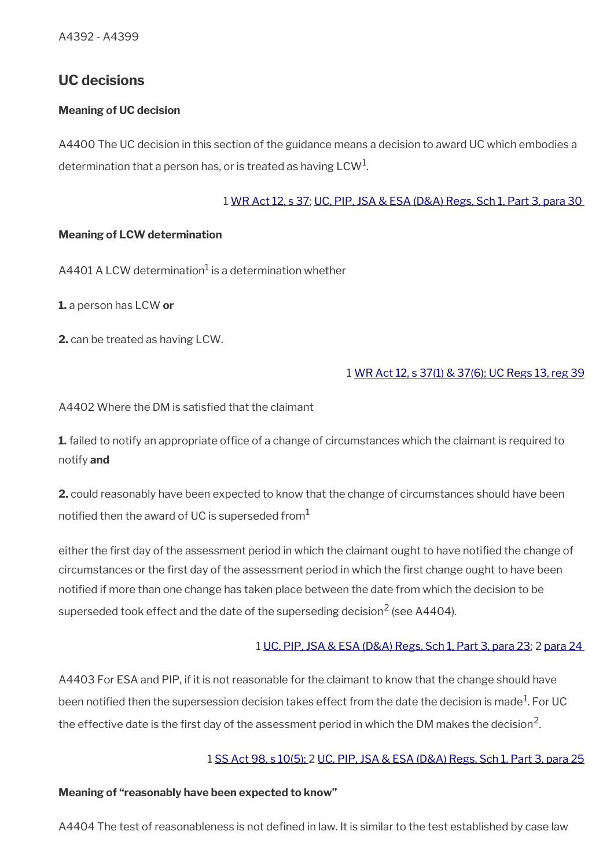### **UC decisions**

#### **Meaning of UC decision**

A4400 The UC decision in this section of the guidance means a decision to award UC which embodies a determination that a person has, or is treated as having LCW $^{\rm 1}$ .

#### 1 [WR Act 12, s 37](http://www.legislation.gov.uk/ukpga/2012/5/section/37); [UC, PIP, JSA & ESA \(D&A\) Regs, Sch 1, Part 3, para 30](http://www.legislation.gov.uk/uksi/2013/381/schedule/1)

#### **Meaning of LCW determination**

<code>A4401</code> <code>ALCW</code> determination $^1$  is a determination whether

**1.** a person has LCW **or**

**2.** can be treated as having LCW.

#### 1 [WR Act 12, s 37\(1\) & 37\(6\);](http://www.legislation.gov.uk/ukpga/2012/5/section/37) [UC Regs 13, reg 39](http://www.legislation.gov.uk/uksi/2013/376/regulation/39)

A4402 Where the DM is satisfed that the claimant

**1.** failed to notify an appropriate office of a change of circumstances which the claimant is required to notify **and**

**2.** could reasonably have been expected to know that the change of circumstances should have been notified then the award of UC is superseded from $<sup>1</sup>$ </sup>

either the first day of the assessment period in which the claimant ought to have notified the change of circumstances or the frst day of the assessment period in which the frst change ought to have been notifed if more than one change has taken place between the date from which the decision to be superseded took effect and the date of the superseding decision<sup>2</sup> (see A4404).

#### 1 [UC, PIP, JSA & ESA \(D&A\) Regs, Sch 1, Part 3, para 23](http://www.legislation.gov.uk/uksi/2013/381/schedule/1); 2 [para 24](http://www.legislation.gov.uk/uksi/2013/381/schedule/1)

A4403 For ESA and PIP, if it is not reasonable for the claimant to know that the change should have been notified then the supersession decision takes effect from the date the decision is made $^{\rm 1}$ . For UC the effective date is the first day of the assessment period in which the DM makes the decision<sup>2</sup>.

#### 1 [SS Act 98, s 10\(5\);](http://www.legislation.gov.uk/ukpga/1998/14/contents) 2 [UC, PIP, JSA & ESA \(D&A\) Regs, Sch 1, Part 3, para 25](http://www.legislation.gov.uk/uksi/2013/381/schedule/1)

#### **Meaning of "reasonably have been expected to know"**

A4404 The test of reasonableness is not defined in law. It is similar to the test established by case law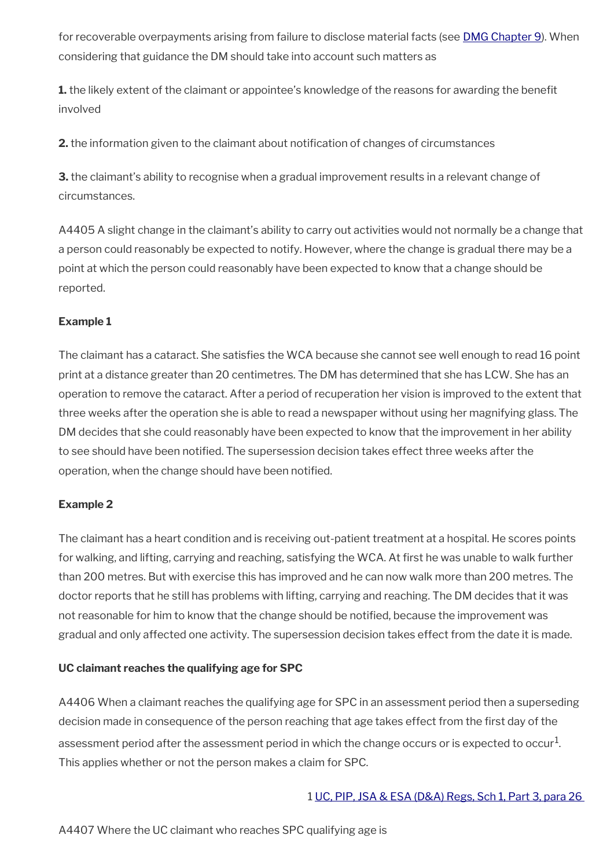for recoverable overpayments arising from failure to disclose material facts (see **[DMG Chapter 9](http://intranet.dwp.gov.uk/manual/decision-makers-guide-dmg/dmg-chapter-09-overpayments-recoverability-adjustments-civil-penalties-and-recoupments)**). When considering that guidance the DM should take into account such matters as

**1.** the likely extent of the claimant or appointee's knowledge of the reasons for awarding the benefit involved

**2.** the information given to the claimant about notifcation of changes of circumstances

**3.** the claimant's ability to recognise when a gradual improvement results in a relevant change of circumstances.

A4405 A slight change in the claimant's ability to carry out activities would not normally be a change that a person could reasonably be expected to notify. However, where the change is gradual there may be a point at which the person could reasonably have been expected to know that a change should be reported.

#### **Example 1**

The claimant has a cataract. She satisfes the WCA because she cannot see well enough to read 16 point print at a distance greater than 20 centimetres. The DM has determined that she has LCW. She has an operation to remove the cataract. After a period of recuperation her vision is improved to the extent that three weeks after the operation she is able to read a newspaper without using her magnifying glass. The DM decides that she could reasonably have been expected to know that the improvement in her ability to see should have been notifed. The supersession decision takes effect three weeks after the operation, when the change should have been notifed.

#### **Example 2**

The claimant has a heart condition and is receiving out-patient treatment at a hospital. He scores points for walking, and lifting, carrying and reaching, satisfying the WCA. At first he was unable to walk further than 200 metres. But with exercise this has improved and he can now walk more than 200 metres. The doctor reports that he still has problems with lifting, carrying and reaching. The DM decides that it was not reasonable for him to know that the change should be notifed, because the improvement was gradual and only affected one activity. The supersession decision takes effect from the date it is made.

#### **UC claimant reaches the qualifying age for SPC**

A4406 When a claimant reaches the qualifying age for SPC in an assessment period then a superseding decision made in consequence of the person reaching that age takes effect from the first day of the assessment period after the assessment period in which the change occurs or is expected to occur $^1\!$ . This applies whether or not the person makes a claim for SPC.

#### 1 [UC, PIP, JSA & ESA \(D&A\) Regs, Sch 1, Part 3, para 26](http://www.legislation.gov.uk/uksi/2013/381/schedule/1)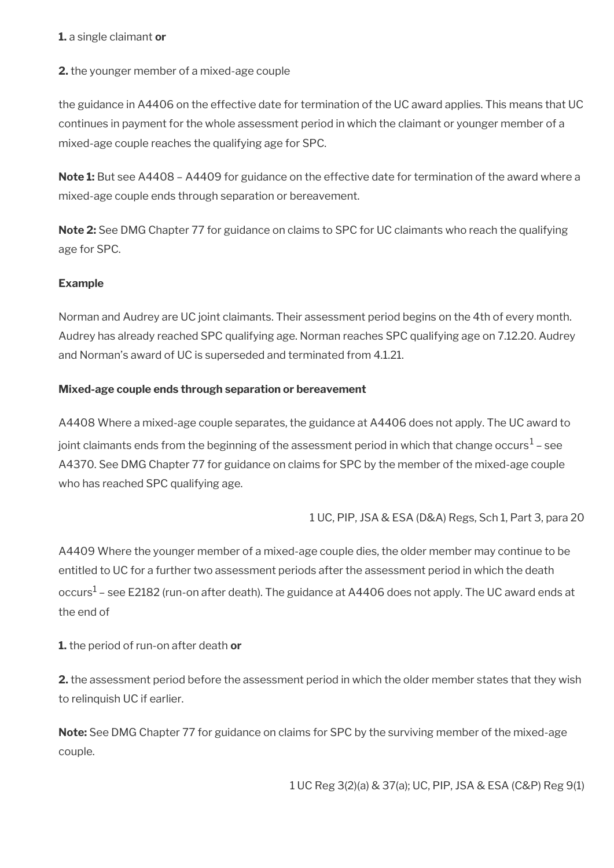#### **1.** a single claimant **or**

#### **2.** the younger member of a mixed-age couple

the guidance in A4406 on the effective date for termination of the UC award applies. This means that UC continues in payment for the whole assessment period in which the claimant or younger member of a mixed-age couple reaches the qualifying age for SPC.

**Note 1:** But see A4408 – A4409 for guidance on the effective date for termination of the award where a mixed-age couple ends through separation or bereavement.

**Note 2:** See DMG Chapter 77 for guidance on claims to SPC for UC claimants who reach the qualifying age for SPC.

#### **Example**

Norman and Audrey are UC joint claimants. Their assessment period begins on the 4th of every month. Audrey has already reached SPC qualifying age. Norman reaches SPC qualifying age on 7.12.20. Audrey and Norman's award of UC is superseded and terminated from 4.1.21.

#### **Mixed-age couple ends through separation or bereavement**

A4408 Where a mixed-age couple separates, the guidance at A4406 does not apply. The UC award to joint claimants ends from the beginning of the assessment period in which that change occurs $^1$  – see A4370. See DMG Chapter 77 for guidance on claims for SPC by the member of the mixed-age couple who has reached SPC qualifying age.

1 UC, PIP, JSA & ESA (D&A) Regs, Sch 1, Part 3, para 20

A4409 Where the younger member of a mixed-age couple dies, the older member may continue to be entitled to UC for a further two assessment periods after the assessment period in which the death occurs $^1$  – see E2182 (run-on after death). The guidance at A4406 does not apply. The UC award ends at the end of

#### **1.** the period of run-on after death **or**

**2.** the assessment period before the assessment period in which the older member states that they wish to relinquish UC if earlier.

**Note:** See DMG Chapter 77 for guidance on claims for SPC by the surviving member of the mixed-age couple.

1 UC Reg 3(2)(a) & 37(a); UC, PIP, JSA & ESA (C&P) Reg 9(1)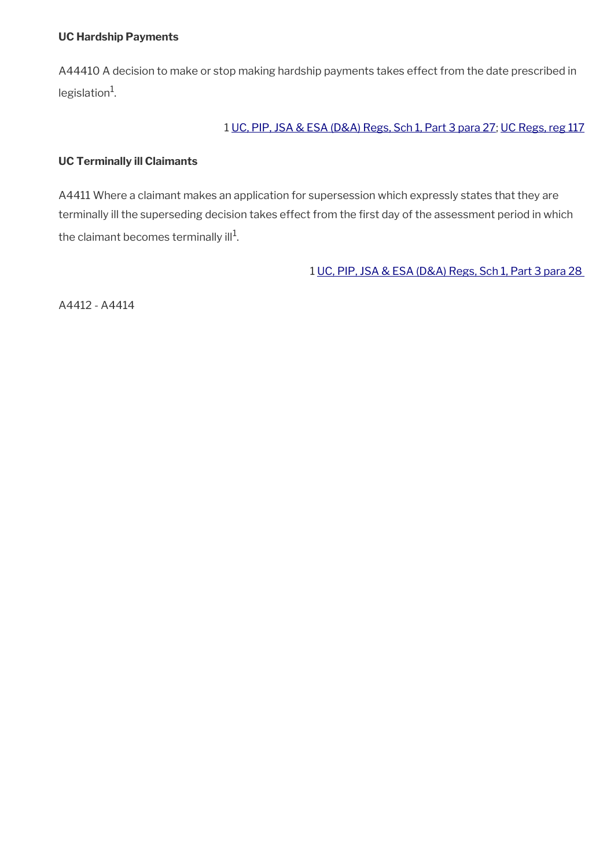#### **UC Hardship Payments**

A44410 A decision to make or stop making hardship payments takes effect from the date prescribed in legislation<sup>1</sup>.

#### 1 [UC, PIP, JSA & ESA \(D&A\) Regs, Sch 1, Part 3 para 27](http://www.legislation.gov.uk/uksi/2013/381/schedule/1); [UC Regs, reg 117](http://www.legislation.gov.uk/uksi/2013/376/regulation/117)

#### **UC Terminally ill Claimants**

A4411 Where a claimant makes an application for supersession which expressly states that they are terminally ill the superseding decision takes effect from the first day of the assessment period in which the claimant becomes terminally ill $^1\!\!$ .

1 [UC, PIP, JSA & ESA \(D&A\) Regs, Sch 1, Part 3 para 28](http://www.legislation.gov.uk/uksi/2013/381/schedule/1) 

A4412 - A4414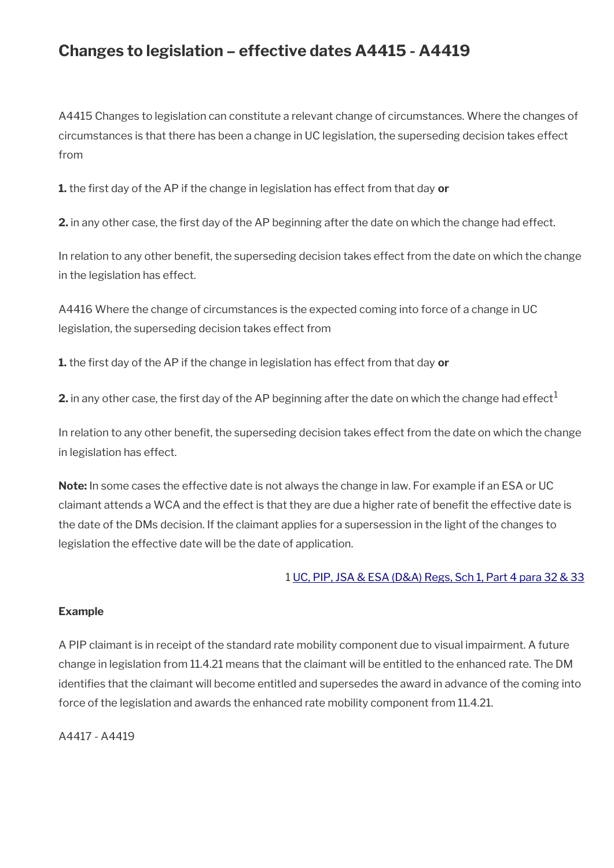## **Changes to legislation – effective dates A4415 - A4419**

A4415 Changes to legislation can constitute a relevant change of circumstances. Where the changes of circumstances is that there has been a change in UC legislation, the superseding decision takes effect from

**1.** the frst day of the AP if the change in legislation has effect from that day **or**

**2.** in any other case, the frst day of the AP beginning after the date on which the change had effect.

In relation to any other beneft, the superseding decision takes effect from the date on which the change in the legislation has effect.

A4416 Where the change of circumstances is the expected coming into force of a change in UC legislation, the superseding decision takes effect from

**1.** the frst day of the AP if the change in legislation has effect from that day **or**

**2.** in any other case, the first day of the AP beginning after the date on which the change had effect<sup>1</sup>

In relation to any other benefit, the superseding decision takes effect from the date on which the change in legislation has effect.

**Note:** In some cases the effective date is not always the change in law. For example if an ESA or UC claimant attends a WCA and the effect is that they are due a higher rate of beneft the effective date is the date of the DMs decision. If the claimant applies for a supersession in the light of the changes to legislation the effective date will be the date of application.

#### 1 [UC, PIP, JSA & ESA \(D&A\) Regs, Sch 1, Part 4 para 32 & 33](http://www.legislation.gov.uk/uksi/2013/381/schedule/1)

#### **Example**

A PIP claimant is in receipt of the standard rate mobility component due to visual impairment. A future change in legislation from 11.4.21 means that the claimant will be entitled to the enhanced rate. The DM identifes that the claimant will become entitled and supersedes the award in advance of the coming into force of the legislation and awards the enhanced rate mobility component from 11.4.21.

A4417 - A4419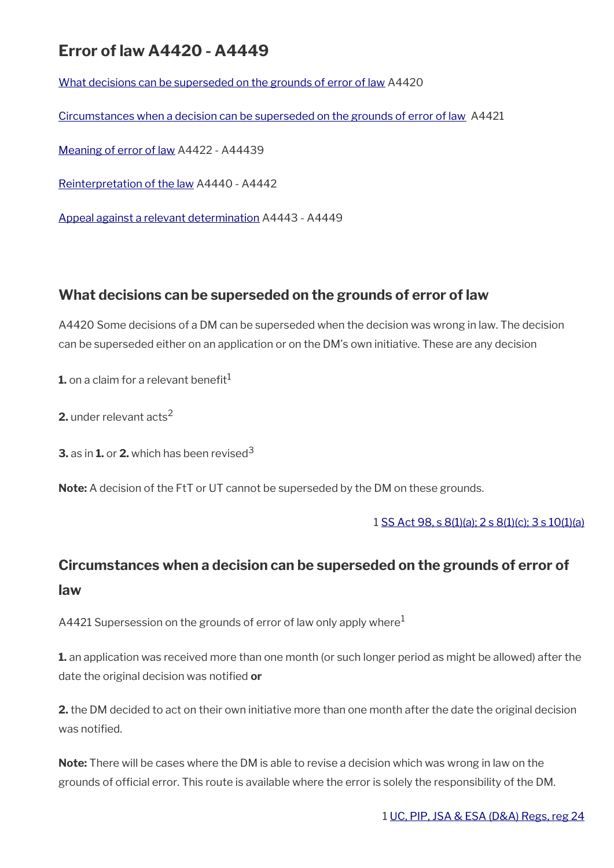## **Error of law A4420 - A4449**

[What decisions can be superseded on the grounds of error of law](#page-44-1) A4420

[Circumstances when a decision can be superseded on the grounds of error of law](#page-44-0) A4421

[Meaning of error of law](#page-45-0) A4422 - A44439

[Reinterpretation of the law](#page-46-1) A4440 - A4442

[Appeal against a relevant determination](#page-46-0) A4443 - A4449

### <span id="page-44-1"></span>**What decisions can be superseded on the grounds of error of law**

A4420 Some decisions of a DM can be superseded when the decision was wrong in law. The decision can be superseded either on an application or on the DM's own initiative. These are any decision

**1.** on a claim for a relevant benefit $<sup>1</sup>$ </sup>

**2.** under relevant acts<sup>2</sup>

**3.** as in **1.** or **2.** which has been revised<sup>3</sup>

**Note:** A decision of the FtT or UT cannot be superseded by the DM on these grounds.

1 [SS Act 98, s 8\(1\)\(a\); 2 s 8\(1\)\(c\); 3 s 10\(1\)\(a\)](http://www.legislation.gov.uk/ukpga/1998/14/contents)

## <span id="page-44-0"></span>**Circumstances when a decision can be superseded on the grounds of error of law**

A4421 Supersession on the grounds of error of law only apply where $1$ 

**1.** an application was received more than one month (or such longer period as might be allowed) after the date the original decision was notifed **or**

**2.** the DM decided to act on their own initiative more than one month after the date the original decision was notifed.

**Note:** There will be cases where the DM is able to revise a decision which was wrong in law on the grounds of official error. This route is available where the error is solely the responsibility of the DM.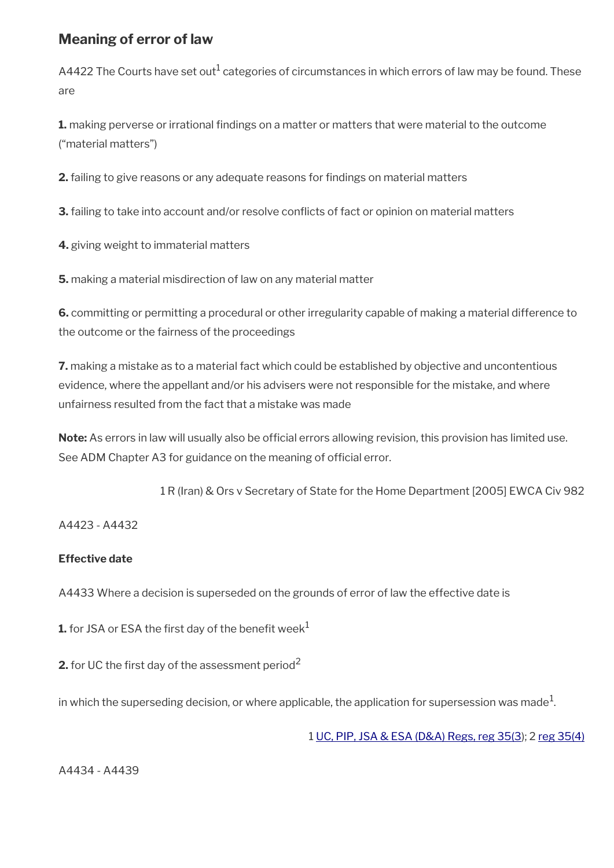### <span id="page-45-0"></span>**Meaning of error of law**

A4422 The Courts have set out $^1$  categories of circumstances in which errors of law may be found. These are

**1.** making perverse or irrational findings on a matter or matters that were material to the outcome ("material matters")

**2.** failing to give reasons or any adequate reasons for fndings on material matters

**3.** failing to take into account and/or resolve conficts of fact or opinion on material matters

**4.** giving weight to immaterial matters

**5.** making a material misdirection of law on any material matter

**6.** committing or permitting a procedural or other irregularity capable of making a material difference to the outcome or the fairness of the proceedings

**7.** making a mistake as to a material fact which could be established by objective and uncontentious evidence, where the appellant and/or his advisers were not responsible for the mistake, and where unfairness resulted from the fact that a mistake was made

Note: As errors in law will usually also be official errors allowing revision, this provision has limited use. See ADM Chapter A3 for guidance on the meaning of official error.

1 R (Iran) & Ors v Secretary of State for the Home Department [2005] EWCA Civ 982

A4423 - A4432

#### **Effective date**

A4433 Where a decision is superseded on the grounds of error of law the effective date is

**1.** for JSA or ESA the first day of the benefit week<sup>1</sup>

**2.** for UC the first day of the assessment period<sup>2</sup>

in which the superseding decision, or where applicable, the application for supersession was made $^1$ .

1 [UC, PIP, JSA & ESA \(D&A\) Regs, reg 35\(3\)](http://www.legislation.gov.uk/uksi/2013/381/regulation/35); 2 [reg 35\(4\)](http://www.legislation.gov.uk/uksi/2013/381/regulation/35)

A4434 - A4439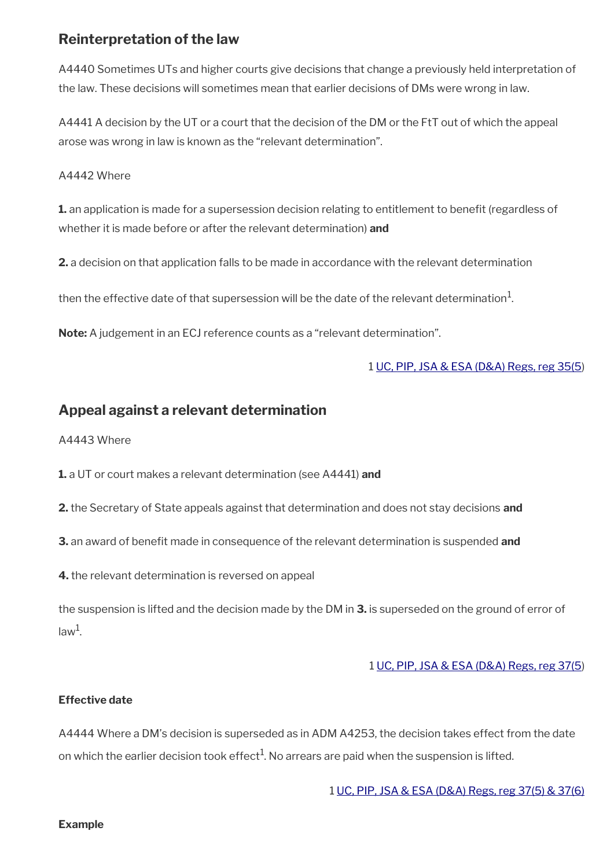### <span id="page-46-1"></span>**Reinterpretation of the law**

A4440 Sometimes UTs and higher courts give decisions that change a previously held interpretation of the law. These decisions will sometimes mean that earlier decisions of DMs were wrong in law.

A4441 A decision by the UT or a court that the decision of the DM or the FtT out of which the appeal arose was wrong in law is known as the "relevant determination".

A4442 Where

**1.** an application is made for a supersession decision relating to entitlement to benefit (regardless of whether it is made before or after the relevant determination) **and**

**2.** a decision on that application falls to be made in accordance with the relevant determination

then the effective date of that supersession will be the date of the relevant determination $^1$ .

**Note:** A judgement in an ECJ reference counts as a "relevant determination".

#### 1 [UC, PIP, JSA & ESA \(D&A\) Regs, reg 35\(5](http://www.legislation.gov.uk/uksi/2013/381/regulation/35))

### <span id="page-46-0"></span>**Appeal against a relevant determination**

A4443 Where

**1.** a UT or court makes a relevant determination (see A4441) **and**

**2.** the Secretary of State appeals against that determination and does not stay decisions **and**

**3.** an award of benefit made in consequence of the relevant determination is suspended and

**4.** the relevant determination is reversed on appeal

the suspension is lifted and the decision made by the DM in **3.** is superseded on the ground of error of law<sup>1</sup>.

#### 1 [UC, PIP, JSA & ESA \(D&A\) Regs, reg 37\(5](http://www.legislation.gov.uk/uksi/2013/381/regulation/37))

#### **Effective date**

A4444 Where a DM's decision is superseded as in ADM A4253, the decision takes effect from the date on which the earlier decision took effect $^{\rm 1}$ . No arrears are paid when the suspension is lifted.

1 [UC, PIP, JSA & ESA \(D&A\) Regs, reg 37\(5\) & 37\(6\)](http://www.legislation.gov.uk/uksi/2013/381/regulation/37)

**Example**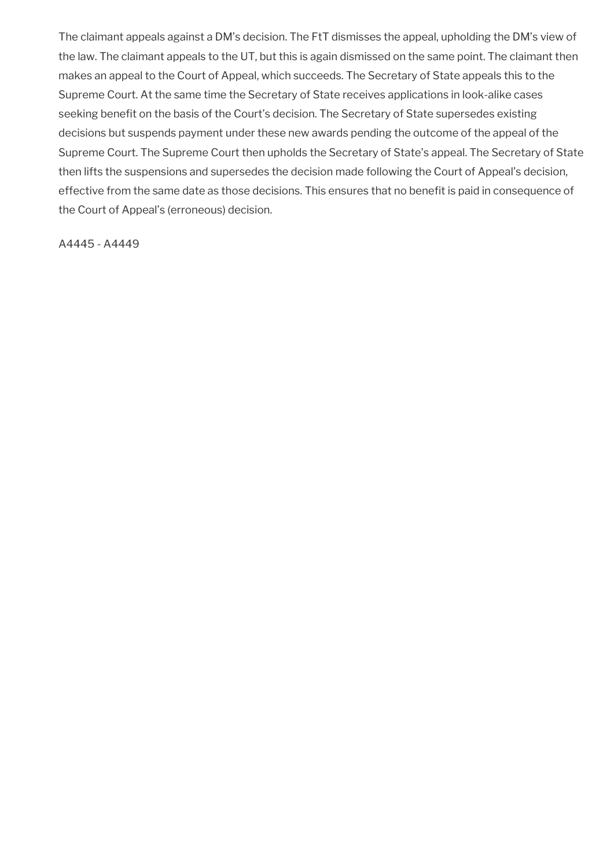The claimant appeals against a DM's decision. The FtT dismisses the appeal, upholding the DM's view of the law. The claimant appeals to the UT, but this is again dismissed on the same point. The claimant then makes an appeal to the Court of Appeal, which succeeds. The Secretary of State appeals this to the Supreme Court. At the same time the Secretary of State receives applications in look-alike cases seeking benefit on the basis of the Court's decision. The Secretary of State supersedes existing decisions but suspends payment under these new awards pending the outcome of the appeal of the Supreme Court. The Supreme Court then upholds the Secretary of State's appeal. The Secretary of State then lifts the suspensions and supersedes the decision made following the Court of Appeal's decision, effective from the same date as those decisions. This ensures that no benefit is paid in consequence of the Court of Appeal's (erroneous) decision.

A4445 - A4449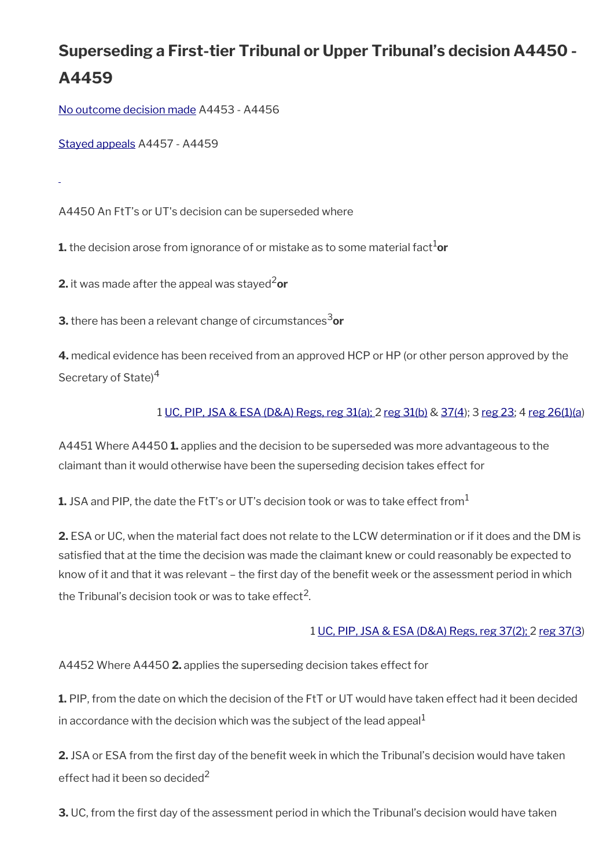# **Superseding a First-tier Tribunal or Upper Tribunal's decision A4450 - A4459**

[No outcome decision made](#page-49-0) A4453 - A4456

[Stayed appeals](#page-50-0) A4457 - A4459

A4450 An FtT's or UT's decision can be superseded where

**1.** the decision arose from ignorance of or mistake as to some material fact<sup>1</sup>or

**2.** it was made after the appeal was stayed<sup>2</sup>or

**3.** there has been a relevant change of circumstances<sup>3</sup>or

**4.** medical evidence has been received from an approved HCP or HP (or other person approved by the Secretary of State)<sup>4</sup>

#### 1 [UC, PIP, JSA & ESA \(D&A\) Regs, reg 31\(a\); 2 reg 31\(b\)](http://www.legislation.gov.uk/uksi/2013/381/regulation/31) & [37\(4](http://www.legislation.gov.uk/uksi/2013/381/regulation/37)); 3 [reg 23;](http://www.legislation.gov.uk/uksi/2013/381/regulation/23) 4 [reg 26\(1\)\(a](http://www.legislation.gov.uk/uksi/2013/381/regulation/26))

A4451 Where A4450 **1.** applies and the decision to be superseded was more advantageous to the claimant than it would otherwise have been the superseding decision takes effect for

**1.** JSA and PIP, the date the FtT's or UT's decision took or was to take effect from<sup>1</sup>

**2.** ESA or UC, when the material fact does not relate to the LCW determination or if it does and the DM is satisfed that at the time the decision was made the claimant knew or could reasonably be expected to know of it and that it was relevant – the first day of the benefit week or the assessment period in which the Tribunal's decision took or was to take effect $^2\!\!$  .

#### 1 [UC, PIP, JSA & ESA \(D&A\) Regs, reg 37\(2\);](http://www.legislation.gov.uk/uksi/2013/381/regulation/37) 2 [reg 37\(3](http://www.legislation.gov.uk/uksi/2013/381/regulation/37))

A4452 Where A4450 **2.** applies the superseding decision takes effect for

**1.** PIP, from the date on which the decision of the FtT or UT would have taken effect had it been decided in accordance with the decision which was the subject of the lead appeal $<sup>1</sup>$ </sup>

**2.** JSA or ESA from the first day of the benefit week in which the Tribunal's decision would have taken effect had it been so decided<sup>2</sup>

**3.** UC, from the first day of the assessment period in which the Tribunal's decision would have taken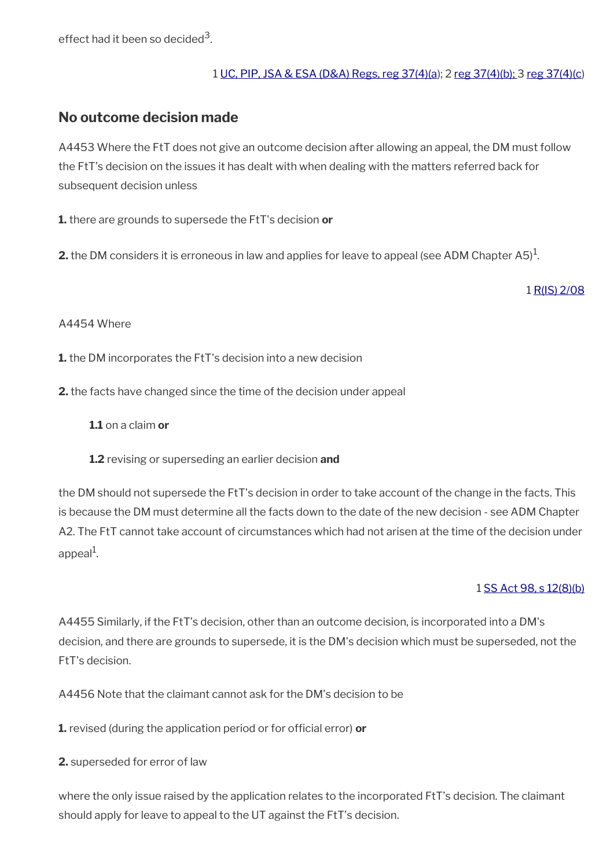effect had it been so decided $^3$ .

#### 1 [UC, PIP, JSA & ESA \(D&A\) Regs, reg 37\(4\)\(a](http://www.legislation.gov.uk/uksi/2013/381/regulation/37)); 2 [reg 37\(4\)\(b\); 3](http://www.legislation.gov.uk/uksi/2013/381/regulation/37) [reg 37\(4\)\(c](http://www.legislation.gov.uk/uksi/2013/381/regulation/37))

### <span id="page-49-0"></span>**No outcome decision made**

A4453 Where the FtT does not give an outcome decision after allowing an appeal, the DM must follow the FtT's decision on the issues it has dealt with when dealing with the matters referred back for subsequent decision unless

**1.** there are grounds to supersede the FtT's decision **or**

**2.** the DM considers it is erroneous in law and applies for leave to appeal (see ADM Chapter A5) $^1$ .

1 [R\(IS\) 2/08](http://intranet.dwp.gov.uk/manual/decision-benefit/ris-2-08)

#### A4454 Where

- **1.** the DM incorporates the FtT's decision into a new decision
- **2.** the facts have changed since the time of the decision under appeal

**1.1** on a claim **or**

**1.2** revising or superseding an earlier decision **and**

the DM should not supersede the FtT's decision in order to take account of the change in the facts. This is because the DM must determine all the facts down to the date of the new decision - see ADM Chapter A2. The FtT cannot take account of circumstances which had not arisen at the time of the decision under appeal<sup>1</sup>.

#### 1 [SS Act 98, s 12\(8\)\(b\)](http://www.legislation.gov.uk/ukpga/1998/14/contents)

A4455 Similarly, if the FtT's decision, other than an outcome decision, is incorporated into a DM's decision, and there are grounds to supersede, it is the DM's decision which must be superseded, not the FtT's decision.

A4456 Note that the claimant cannot ask for the DM's decision to be

**1.** revised (during the application period or for official error) **or** 

**2.** superseded for error of law

where the only issue raised by the application relates to the incorporated FtT's decision. The claimant should apply for leave to appeal to the UT against the FtT's decision.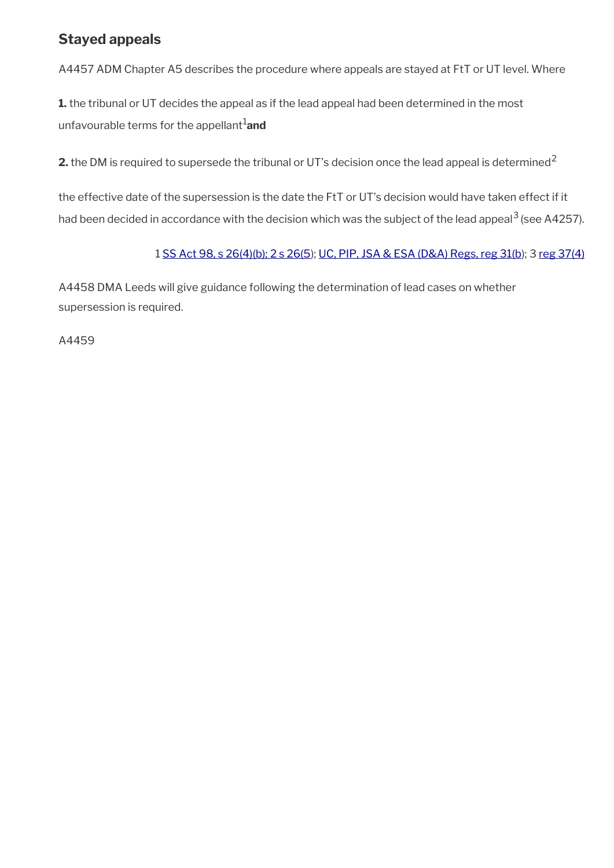### <span id="page-50-0"></span>**Stayed appeals**

A4457 ADM Chapter A5 describes the procedure where appeals are stayed at FtT or UT level. Where

**1.** the tribunal or UT decides the appeal as if the lead appeal had been determined in the most unfavourable terms for the appellant<sup>1</sup>and

**2.** the DM is required to supersede the tribunal or UT's decision once the lead appeal is determined<sup>2</sup>

the effective date of the supersession is the date the FtT or UT's decision would have taken effect if it had been decided in accordance with the decision which was the subject of the lead appeal<sup>3</sup> (see A4257).

#### 1 [SS Act 98, s 26\(4\)\(b\); 2 s 26\(5](http://www.legislation.gov.uk/ukpga/1998/14/contents)); [UC, PIP, JSA & ESA \(D&A\) Regs, reg 31\(b\)](http://www.legislation.gov.uk/uksi/2013/381/regulation/31); 3 [reg 37\(4\)](http://www.legislation.gov.uk/uksi/2013/381/regulation/37)

A4458 DMA Leeds will give guidance following the determination of lead cases on whether supersession is required.

A4459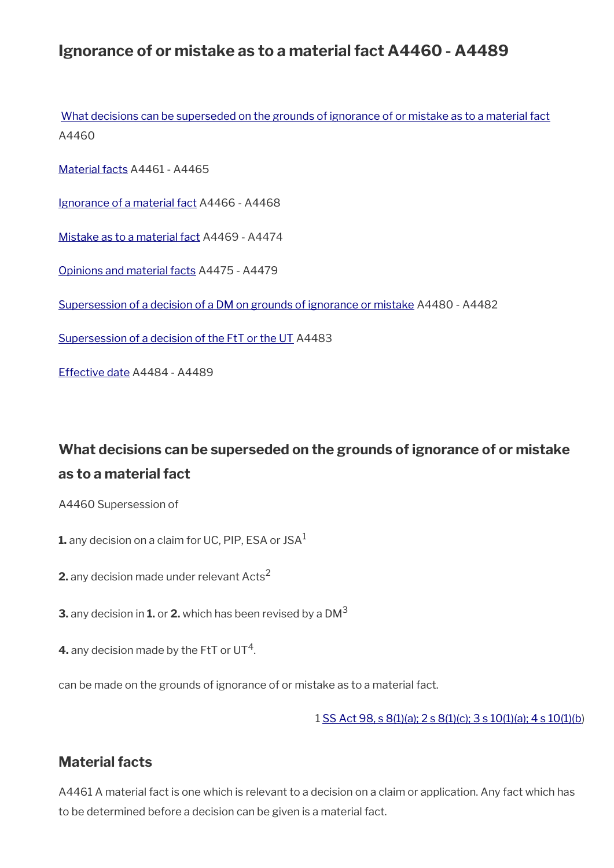## **Ignorance of or mistake as to a material fact A4460 - A4489**

[What decisions can be superseded on the grounds of ignorance of or mistake as to a material fact](#page-51-1) A4460

[Material facts](#page-51-0) A4461 - A4465

[Ignorance of a material fact](#page-52-0) A4466 - A4468

[Mistake as to a material fact](#page-53-0) A4469 - A4474

[Opinions and material facts](#page-54-1) A4475 - A4479

[Supersession of a decision of a DM on grounds of ignorance or mistake](#page-54-0) A4480 - A4482

[Supersession of a decision of the FtT or the UT](#page-55-1) A4483

[Effective date](#page-55-0) A4484 - A4489

## <span id="page-51-1"></span>**What decisions can be superseded on the grounds of ignorance of or mistake as to a material fact**

A4460 Supersession of

**1.** any decision on a claim for UC, PIP, ESA or JSA<sup>1</sup>

**2.** any decision made under relevant Acts<sup>2</sup>

**3.** any decision in **1.** or **2.** which has been revised by a DM<sup>3</sup>

**4.** any decision made by the FtT or UT<sup>4</sup>.

can be made on the grounds of ignorance of or mistake as to a material fact.

1 [SS Act 98, s 8\(1\)\(a\); 2 s 8\(1\)\(c\); 3 s 10\(1\)\(a\); 4 s 10\(1\)\(b](http://www.legislation.gov.uk/ukpga/1998/14/contents))

### <span id="page-51-0"></span>**Material facts**

A4461 A material fact is one which is relevant to a decision on a claim or application. Any fact which has to be determined before a decision can be given is a material fact.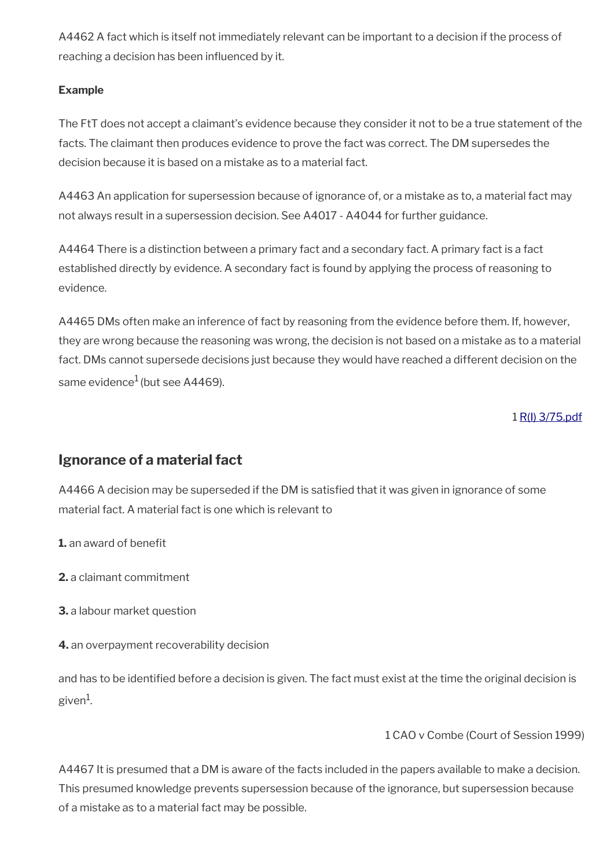A4462 A fact which is itself not immediately relevant can be important to a decision if the process of reaching a decision has been infuenced by it.

#### **Example**

The FtT does not accept a claimant's evidence because they consider it not to be a true statement of the facts. The claimant then produces evidence to prove the fact was correct. The DM supersedes the decision because it is based on a mistake as to a material fact.

A4463 An application for supersession because of ignorance of, or a mistake as to, a material fact may not always result in a supersession decision. See A4017 - A4044 for further guidance.

A4464 There is a distinction between a primary fact and a secondary fact. A primary fact is a fact established directly by evidence. A secondary fact is found by applying the process of reasoning to evidence.

A4465 DMs often make an inference of fact by reasoning from the evidence before them. If, however, they are wrong because the reasoning was wrong, the decision is not based on a mistake as to a material fact. DMs cannot supersede decisions just because they would have reached a different decision on the same evidence $<sup>1</sup>$  (but see A4469).</sup>

1 [R\(I\) 3/75.pdf](../file/869088/download/R%2528I%2529%25203%252F75.pdf)

### <span id="page-52-0"></span>**Ignorance of a material fact**

A4466 A decision may be superseded if the DM is satisfied that it was given in ignorance of some material fact. A material fact is one which is relevant to

**1.** an award of benefit

**2.** a claimant commitment

**3.** a labour market question

**4.** an overpayment recoverability decision

and has to be identifed before a decision is given. The fact must exist at the time the original decision is given $^1$ .

1 CAO v Combe (Court of Session 1999)

A4467 It is presumed that a DM is aware of the facts included in the papers available to make a decision. This presumed knowledge prevents supersession because of the ignorance, but supersession because of a mistake as to a material fact may be possible.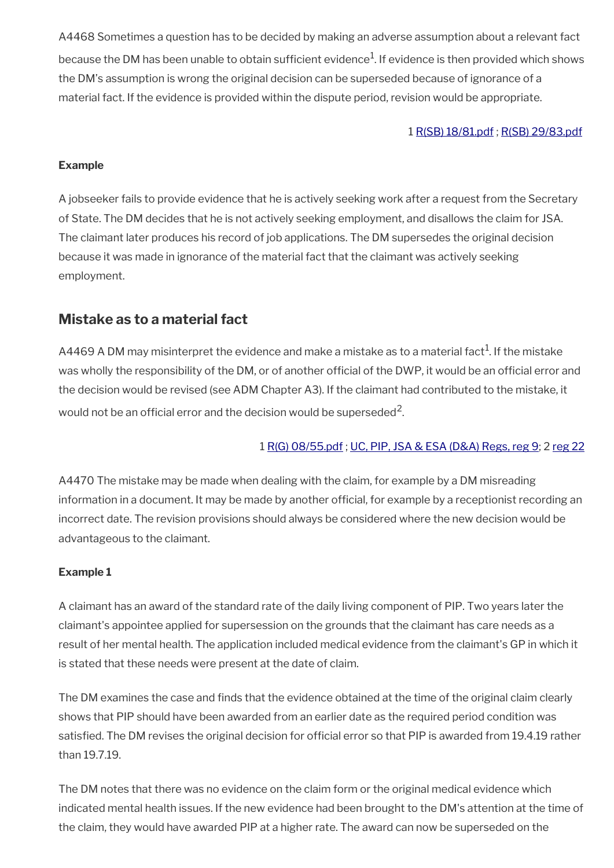A4468 Sometimes a question has to be decided by making an adverse assumption about a relevant fact because the DM has been unable to obtain sufficient evidence $^1$ . If evidence is then provided which shows the DM's assumption is wrong the original decision can be superseded because of ignorance of a material fact. If the evidence is provided within the dispute period, revision would be appropriate.

#### 1 [R\(SB\) 18/81.pdf](../file/869092/download/R%2528SB%2529%252018%252F81.pdf) ; [R\(SB\) 29/83.pdf](../file/869095/download/R%2528SB%2529%252029%252F83.pdf)

#### **Example**

A jobseeker fails to provide evidence that he is actively seeking work after a request from the Secretary of State. The DM decides that he is not actively seeking employment, and disallows the claim for JSA. The claimant later produces his record of job applications. The DM supersedes the original decision because it was made in ignorance of the material fact that the claimant was actively seeking employment.

### <span id="page-53-0"></span>**Mistake as to a material fact**

<code>A4469</code> A DM may misinterpret the evidence and make a mistake as to a material fact $^{\rm 1}$ . If the mistake was wholly the responsibility of the DM, or of another official of the DWP, it would be an official error and the decision would be revised (see ADM Chapter A3). If the claimant had contributed to the mistake, it would not be an official error and the decision would be superseded<sup>2</sup>.

#### 1 [R\(G\) 08/55.pdf](../file/869103/download/R%2528G%2529%252008%252F55.pdf) ; [UC, PIP, JSA & ESA \(D&A\) Regs, reg 9;](http://www.legislation.gov.uk/uksi/2013/381/regulation/9) 2 [reg 22](http://www.legislation.gov.uk/uksi/2013/381/regulation/22)

A4470 The mistake may be made when dealing with the claim, for example by a DM misreading information in a document. It may be made by another official, for example by a receptionist recording an incorrect date. The revision provisions should always be considered where the new decision would be advantageous to the claimant.

#### **Example 1**

A claimant has an award of the standard rate of the daily living component of PIP. Two years later the claimant's appointee applied for supersession on the grounds that the claimant has care needs as a result of her mental health. The application included medical evidence from the claimant's GP in which it is stated that these needs were present at the date of claim.

The DM examines the case and finds that the evidence obtained at the time of the original claim clearly shows that PIP should have been awarded from an earlier date as the required period condition was satisfied. The DM revises the original decision for official error so that PIP is awarded from 19.4.19 rather than 19.7.19.

The DM notes that there was no evidence on the claim form or the original medical evidence which indicated mental health issues. If the new evidence had been brought to the DM's attention at the time of the claim, they would have awarded PIP at a higher rate. The award can now be superseded on the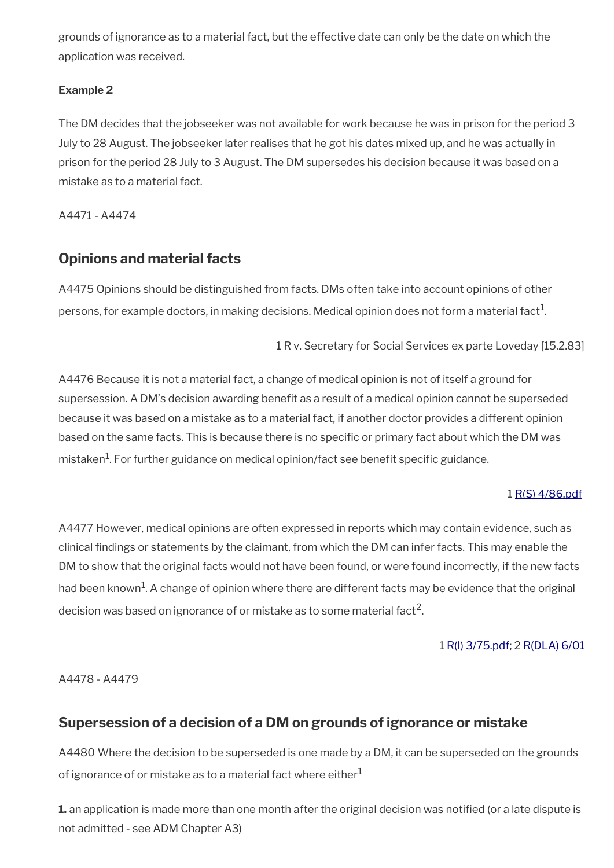grounds of ignorance as to a material fact, but the effective date can only be the date on which the application was received.

#### **Example 2**

The DM decides that the jobseeker was not available for work because he was in prison for the period 3 July to 28 August. The jobseeker later realises that he got his dates mixed up, and he was actually in prison for the period 28 July to 3 August. The DM supersedes his decision because it was based on a mistake as to a material fact.

A4471 - A4474

### <span id="page-54-1"></span>**Opinions and material facts**

A4475 Opinions should be distinguished from facts. DMs often take into account opinions of other persons, for example doctors, in making decisions. Medical opinion does not form a material fact $^1$ .

1 R v. Secretary for Social Services ex parte Loveday [15.2.83]

A4476 Because it is not a material fact, a change of medical opinion is not of itself a ground for supersession. A DM's decision awarding beneft as a result of a medical opinion cannot be superseded because it was based on a mistake as to a material fact, if another doctor provides a different opinion based on the same facts. This is because there is no specific or primary fact about which the DM was mistaken<sup>1</sup>. For further guidance on medical opinion/fact see benefit specific guidance.

### 1 [R\(S\) 4/86.pdf](../file/869112/download/R%2528S%2529%25204%252F86.pdf)

A4477 However, medical opinions are often expressed in reports which may contain evidence, such as clinical fndings or statements by the claimant, from which the DM can infer facts. This may enable the DM to show that the original facts would not have been found, or were found incorrectly, if the new facts had been known $^{\! 1}$ . A change of opinion where there are different facts may be evidence that the original decision was based on ignorance of or mistake as to some material fact<sup>2</sup>.

### 1 [R\(I\) 3/75.pdf](../file/869118/download/R%2528I%2529%25203%252F75.pdf); 2 [R\(DLA\) 6/01](http://intranet.dwp.gov.uk/manual/decision-benefit/rdla-6-01)

A4478 - A4479

### <span id="page-54-0"></span>**Supersession of a decision of a DM on grounds of ignorance or mistake**

A4480 Where the decision to be superseded is one made by a DM, it can be superseded on the grounds of ignorance of or mistake as to a material fact where either  $1$ 

**1.** an application is made more than one month after the original decision was notifed (or a late dispute is not admitted - see ADM Chapter A3)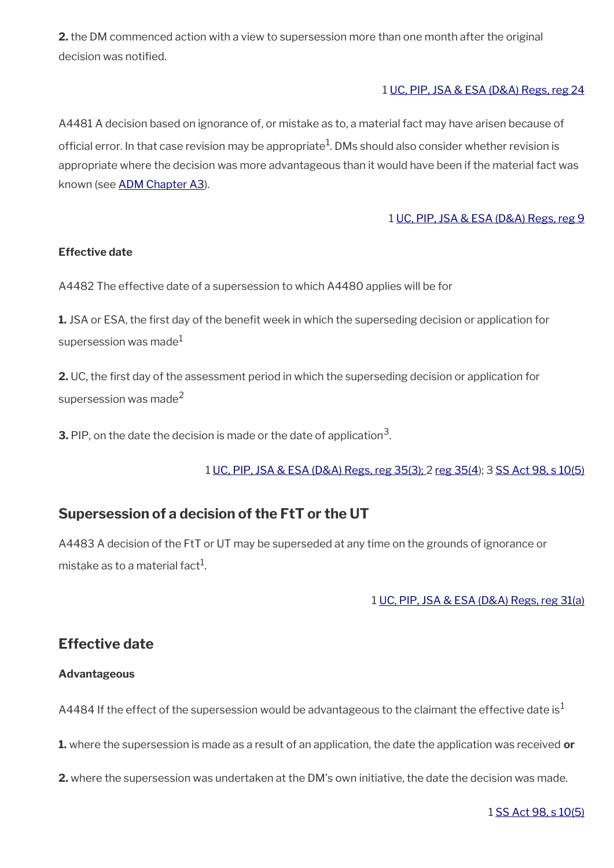**2.** the DM commenced action with a view to supersession more than one month after the original decision was notified.

#### 1 [UC, PIP, JSA & ESA \(D&A\) Regs, reg 24](http://www.legislation.gov.uk/uksi/2013/381/regulation/24)

A4481 A decision based on ignorance of, or mistake as to, a material fact may have arisen because of official error. In that case revision may be appropriate $^1$ . DMs should also consider whether revision is appropriate where the decision was more advantageous than it would have been if the material fact was known (see [ADM Chapter A3](http://intranet.dwp.gov.uk/manual/advice-decision-making-adm/adm-a3-revision)).

#### 1 [UC, PIP, JSA & ESA \(D&A\) Regs, reg 9](http://www.legislation.gov.uk/uksi/2013/381/regulation/9)

#### **Effective date**

A4482 The effective date of a supersession to which A4480 applies will be for

**1.** JSA or ESA, the first day of the benefit week in which the superseding decision or application for supersession was made<sup>1</sup>

**2.** UC, the frst day of the assessment period in which the superseding decision or application for supersession was made<sup>2</sup>

**3.** PIP, on the date the decision is made or the date of application $^3$ .

1 [UC, PIP, JSA & ESA \(D&A\) Regs, reg 35\(3\);](http://www.legislation.gov.uk/uksi/2013/381/regulation/35) 2 [reg 35\(4](http://www.legislation.gov.uk/uksi/2013/381/regulation/35)); 3 [SS Act 98, s 10\(5\)](http://www.legislation.gov.uk/ukpga/1998/14/contents)

### <span id="page-55-1"></span>**Supersession of a decision of the FtT or the UT**

A4483 A decision of the FtT or UT may be superseded at any time on the grounds of ignorance or mistake as to a material fact $^{\rm 1}$ .

1 [UC, PIP, JSA & ESA \(D&A\) Regs, reg 31\(a\)](http://www.legislation.gov.uk/uksi/2013/381/regulation/31)

### <span id="page-55-0"></span>**Effective date**

#### **Advantageous**

A4484 If the effect of the supersession would be advantageous to the claimant the effective date is<sup>1</sup>

**1.** where the supersession is made as a result of an application, the date the application was received **or**

**2.** where the supersession was undertaken at the DM's own initiative, the date the decision was made.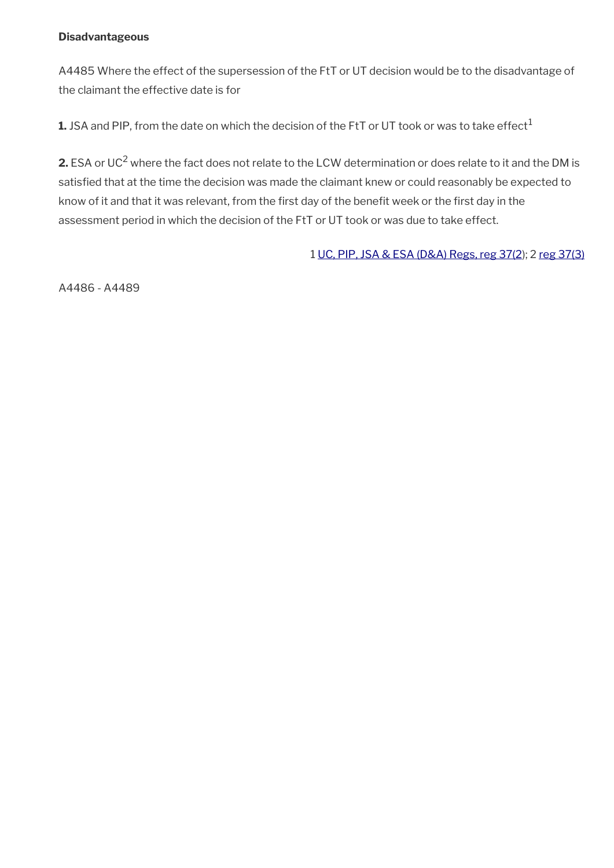#### **Disadvantageous**

A4485 Where the effect of the supersession of the FtT or UT decision would be to the disadvantage of the claimant the effective date is for

1. JSA and PIP, from the date on which the decision of the FtT or UT took or was to take effect<sup>1</sup>

**2.** ESA or UC<sup>2</sup> where the fact does not relate to the LCW determination or does relate to it and the DM is satisfed that at the time the decision was made the claimant knew or could reasonably be expected to know of it and that it was relevant, from the first day of the benefit week or the first day in the assessment period in which the decision of the FtT or UT took or was due to take effect.

1 [UC, PIP, JSA & ESA \(D&A\) Regs, reg 37\(2](http://www.legislation.gov.uk/uksi/2013/381/regulation/37)); 2 [reg 37\(3\)](http://www.legislation.gov.uk/uksi/2013/381/regulation/37)

A4486 - A4489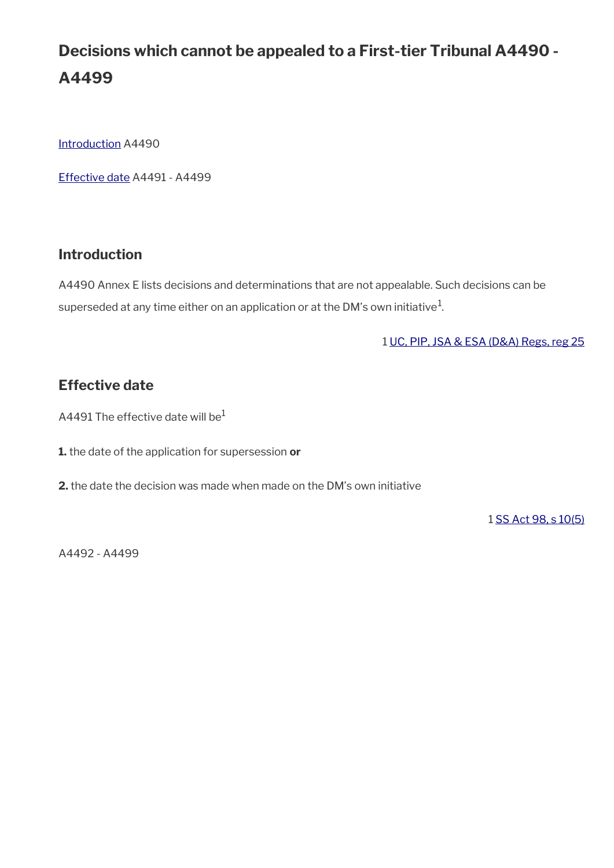# **Decisions which cannot be appealed to a First-tier Tribunal A4490 - A4499**

[Introduction](#page-6-0) A4490

[Effective date](#page-55-0) A4491 - A4499

### **Introduction**

A4490 Annex E lists decisions and determinations that are not appealable. Such decisions can be superseded at any time either on an application or at the DM's own initiative $^{\mathrm{1}}$ .

1 [UC, PIP, JSA & ESA \(D&A\) Regs, reg 25](http://www.legislation.gov.uk/uksi/2013/381/regulation/25)

### **Effective date**

A4491 The effective date will be $1$ 

**1.** the date of the application for supersession **or**

**2.** the date the decision was made when made on the DM's own initiative

1 [SS Act 98, s 10\(5\)](http://www.legislation.gov.uk/ukpga/1998/14/contents)

A4492 - A4499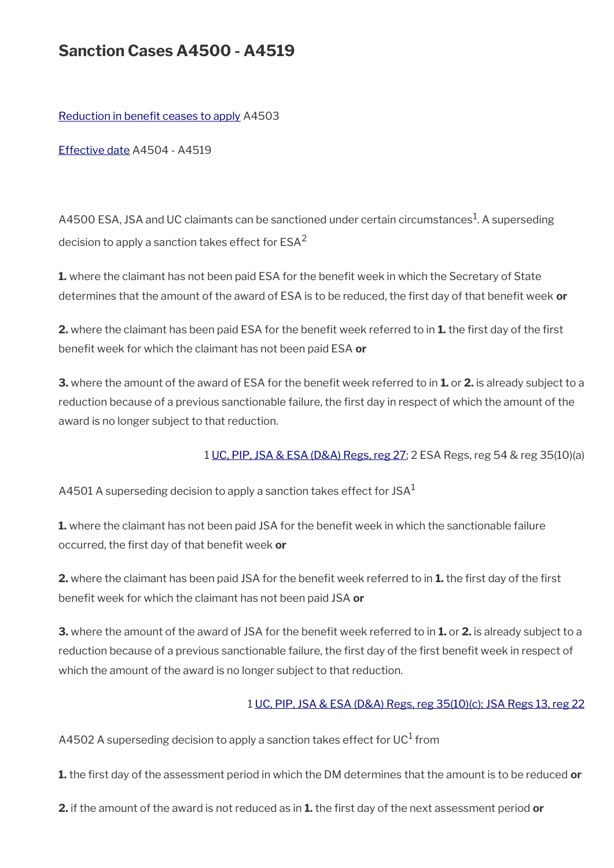## **Sanction Cases A4500 - A4519**

Reduction in benefit ceases to apply A4503

[Effective date](#page-59-0) A4504 - A4519

A4500 ESA, JSA and UC claimants can be sanctioned under certain circumstances<sup>1</sup>. A superseding decision to apply a sanction takes effect for  $ESA<sup>2</sup>$ 

**1.** where the claimant has not been paid ESA for the benefit week in which the Secretary of State determines that the amount of the award of ESA is to be reduced, the first day of that benefit week or

**2.** where the claimant has been paid ESA for the benefit week referred to in **1.** the first day of the first benefit week for which the claimant has not been paid ESA or

**3.** where the amount of the award of ESA for the benefit week referred to in **1.** or **2.** is already subject to a reduction because of a previous sanctionable failure, the first day in respect of which the amount of the award is no longer subject to that reduction.

1 [UC, PIP, JSA & ESA \(D&A\) Regs, reg 27;](http://www.legislation.gov.uk/uksi/2013/381/regulation/27) 2 ESA Regs, reg 54 & reg 35(10)(a)

A4501 A superseding decision to apply a sanction takes effect for JSA $<sup>1</sup>$ </sup>

**1.** where the claimant has not been paid JSA for the benefit week in which the sanctionable failure occurred, the first day of that benefit week or

**2.** where the claimant has been paid JSA for the benefit week referred to in **1.** the first day of the first benefit week for which the claimant has not been paid JSA or

**3.** where the amount of the award of JSA for the benefit week referred to in **1.** or **2.** is already subject to a reduction because of a previous sanctionable failure, the first day of the first benefit week in respect of which the amount of the award is no longer subject to that reduction.

#### 1 [UC, PIP, JSA & ESA \(D&A\) Regs, reg 35\(10\)\(c\);](http://www.legislation.gov.uk/uksi/2013/381/regulation/35) [JSA Regs 13, reg 22](http://www.legislation.gov.uk/uksi/2013/378/regulation/22)

A4502 A superseding decision to apply a sanction takes effect for UC $^{\rm 1}$  from

**1.** the frst day of the assessment period in which the DM determines that the amount is to be reduced **or**

**2.** if the amount of the award is not reduced as in **1.** the first day of the next assessment period or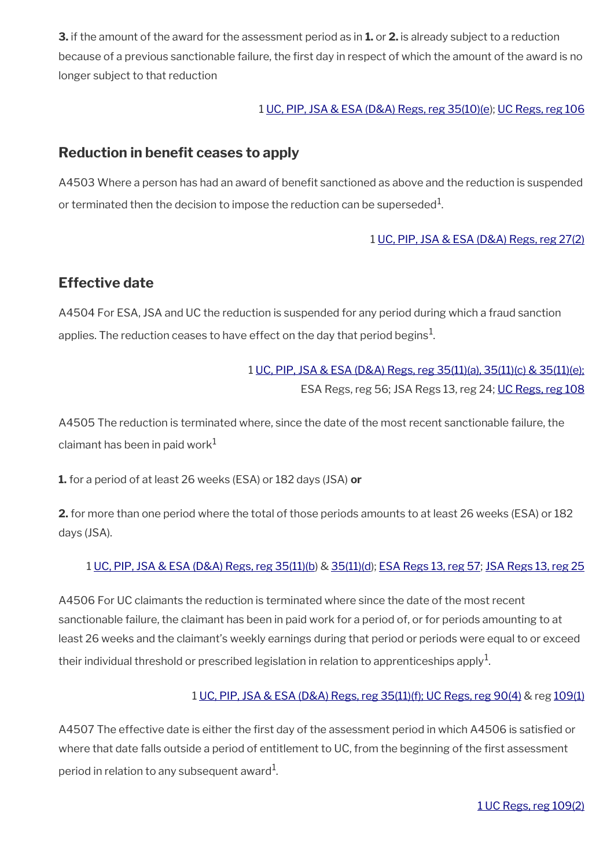**3.** if the amount of the award for the assessment period as in **1.** or **2.** is already subject to a reduction because of a previous sanctionable failure, the frst day in respect of which the amount of the award is no longer subject to that reduction

#### 1 [UC, PIP, JSA & ESA \(D&A\) Regs, reg 35\(10\)\(e](http://www.legislation.gov.uk/uksi/2013/381/regulation/35)); [UC Regs, reg 106](http://www.legislation.gov.uk/uksi/2013/376/regulation/106)

### <span id="page-59-1"></span>**Reduction in benefit ceases to apply**

A4503 Where a person has had an award of benefit sanctioned as above and the reduction is suspended or terminated then the decision to impose the reduction can be superseded $^{\rm 1}$ .

#### 1 [UC, PIP, JSA & ESA \(D&A\) Regs, reg 27\(2\)](http://www.legislation.gov.uk/uksi/2013/381/regulation/27)

### <span id="page-59-0"></span>**Effective date**

A4504 For ESA, JSA and UC the reduction is suspended for any period during which a fraud sanction applies. The reduction ceases to have effect on the day that period begins $^{\mathrm{1}}$ .

### 1 [UC, PIP, JSA & ESA \(D&A\) Regs, reg 35\(11\)\(a\), 35\(11\)\(c\) & 35\(11\)\(e\);](http://www.legislation.gov.uk/uksi/2013/381/regulation/35) ESA Regs, reg 56; JSA Regs 13, reg 24; [UC Regs, reg 108](http://www.legislation.gov.uk/uksi/2013/376/regulation/108)

A4505 The reduction is terminated where, since the date of the most recent sanctionable failure, the claimant has been in paid work $1$ 

**1.** for a period of at least 26 weeks (ESA) or 182 days (JSA) **or**

**2.** for more than one period where the total of those periods amounts to at least 26 weeks (ESA) or 182 days (JSA).

### 1 [UC, PIP, JSA & ESA \(D&A\) Regs, reg 35\(11\)\(b\)](http://intranet.dwp.gov.uk/node/913657/edit) & [35\(11\)\(d\)](http://intranet.dwp.gov.uk/node/913657/edit); [ESA Regs 13, reg 57](http://www.legislation.gov.uk/uksi/2013/379/regulation/57); [JSA Regs 13, reg 25](http://www.legislation.gov.uk/uksi/2013/378/regulation/25)

A4506 For UC claimants the reduction is terminated where since the date of the most recent sanctionable failure, the claimant has been in paid work for a period of, or for periods amounting to at least 26 weeks and the claimant's weekly earnings during that period or periods were equal to or exceed their individual threshold or prescribed legislation in relation to apprenticeships apply $^{\mathrm{1}}$ .

#### 1 [UC, PIP, JSA & ESA \(D&A\) Regs, reg 35\(11\)\(f\);](http://www.legislation.gov.uk/uksi/2013/381/regulation/35) [UC Regs, reg 90\(4\)](http://www.legislation.gov.uk/uksi/2013/376/regulation/90) & reg [109\(1\)](http://www.legislation.gov.uk/uksi/2013/376/regulation/109)

A4507 The effective date is either the frst day of the assessment period in which A4506 is satisfed or where that date falls outside a period of entitlement to UC, from the beginning of the first assessment period in relation to any subsequent award $^1\!$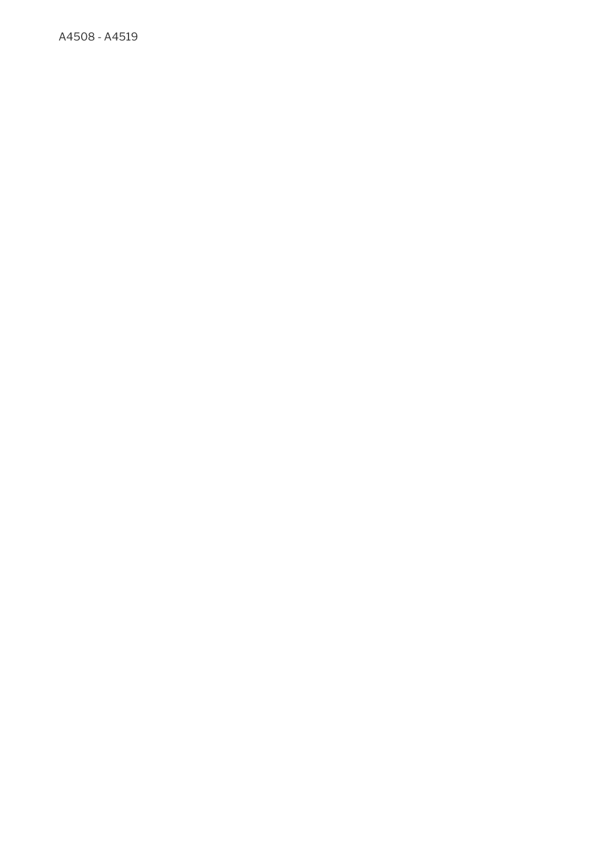A4508 - A4519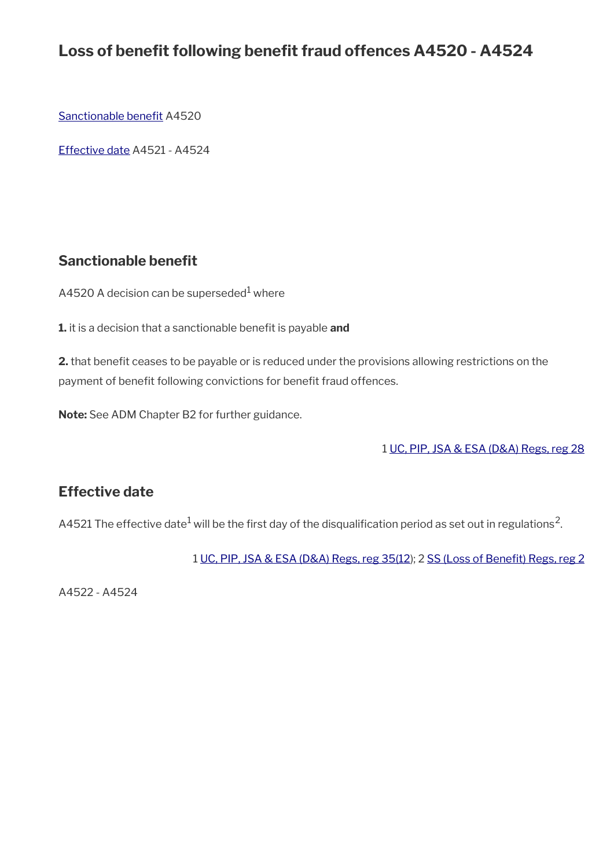## Loss of benefit following benefit fraud offences A4520 - A4524

Sanctionable benefit A4520

[Effective date](#page-55-0) A4521 - A4524

### <span id="page-61-0"></span>**Sanctionable benefit**

A4520 A decision can be superseded $^{\rm 1}$  where

**1.** it is a decision that a sanctionable benefit is payable and

**2.** that benefit ceases to be payable or is reduced under the provisions allowing restrictions on the payment of benefit following convictions for benefit fraud offences.

**Note:** See ADM Chapter B2 for further guidance.

1 [UC, PIP, JSA & ESA \(D&A\) Regs, reg 28](http://www.legislation.gov.uk/uksi/2013/381/regulation/28)

### **Effective date**

A4521 The effective date $^1$  will be the first day of the disqualification period as set out in regulations<sup>2</sup>.

1 [UC, PIP, JSA & ESA \(D&A\) Regs, reg 35\(12](http://www.legislation.gov.uk/uksi/2013/381/regulation/35)); 2 [SS \(Loss of Beneft\) Regs, reg 2](http://www.legislation.gov.uk/uksi/2001/4022/regulation/2)

A4522 - A4524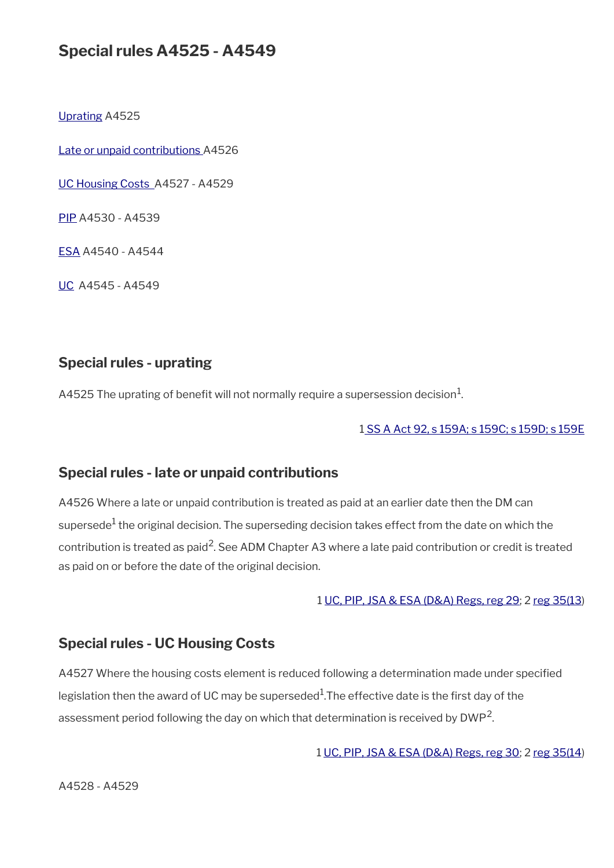## **Special rules A4525 - A4549**

[Uprating](#page-62-2) A4525

[Late or unpaid contributions A](#page-62-1)4526

[UC Housing Costs](#page-62-0) A4527 - A4529

[PIP](#page-63-0) A4530 - A4539

[ESA](#page-64-0) A4540 - A4544

[UC](#page-32-0) A4545 - A4549

### <span id="page-62-2"></span>**Special rules - uprating**

A4525 The uprating of benefit will not normally require a supersession decision $^1\!\!$ .

#### [1 SS A Act 92, s 159A; s 159C; s 159D; s 159E](http://www.legislation.gov.uk/ukpga/1992/5/contents)

#### <span id="page-62-1"></span>**Special rules - late or unpaid contributions**

A4526 Where a late or unpaid contribution is treated as paid at an earlier date then the DM can supersede $^{\rm 1}$  the original decision. The superseding decision takes effect from the date on which the contribution is treated as paid<sup>2</sup>. See ADM Chapter A3 where a late paid contribution or credit is treated as paid on or before the date of the original decision.

#### 1 [UC, PIP, JSA & ESA \(D&A\) Regs, reg 29](http://www.legislation.gov.uk/uksi/2013/381/regulation/29); 2 [reg 35\(13](http://www.legislation.gov.uk/uksi/2013/381/regulation/35))

#### <span id="page-62-0"></span>**Special rules - UC Housing Costs**

A4527 Where the housing costs element is reduced following a determination made under specifed legislation then the award of UC may be superseded $^1$ .The effective date is the first day of the assessment period following the day on which that determination is received by DWP<sup>2</sup>.

1 [UC, PIP, JSA & ESA \(D&A\) Regs, reg 30;](http://www.legislation.gov.uk/uksi/2013/381/regulation/30) 2 [reg 35\(14](http://www.legislation.gov.uk/uksi/2013/381/regulation/35))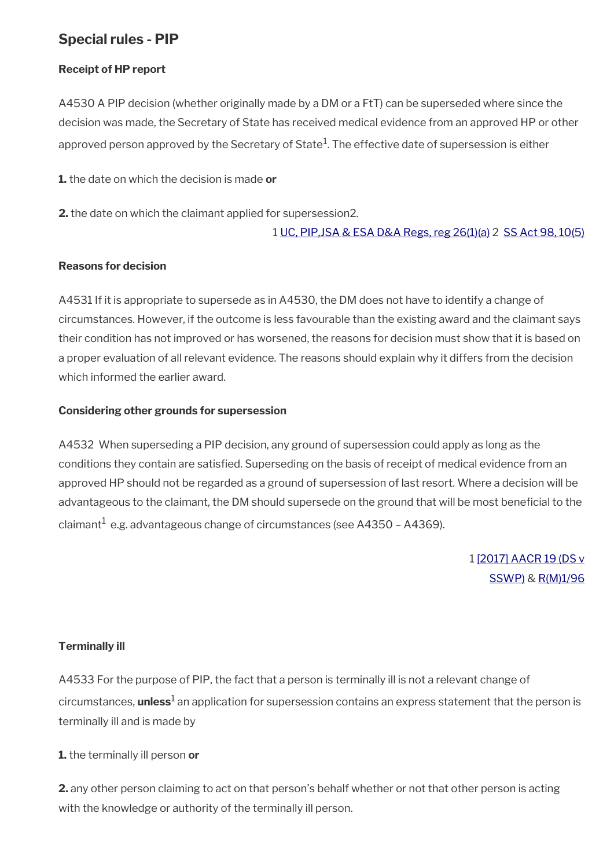### <span id="page-63-0"></span>**Special rules - PIP**

#### **Receipt of HP report**

A4530 A PIP decision (whether originally made by a DM or a FtT) can be superseded where since the decision was made, the Secretary of State has received medical evidence from an approved HP or other approved person approved by the Secretary of State $^1\!$ . The effective date of supersession is either

**1.** the date on which the decision is made **or**

**2.** the date on which the claimant applied for supersession2.

#### 1 [UC, PIP,JSA & ESA D&A Regs, reg 26\(1\)\(a\)](http://www.legislation.gov.uk/uksi/2013/381/regulation/26) 2 [SS Act 98, 10\(5\)](http://www.legislation.gov.uk/ukpga/1998/14/contents)

#### **Reasons for decision**

A4531 If it is appropriate to supersede as in A4530, the DM does not have to identify a change of circumstances. However, if the outcome is less favourable than the existing award and the claimant says their condition has not improved or has worsened, the reasons for decision must show that it is based on a proper evaluation of all relevant evidence. The reasons should explain why it differs from the decision which informed the earlier award.

#### **Considering other grounds for supersession**

A4532 When superseding a PIP decision, any ground of supersession could apply as long as the conditions they contain are satisfed. Superseding on the basis of receipt of medical evidence from an approved HP should not be regarded as a ground of supersession of last resort. Where a decision will be advantageous to the claimant, the DM should supersede on the ground that will be most beneficial to the claimant $^1$  e.g. advantageous change of circumstances (see A4350 – A4369).

> 1 [\[2017\] AACR 19 \(DS v](http://www.gov.uk/administrative-appeals-tribunal-decisions/ds-v-secretary-of-state-for-work-and-pensions-pip-2016-ukut-0538-aac) [SSWP\)](http://www.gov.uk/administrative-appeals-tribunal-decisions/ds-v-secretary-of-state-for-work-and-pensions-pip-2016-ukut-0538-aac) & [R\(M\)1/96](http://intranet.dwp.gov.uk/manual/decision-benefit/rm-1-96)

#### **Terminally ill**

A4533 For the purpose of PIP, the fact that a person is terminally ill is not a relevant change of circumstances, **unless**<sup>1</sup> an application for supersession contains an express statement that the person is terminally ill and is made by

**1.** the terminally ill person **or**

**2.** any other person claiming to act on that person's behalf whether or not that other person is acting with the knowledge or authority of the terminally ill person.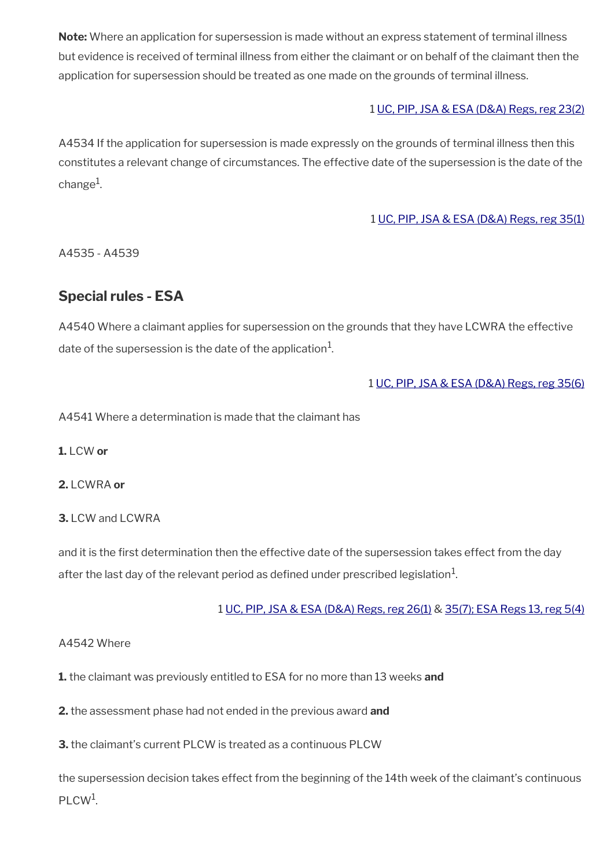**Note:** Where an application for supersession is made without an express statement of terminal illness but evidence is received of terminal illness from either the claimant or on behalf of the claimant then the application for supersession should be treated as one made on the grounds of terminal illness.

#### 1 [UC, PIP, JSA & ESA \(D&A\) Regs, reg 23\(2\)](http://www.legislation.gov.uk/uksi/2013/381/regulation/23)

A4534 If the application for supersession is made expressly on the grounds of terminal illness then this constitutes a relevant change of circumstances. The effective date of the supersession is the date of the change<sup>1</sup>.

#### 1 [UC, PIP, JSA & ESA \(D&A\) Regs, reg 35\(1\)](http://www.legislation.gov.uk/uksi/2013/381/regulation/35)

A4535 - A4539

### <span id="page-64-0"></span>**Special rules - ESA**

A4540 Where a claimant applies for supersession on the grounds that they have LCWRA the effective date of the supersession is the date of the application $^{\mathrm{1}}$ .

#### 1 [UC, PIP, JSA & ESA \(D&A\) Regs, reg 35\(6\)](http://www.legislation.gov.uk/uksi/2013/381/regulation/35)

A4541 Where a determination is made that the claimant has

**1.** LCW **or**

**2.** LCWRA **or**

**3.** LCW and LCWRA

and it is the first determination then the effective date of the supersession takes effect from the day after the last day of the relevant period as defined under prescribed legislation $^1$ .

#### 1 [UC, PIP, JSA & ESA \(D&A\) Regs, reg 26\(1\)](http://www.legislation.gov.uk/uksi/2013/381/regulation/26) & [35\(7\);](http://www.legislation.gov.uk/uksi/2013/381/regulation/35)[ESA Regs 13, reg 5\(4\)](http://www.legislation.gov.uk/uksi/2013/379/regulation/5)

#### A4542 Where

**1.** the claimant was previously entitled to ESA for no more than 13 weeks **and**

**2.** the assessment phase had not ended in the previous award **and**

**3.** the claimant's current PLCW is treated as a continuous PLCW

the supersession decision takes effect from the beginning of the 14th week of the claimant's continuous PLCW<sup>1</sup>.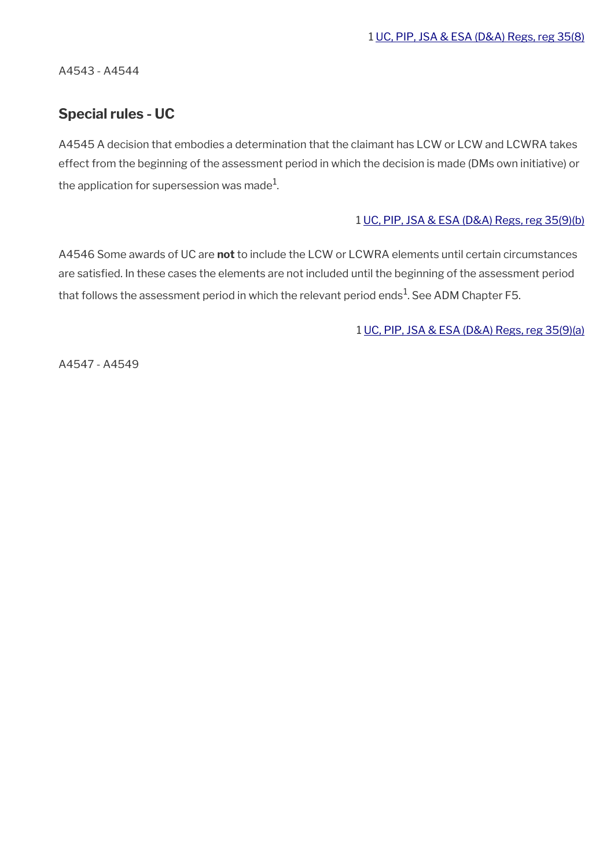A4543 - A4544

### **Special rules - UC**

A4545 A decision that embodies a determination that the claimant has LCW or LCW and LCWRA takes effect from the beginning of the assessment period in which the decision is made (DMs own initiative) or the application for supersession was made $^1\!\!$ 

#### 1 [UC, PIP, JSA & ESA \(D&A\) Regs, reg 35\(9\)\(b\)](http://www.legislation.gov.uk/uksi/2013/381/regulation/35)

A4546 Some awards of UC are **not** to include the LCW or LCWRA elements until certain circumstances are satisfied. In these cases the elements are not included until the beginning of the assessment period that follows the assessment period in which the relevant period ends $^{\rm 1}$ . See ADM Chapter F5.

1 [UC, PIP, JSA & ESA \(D&A\) Regs, reg 35\(9\)\(a\)](http://www.legislation.gov.uk/uksi/2013/381/regulation/35)

A4547 - A4549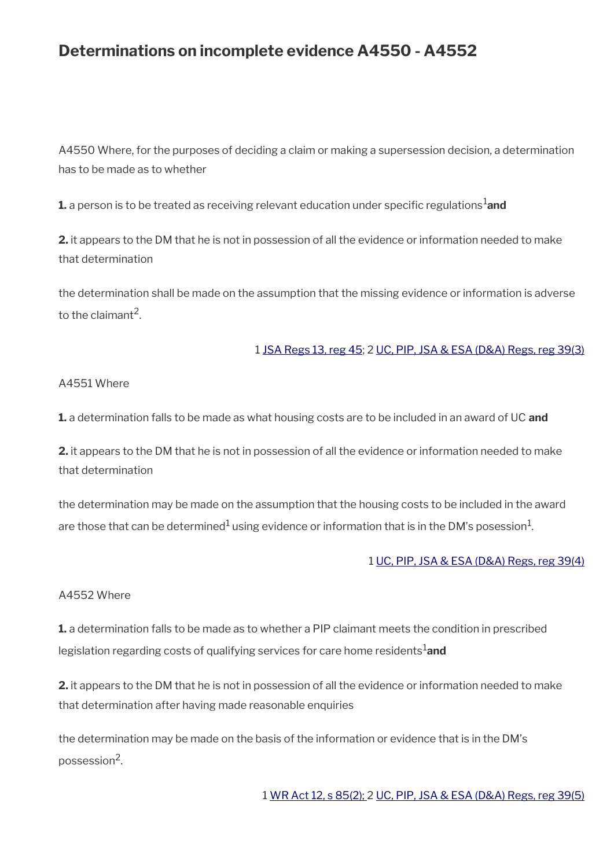## **Determinations on incomplete evidence A4550 - A4552**

A4550 Where, for the purposes of deciding a claim or making a supersession decision, a determination has to be made as to whether

**1.** a person is to be treated as receiving relevant education under specific regulations<sup>1</sup>and

**2.** it appears to the DM that he is not in possession of all the evidence or information needed to make that determination

the determination shall be made on the assumption that the missing evidence or information is adverse to the claimant<sup>2</sup>.

#### 1 [JSA Regs 13, reg 45;](http://www.legislation.gov.uk/uksi/2013/378/regulation/45) 2 [UC, PIP, JSA & ESA \(D&A\) Regs, reg 39\(3\)](http://www.legislation.gov.uk/uksi/2013/381/regulation/39)

#### A4551 Where

**1.** a determination falls to be made as what housing costs are to be included in an award of UC **and**

**2.** it appears to the DM that he is not in possession of all the evidence or information needed to make that determination

the determination may be made on the assumption that the housing costs to be included in the award are those that can be determined $^1$  using evidence or information that is in the DM's posession $^1$ .

#### 1 [UC, PIP, JSA & ESA \(D&A\) Regs, reg 39\(4\)](http://www.legislation.gov.uk/uksi/2013/381/regulation/39)

#### A4552 Where

**1.** a determination falls to be made as to whether a PIP claimant meets the condition in prescribed legislation regarding costs of qualifying services for care home residents<sup>1</sup>and

**2.** it appears to the DM that he is not in possession of all the evidence or information needed to make that determination after having made reasonable enquiries

the determination may be made on the basis of the information or evidence that is in the DM's possession<sup>2</sup>.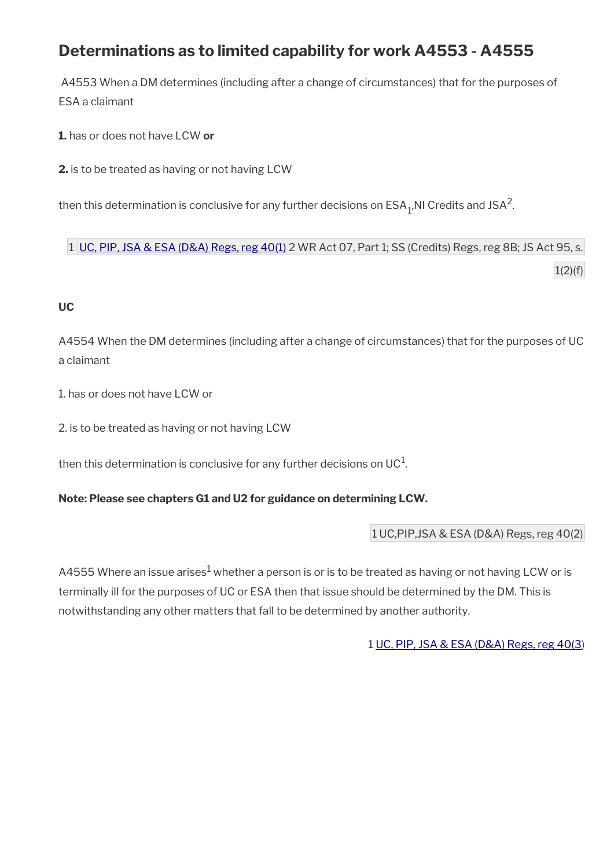## **Determinations as to limited capability for work A4553 - A4555**

A4553 When a DM determines (including after a change of circumstances) that for the purposes of ESA a claimant

**1.** has or does not have LCW **or**

**2.** is to be treated as having or not having LCW

then this determination is conclusive for any further decisions on  $\mathsf{ESA}_{\mathbb{1}^\prime}$ NI Credits and JSA<sup>2</sup>.

1 [UC, PIP, JSA & ESA \(D&A\) Regs, reg 40\(1\)](http://www.legislation.gov.uk/uksi/2013/381/regulation/40) 2 WR Act 07, Part 1; SS (Credits) Regs, reg 8B; JS Act 95, s.  $1(2)(f)$ 

#### **UC**

A4554 When the DM determines (including after a change of circumstances) that for the purposes of UC a claimant

1. has or does not have LCW or

2. is to be treated as having or not having LCW

then this determination is conclusive for any further decisions on UC $^{\rm 1}$ .

**Note: Please see chapters G1 and U2 for guidance on determining LCW.**

1 UC,PIP,JSA & ESA (D&A) Regs, reg 40(2)

A4555 Where an issue arises $^1$  whether a person is or is to be treated as having or not having LCW or is terminally ill for the purposes of UC or ESA then that issue should be determined by the DM. This is notwithstanding any other matters that fall to be determined by another authority.

1 [UC, PIP, JSA & ESA \(D&A\) Regs, reg 40\(3](http://www.legislation.gov.uk/uksi/2013/381/regulation/40))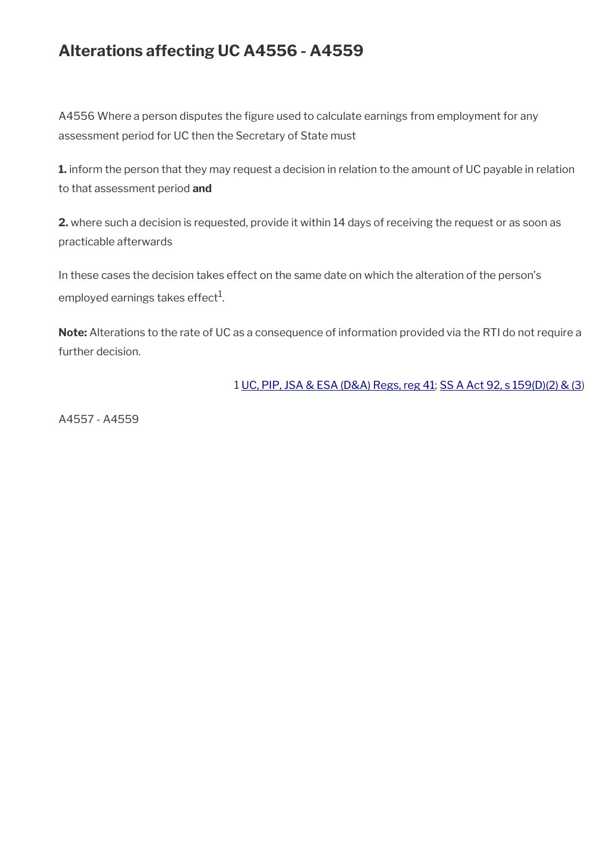## **Alterations affecting UC A4556 - A4559**

A4556 Where a person disputes the figure used to calculate earnings from employment for any assessment period for UC then the Secretary of State must

**1.** inform the person that they may request a decision in relation to the amount of UC payable in relation to that assessment period **and**

**2.** where such a decision is requested, provide it within 14 days of receiving the request or as soon as practicable afterwards

In these cases the decision takes effect on the same date on which the alteration of the person's employed earnings takes effect $^{\rm 1}$ .

**Note:** Alterations to the rate of UC as a consequence of information provided via the RTI do not require a further decision.

1 [UC, PIP, JSA & ESA \(D&A\) Regs, reg 41;](http://www.legislation.gov.uk/uksi/2013/381/regulation/41) [SS A Act 92, s 159\(D\)\(2\) & \(3](http://www.legislation.gov.uk/ukpga/1992/5/contents))

A4557 - A4559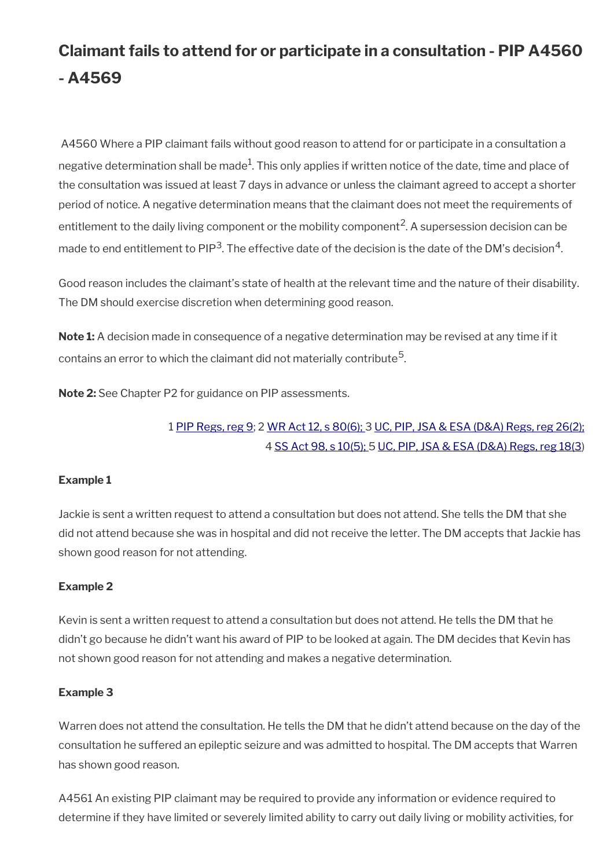# **Claimant fails to attend for or participate in a consultation - PIP A4560 - A4569**

A4560 Where a PIP claimant fails without good reason to attend for or participate in a consultation a negative determination shall be made $^1$ . This only applies if written notice of the date, time and place of the consultation was issued at least 7 days in advance or unless the claimant agreed to accept a shorter period of notice. A negative determination means that the claimant does not meet the requirements of entitlement to the daily living component or the mobility component<sup>2</sup>. A supersession decision can be made to end entitlement to PIP<sup>3</sup>. The effective date of the decision is the date of the DM's decision<sup>4</sup>.

Good reason includes the claimant's state of health at the relevant time and the nature of their disability. The DM should exercise discretion when determining good reason.

**Note 1:** A decision made in consequence of a negative determination may be revised at any time if it contains an error to which the claimant did not materially contribute $^5\!$ 

**Note 2:** See Chapter P2 for guidance on PIP assessments.

### 1 [PIP Regs, reg 9;](http://www.legislation.gov.uk/uksi/2013/377/regulation/9) 2 [WR Act 12, s 80\(6\);](http://www.legislation.gov.uk/ukpga/2012/5/section/80) 3 [UC, PIP, JSA & ESA \(D&A\) Regs, reg 26\(2\);](http://www.legislation.gov.uk/uksi/2013/381/regulation/26) 4 [SS Act 98, s 10\(5\);](http://www.legislation.gov.uk/ukpga/1998/14/contents) 5 [UC, PIP, JSA & ESA \(D&A\) Regs, reg 18\(3](http://www.legislation.gov.uk/uksi/2013/381/regulation/18))

#### **Example 1**

Jackie is sent a written request to attend a consultation but does not attend. She tells the DM that she did not attend because she was in hospital and did not receive the letter. The DM accepts that Jackie has shown good reason for not attending.

#### **Example 2**

Kevin is sent a written request to attend a consultation but does not attend. He tells the DM that he didn't go because he didn't want his award of PIP to be looked at again. The DM decides that Kevin has not shown good reason for not attending and makes a negative determination.

#### **Example 3**

Warren does not attend the consultation. He tells the DM that he didn't attend because on the day of the consultation he suffered an epileptic seizure and was admitted to hospital. The DM accepts that Warren has shown good reason.

A4561 An existing PIP claimant may be required to provide any information or evidence required to determine if they have limited or severely limited ability to carry out daily living or mobility activities, for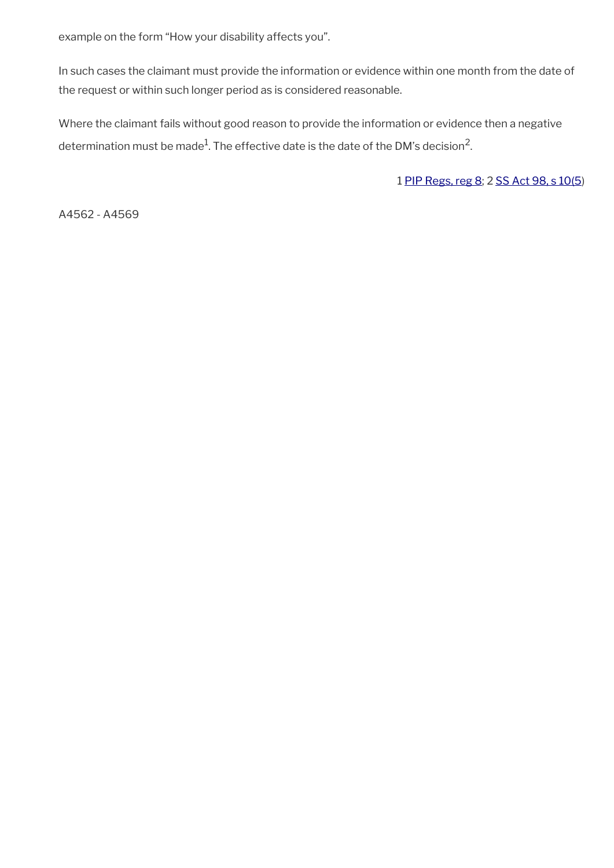example on the form "How your disability affects you".

In such cases the claimant must provide the information or evidence within one month from the date of the request or within such longer period as is considered reasonable.

Where the claimant fails without good reason to provide the information or evidence then a negative determination must be made $^1$ . The effective date is the date of the DM's decision<sup>2</sup>.

1 [PIP Regs, reg 8](http://www.legislation.gov.uk/uksi/2013/377/regulation/8); 2 [SS Act 98, s 10\(5](http://www.legislation.gov.uk/ukpga/1998/14/contents))

A4562 - A4569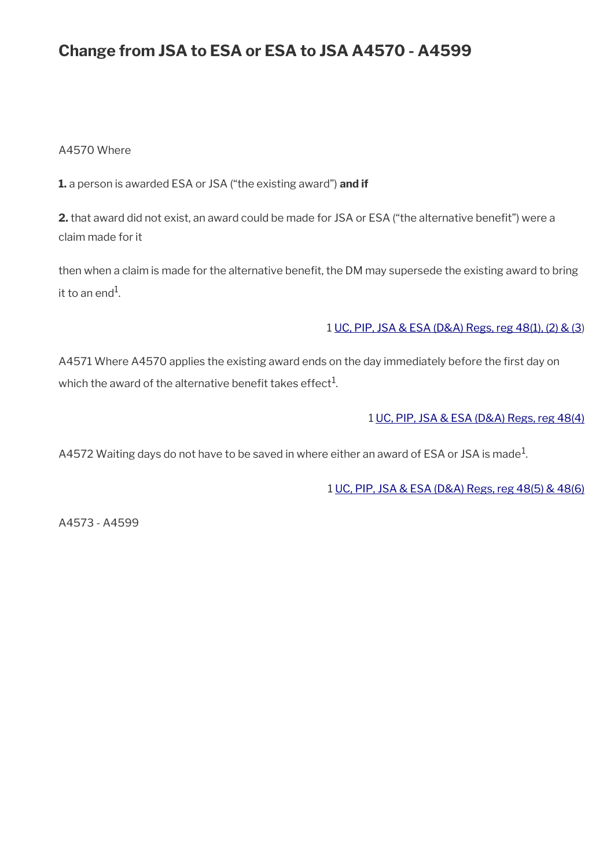## **Change from JSA to ESA or ESA to JSA A4570 - A4599**

#### A4570 Where

**1.** a person is awarded ESA or JSA ("the existing award") **and if**

**2.** that award did not exist, an award could be made for JSA or ESA ("the alternative beneft") were a claim made for it

then when a claim is made for the alternative benefit, the DM may supersede the existing award to bring it to an end $^{\rm 1}$ .

#### 1 [UC, PIP, JSA & ESA \(D&A\) Regs, reg 48\(1\), \(2\) & \(3](http://www.legislation.gov.uk/uksi/2013/381/regulation/48))

A4571 Where A4570 applies the existing award ends on the day immediately before the first day on which the award of the alternative benefit takes effect $^{\rm 1}$ .

1 [UC, PIP, JSA & ESA \(D&A\) Regs, reg 48\(4\)](http://www.legislation.gov.uk/uksi/2013/381/regulation/48)

A4572 Waiting days do not have to be saved in where either an award of ESA or JSA is made $^1\!$ 

1 [UC, PIP, JSA & ESA \(D&A\) Regs, reg 48\(5\) & 48\(6\)](http://www.legislation.gov.uk/uksi/2013/381/regulation/48)

A4573 - A4599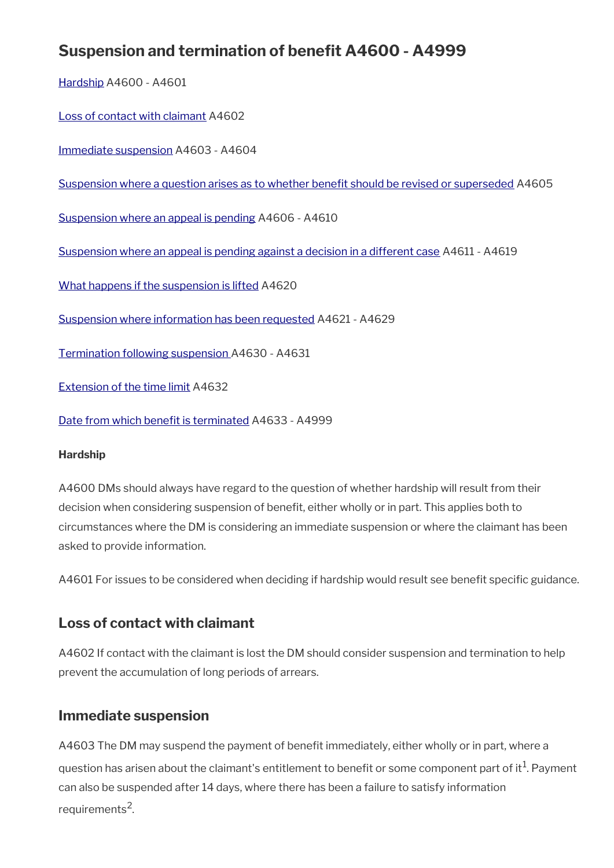# **Suspension and termination of benefit A4600 - A4999**

[Hardship](#page-72-2) A4600 - A4601

[Loss of contact with claimant](#page-72-1) A4602

[Immediate suspension](#page-72-0) A4603 - A4604

Suspension where a question arises as to whether benefit should be revised or superseded A4605

[Suspension where an appeal is pending](#page-73-0) A4606 - A4610

[Suspension where an appeal is pending against a decision in a different case](#page-75-0) A4611 - A4619

[What happens if the suspension is lifted](#page-76-1) A4620

[Suspension where information has been requested](#page-76-0) A4621 - A4629

[Termination following suspension](#page-78-0) A4630 - A4631

[Extension of the time limit](#page-79-1) A4632

Date from which benefit is terminated A4633 - A4999

#### <span id="page-72-2"></span>**Hardship**

A4600 DMs should always have regard to the question of whether hardship will result from their decision when considering suspension of benefit, either wholly or in part. This applies both to circumstances where the DM is considering an immediate suspension or where the claimant has been asked to provide information.

A4601 For issues to be considered when deciding if hardship would result see benefit specific guidance.

## <span id="page-72-1"></span>**Loss of contact with claimant**

A4602 If contact with the claimant is lost the DM should consider suspension and termination to help prevent the accumulation of long periods of arrears.

## <span id="page-72-0"></span>**Immediate suspension**

A4603 The DM may suspend the payment of benefit immediately, either wholly or in part, where a question has arisen about the claimant's entitlement to benefit or some component part of it $^1$ . Payment can also be suspended after 14 days, where there has been a failure to satisfy information requirements<sup>2</sup>.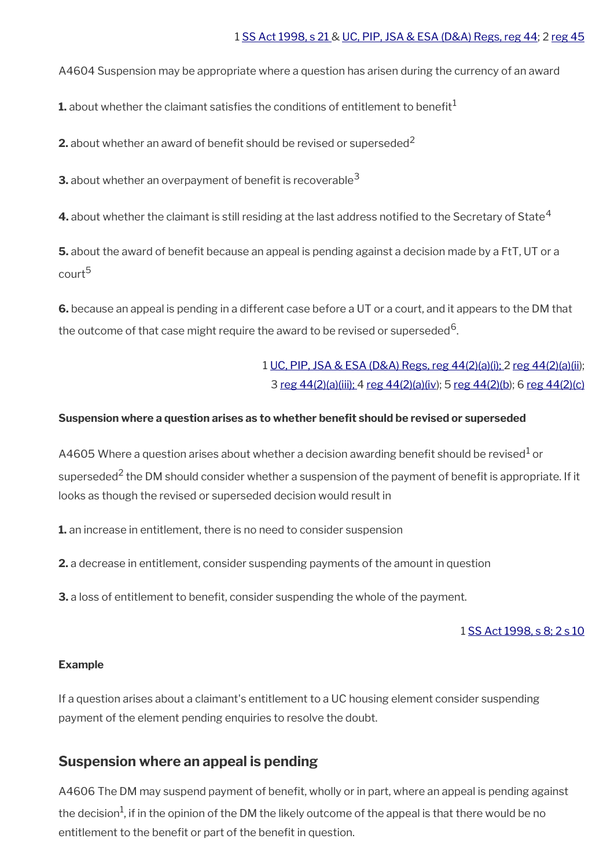#### 1 [SS Act 1998, s 21](http://www.legislation.gov.uk/ukpga/1998/14/contents) & [UC, PIP, JSA & ESA \(D&A\) Regs, reg 44](http://www.legislation.gov.uk/uksi/2013/381/regulation/44); 2 [reg 45](http://www.legislation.gov.uk/uksi/2013/381/regulation/45)

A4604 Suspension may be appropriate where a question has arisen during the currency of an award

**1.** about whether the claimant satisfies the conditions of entitlement to benefit<sup>1</sup>

**2.** about whether an award of benefit should be revised or superseded<sup>2</sup>

**3.** about whether an overpayment of benefit is recoverable<sup>3</sup>

**4.** about whether the claimant is still residing at the last address notified to the Secretary of State<sup>4</sup>

**5.** about the award of benefit because an appeal is pending against a decision made by a FtT, UT or a court<sup>5</sup>

**6.** because an appeal is pending in a different case before a UT or a court, and it appears to the DM that the outcome of that case might require the award to be revised or superseded<sup>6</sup>.

> 1 [UC, PIP, JSA & ESA \(D&A\) Regs, reg 44\(2\)\(a\)\(i\); 2 reg 44\(2\)\(a\)\(ii\)](http://www.legislation.gov.uk/uksi/2013/381/regulation/44); 3 [reg 44\(2\)\(a\)\(iii\);](http://www.legislation.gov.uk/uksi/2013/381/regulation/44) 4 [reg 44\(2\)\(a\)\(iv](http://www.legislation.gov.uk/uksi/2013/381/regulation/44)); 5 [reg 44\(2\)\(b\)](http://www.legislation.gov.uk/uksi/2013/381/regulation/44); 6 [reg 44\(2\)\(c\)](http://www.legislation.gov.uk/uksi/2013/381/regulation/44)

#### <span id="page-73-1"></span>**Suspension where a question arises as to whether beneft should be revised or superseded**

A4605 Where a question arises about whether a decision awarding benefit should be revised $^{\text{1}}$  or superseded<sup>2</sup> the DM should consider whether a suspension of the payment of benefit is appropriate. If it looks as though the revised or superseded decision would result in

**1.** an increase in entitlement, there is no need to consider suspension

**2.** a decrease in entitlement, consider suspending payments of the amount in question

**3.** a loss of entitlement to benefit, consider suspending the whole of the payment.

#### 1 [SS Act 1998, s 8; 2 s 10](http://www.legislation.gov.uk/ukpga/1998/14/contents)

#### **Example**

If a question arises about a claimant's entitlement to a UC housing element consider suspending payment of the element pending enquiries to resolve the doubt.

## <span id="page-73-0"></span>**Suspension where an appeal is pending**

A4606 The DM may suspend payment of benefit, wholly or in part, where an appeal is pending against the decision<sup>1</sup>, if in the opinion of the DM the likely outcome of the appeal is that there would be no entitlement to the benefit or part of the benefit in question.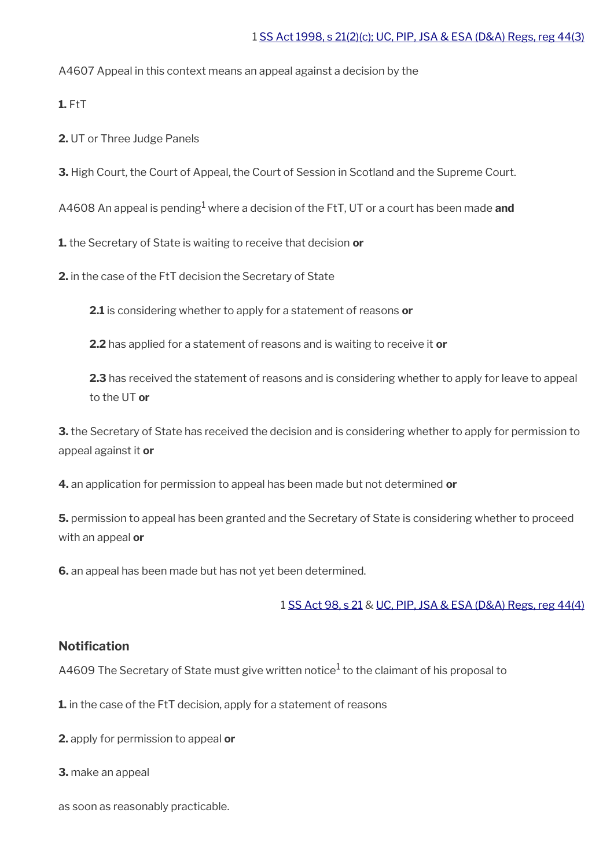A4607 Appeal in this context means an appeal against a decision by the

**1.** FtT

**2.** UT or Three Judge Panels

**3.** High Court, the Court of Appeal, the Court of Session in Scotland and the Supreme Court.

A4608 An appeal is pending<sup>1</sup> where a decision of the FtT, UT or a court has been made **and** 

**1.** the Secretary of State is waiting to receive that decision **or**

**2.** in the case of the FtT decision the Secretary of State

**2.1** is considering whether to apply for a statement of reasons **or**

**2.2** has applied for a statement of reasons and is waiting to receive it **or**

**2.3** has received the statement of reasons and is considering whether to apply for leave to appeal to the UT **or**

**3.** the Secretary of State has received the decision and is considering whether to apply for permission to appeal against it **or**

**4.** an application for permission to appeal has been made but not determined **or**

**5.** permission to appeal has been granted and the Secretary of State is considering whether to proceed with an appeal **or**

**6.** an appeal has been made but has not yet been determined.

1 [SS Act 98, s 21](http://www.legislation.gov.uk/ukpga/1998/14/contents) & [UC, PIP, JSA & ESA \(D&A\) Regs, reg 44\(4\)](http://www.legislation.gov.uk/uksi/2013/381/regulation/44)

#### **Notification**

A4609 The Secretary of State must give written notice $^1$  to the claimant of his proposal to

**1.** in the case of the FtT decision, apply for a statement of reasons

**2.** apply for permission to appeal **or**

**3.** make an appeal

as soon as reasonably practicable.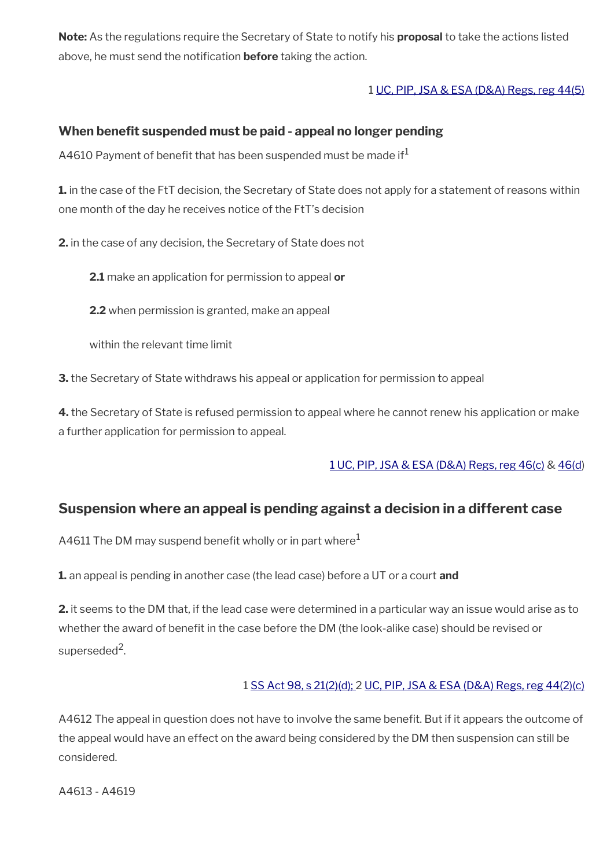**Note:** As the regulations require the Secretary of State to notify his **proposal** to take the actions listed above, he must send the notification **before** taking the action.

### 1 [UC, PIP, JSA & ESA \(D&A\) Regs, reg 44\(5\)](http://www.legislation.gov.uk/uksi/2013/381/regulation/44)

### **When benefit suspended must be paid - appeal no longer pending**

A4610 Payment of benefit that has been suspended must be made if  $1$ 

**1.** in the case of the FtT decision, the Secretary of State does not apply for a statement of reasons within one month of the day he receives notice of the FtT's decision

**2.** in the case of any decision, the Secretary of State does not

**2.1** make an application for permission to appeal **or**

**2.2** when permission is granted, make an appeal

within the relevant time limit

**3.** the Secretary of State withdraws his appeal or application for permission to appeal

**4.** the Secretary of State is refused permission to appeal where he cannot renew his application or make a further application for permission to appeal.

[1 UC, PIP, JSA & ESA \(D&A\) Regs, reg 46\(c\)](http://www.legislation.gov.uk/uksi/2013/381/regulation/46) & [46\(d](http://www.legislation.gov.uk/uksi/2013/381/regulation/46))

## <span id="page-75-0"></span>**Suspension where an appeal is pending against a decision in a different case**

A4611 The DM may suspend benefit wholly or in part where $1$ 

**1.** an appeal is pending in another case (the lead case) before a UT or a court **and** 

**2.** it seems to the DM that, if the lead case were determined in a particular way an issue would arise as to whether the award of benefit in the case before the DM (the look-alike case) should be revised or superseded<sup>2</sup>.

### 1 [SS Act 98, s 21\(2\)\(d\);](http://www.legislation.gov.uk/ukpga/1998/14/contents) 2 [UC, PIP, JSA & ESA \(D&A\) Regs, reg 44\(2\)\(c\)](http://www.legislation.gov.uk/uksi/2013/381/regulation/44)

A4612 The appeal in question does not have to involve the same benefit. But if it appears the outcome of the appeal would have an effect on the award being considered by the DM then suspension can still be considered.

A4613 - A4619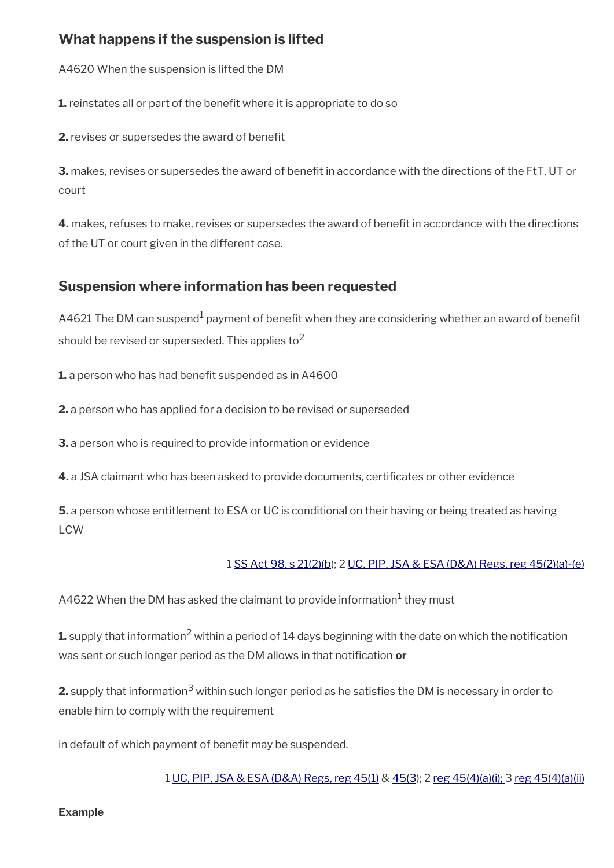## <span id="page-76-1"></span>**What happens if the suspension is lifted**

A4620 When the suspension is lifted the DM

**1.** reinstates all or part of the benefit where it is appropriate to do so

**2.** revises or supersedes the award of benefit

**3.** makes, revises or supersedes the award of beneft in accordance with the directions of the FtT, UT or court

**4.** makes, refuses to make, revises or supersedes the award of benefit in accordance with the directions of the UT or court given in the different case.

## <span id="page-76-0"></span>**Suspension where information has been requested**

A4621 The DM can suspend $^{\rm 1}$  payment of benefit when they are considering whether an award of benefit should be revised or superseded. This applies to<sup>2</sup>

**1.** a person who has had benefit suspended as in A4600

**2.** a person who has applied for a decision to be revised or superseded

**3.** a person who is required to provide information or evidence

**4.** a JSA claimant who has been asked to provide documents, certifcates or other evidence

**5.** a person whose entitlement to ESA or UC is conditional on their having or being treated as having LCW

## 1 [SS Act 98, s 21\(2\)\(b](http://www.legislation.gov.uk/ukpga/1998/14/contents)); 2 [UC, PIP, JSA & ESA \(D&A\) Regs, reg 45\(2\)\(a\)-\(e\)](http://www.legislation.gov.uk/uksi/2013/381/regulation/45)

A4622 When the DM has asked the claimant to provide information<sup>1</sup> they must

 ${\bf 1}$  supply that information<sup>2</sup> within a period of 14 days beginning with the date on which the notification was sent or such longer period as the DM allows in that notification or

**2.** supply that information $^3$  within such longer period as he satisfies the DM is necessary in order to enable him to comply with the requirement

in default of which payment of benefit may be suspended.

1 [UC, PIP, JSA & ESA \(D&A\) Regs, reg 45\(1\)](http://www.legislation.gov.uk/uksi/2013/381/regulation/45) & [45\(3\)](http://www.legislation.gov.uk/uksi/2013/381/regulation/45); 2 [reg 45\(4\)\(a\)\(i\);](http://www.legislation.gov.uk/uksi/2013/381/regulation/45) 3 [reg 45\(4\)\(a\)\(ii\)](http://www.legislation.gov.uk/uksi/2013/381/regulation/45)

#### **Example**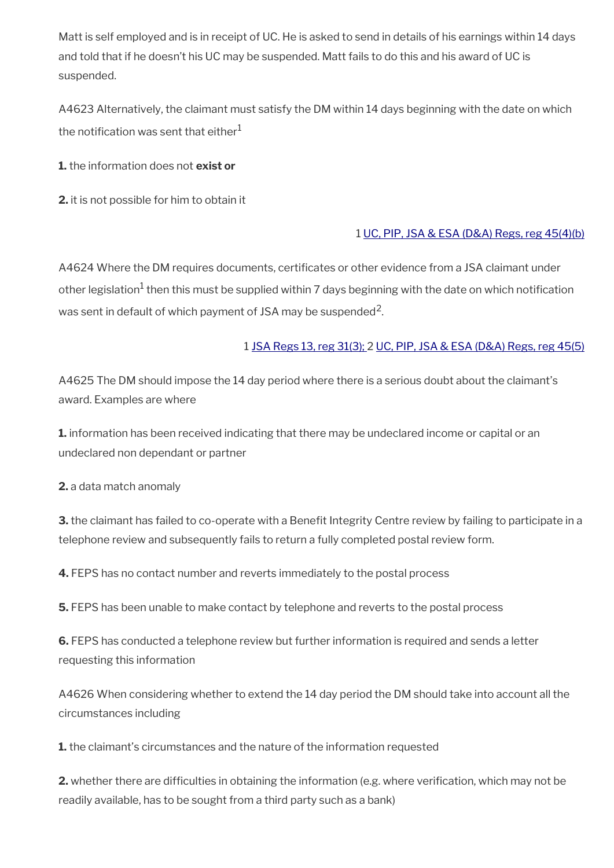Matt is self employed and is in receipt of UC. He is asked to send in details of his earnings within 14 days and told that if he doesn't his UC may be suspended. Matt fails to do this and his award of UC is suspended.

A4623 Alternatively, the claimant must satisfy the DM within 14 days beginning with the date on which the notification was sent that either $1$ 

**1.** the information does not **exist or**

**2.** it is not possible for him to obtain it

### 1 [UC, PIP, JSA & ESA \(D&A\) Regs, reg 45\(4\)\(b\)](http://www.legislation.gov.uk/uksi/2013/381/regulation/45)

A4624 Where the DM requires documents, certificates or other evidence from a JSA claimant under other legislation<sup>1</sup> then this must be supplied within 7 days beginning with the date on which notification was sent in default of which payment of JSA may be suspended<sup>2</sup>.

### 1 [JSA Regs 13, reg 31\(3\);](http://www.legislation.gov.uk/uksi/2013/378/regulation/31) 2 [UC, PIP, JSA & ESA \(D&A\) Regs, reg 45\(5\)](http://www.legislation.gov.uk/uksi/2013/381/regulation/45)

A4625 The DM should impose the 14 day period where there is a serious doubt about the claimant's award. Examples are where

**1.** information has been received indicating that there may be undeclared income or capital or an undeclared non dependant or partner

**2.** a data match anomaly

**3.** the claimant has failed to co-operate with a Benefit Integrity Centre review by failing to participate in a telephone review and subsequently fails to return a fully completed postal review form.

**4.** FEPS has no contact number and reverts immediately to the postal process

**5.** FEPS has been unable to make contact by telephone and reverts to the postal process

**6.** FEPS has conducted a telephone review but further information is required and sends a letter requesting this information

A4626 When considering whether to extend the 14 day period the DM should take into account all the circumstances including

**1.** the claimant's circumstances and the nature of the information requested

**2.** whether there are difficulties in obtaining the information (e.g. where verification, which may not be readily available, has to be sought from a third party such as a bank)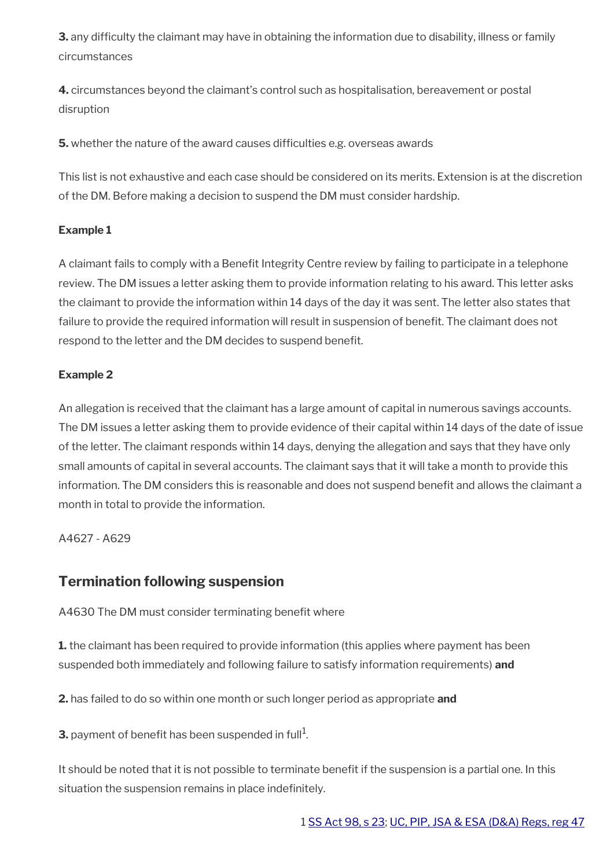**3.** any difficulty the claimant may have in obtaining the information due to disability, illness or family circumstances

**4.** circumstances beyond the claimant's control such as hospitalisation, bereavement or postal disruption

**5.** whether the nature of the award causes difficulties e.g. overseas awards

This list is not exhaustive and each case should be considered on its merits. Extension is at the discretion of the DM. Before making a decision to suspend the DM must consider hardship.

### **Example 1**

A claimant fails to comply with a Benefit Integrity Centre review by failing to participate in a telephone review. The DM issues a letter asking them to provide information relating to his award. This letter asks the claimant to provide the information within 14 days of the day it was sent. The letter also states that failure to provide the required information will result in suspension of beneft. The claimant does not respond to the letter and the DM decides to suspend beneft.

### **Example 2**

An allegation is received that the claimant has a large amount of capital in numerous savings accounts. The DM issues a letter asking them to provide evidence of their capital within 14 days of the date of issue of the letter. The claimant responds within 14 days, denying the allegation and says that they have only small amounts of capital in several accounts. The claimant says that it will take a month to provide this information. The DM considers this is reasonable and does not suspend benefit and allows the claimant a month in total to provide the information.

A4627 - A629

## <span id="page-78-0"></span>**Termination following suspension**

A4630 The DM must consider terminating benefit where

**1.** the claimant has been required to provide information (this applies where payment has been suspended both immediately and following failure to satisfy information requirements) **and** 

**2.** has failed to do so within one month or such longer period as appropriate **and** 

**3.** payment of benefit has been suspended in full $^1$ .

It should be noted that it is not possible to terminate beneft if the suspension is a partial one. In this situation the suspension remains in place indefinitely.